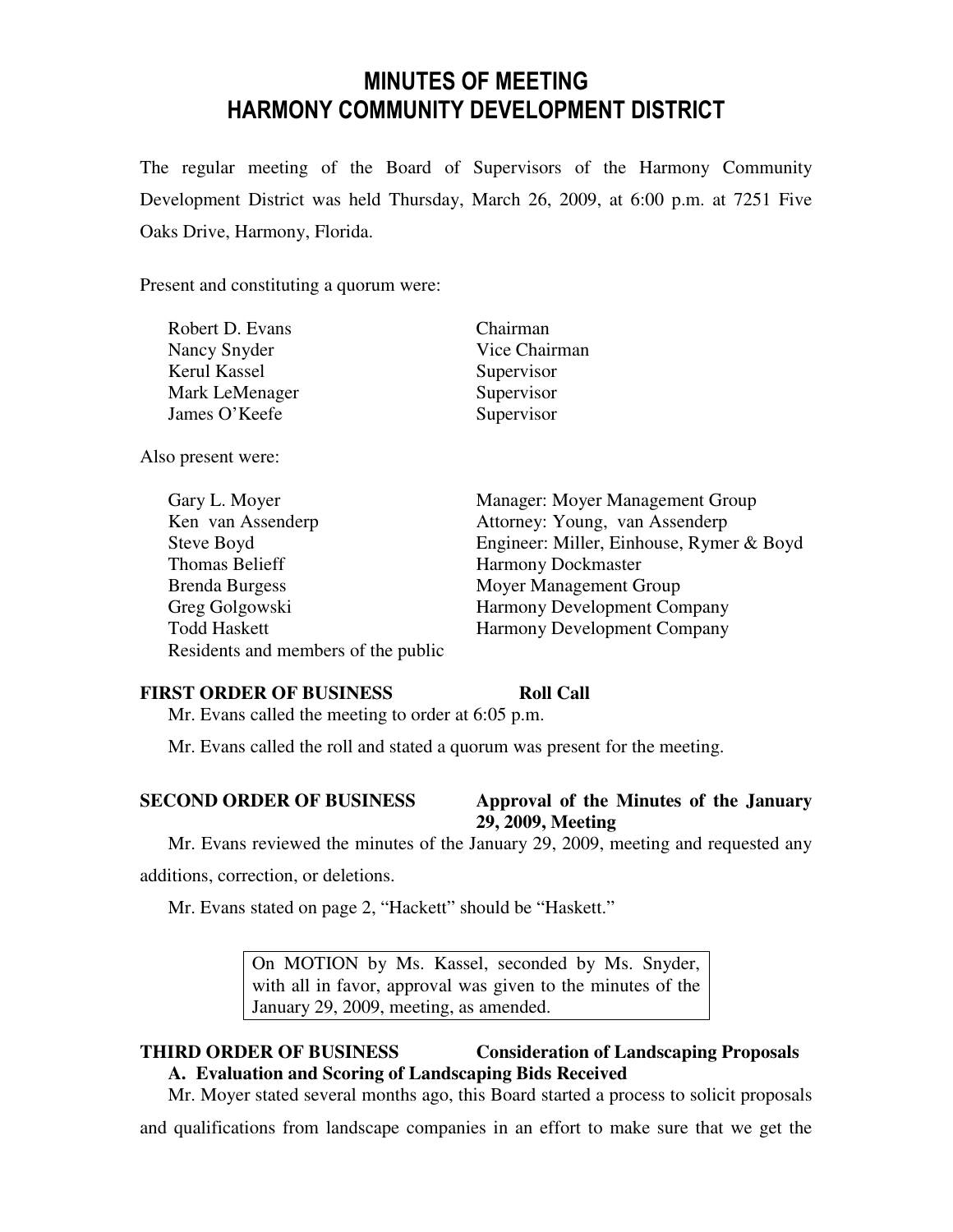# MINUTES OF MEETING HARMONY COMMUNITY DEVELOPMENT DISTRICT

The regular meeting of the Board of Supervisors of the Harmony Community Development District was held Thursday, March 26, 2009, at 6:00 p.m. at 7251 Five Oaks Drive, Harmony, Florida.

Present and constituting a quorum were:

| Robert D. Evans | Chairman      |
|-----------------|---------------|
| Nancy Snyder    | Vice Chairman |
| Kerul Kassel    | Supervisor    |
| Mark LeMenager  | Supervisor    |
| James O'Keefe   | Supervisor    |

Also present were:

| Gary L. Moyer                       | Manager: Moyer Management Group          |
|-------------------------------------|------------------------------------------|
| Ken van Assenderp                   | Attorney: Young, van Assenderp           |
| Steve Boyd                          | Engineer: Miller, Einhouse, Rymer & Boyd |
| Thomas Belieff                      | <b>Harmony Dockmaster</b>                |
| <b>Brenda Burgess</b>               | Moyer Management Group                   |
| Greg Golgowski                      | <b>Harmony Development Company</b>       |
| <b>Todd Haskett</b>                 | Harmony Development Company              |
| Residents and members of the public |                                          |

### **FIRST ORDER OF BUSINESS Roll Call**

Mr. Evans called the meeting to order at 6:05 p.m.

Mr. Evans called the roll and stated a quorum was present for the meeting.

# **SECOND ORDER OF BUSINESS Approval of the Minutes of the January 29, 2009, Meeting**

Mr. Evans reviewed the minutes of the January 29, 2009, meeting and requested any

additions, correction, or deletions.

Mr. Evans stated on page 2, "Hackett" should be "Haskett."

On MOTION by Ms. Kassel, seconded by Ms. Snyder, with all in favor, approval was given to the minutes of the January 29, 2009, meeting, as amended.

# **THIRD ORDER OF BUSINESS Consideration of Landscaping Proposals**

**A. Evaluation and Scoring of Landscaping Bids Received**

Mr. Moyer stated several months ago, this Board started a process to solicit proposals

and qualifications from landscape companies in an effort to make sure that we get the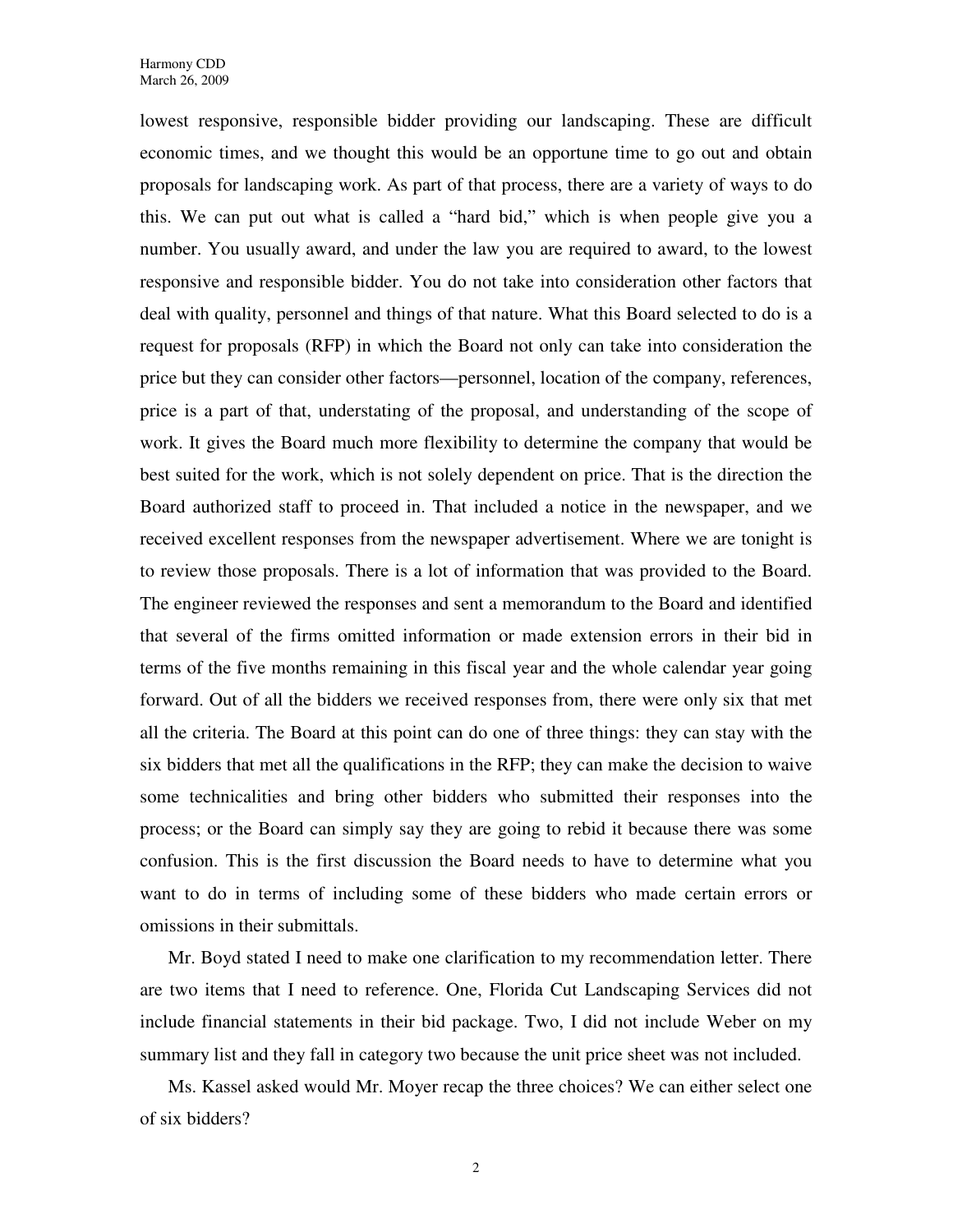lowest responsive, responsible bidder providing our landscaping. These are difficult economic times, and we thought this would be an opportune time to go out and obtain proposals for landscaping work. As part of that process, there are a variety of ways to do this. We can put out what is called a "hard bid," which is when people give you a number. You usually award, and under the law you are required to award, to the lowest responsive and responsible bidder. You do not take into consideration other factors that deal with quality, personnel and things of that nature. What this Board selected to do is a request for proposals (RFP) in which the Board not only can take into consideration the price but they can consider other factors—personnel, location of the company, references, price is a part of that, understating of the proposal, and understanding of the scope of work. It gives the Board much more flexibility to determine the company that would be best suited for the work, which is not solely dependent on price. That is the direction the Board authorized staff to proceed in. That included a notice in the newspaper, and we received excellent responses from the newspaper advertisement. Where we are tonight is to review those proposals. There is a lot of information that was provided to the Board. The engineer reviewed the responses and sent a memorandum to the Board and identified that several of the firms omitted information or made extension errors in their bid in terms of the five months remaining in this fiscal year and the whole calendar year going forward. Out of all the bidders we received responses from, there were only six that met all the criteria. The Board at this point can do one of three things: they can stay with the six bidders that met all the qualifications in the RFP; they can make the decision to waive some technicalities and bring other bidders who submitted their responses into the process; or the Board can simply say they are going to rebid it because there was some confusion. This is the first discussion the Board needs to have to determine what you want to do in terms of including some of these bidders who made certain errors or omissions in their submittals.

Mr. Boyd stated I need to make one clarification to my recommendation letter. There are two items that I need to reference. One, Florida Cut Landscaping Services did not include financial statements in their bid package. Two, I did not include Weber on my summary list and they fall in category two because the unit price sheet was not included.

Ms. Kassel asked would Mr. Moyer recap the three choices? We can either select one of six bidders?

2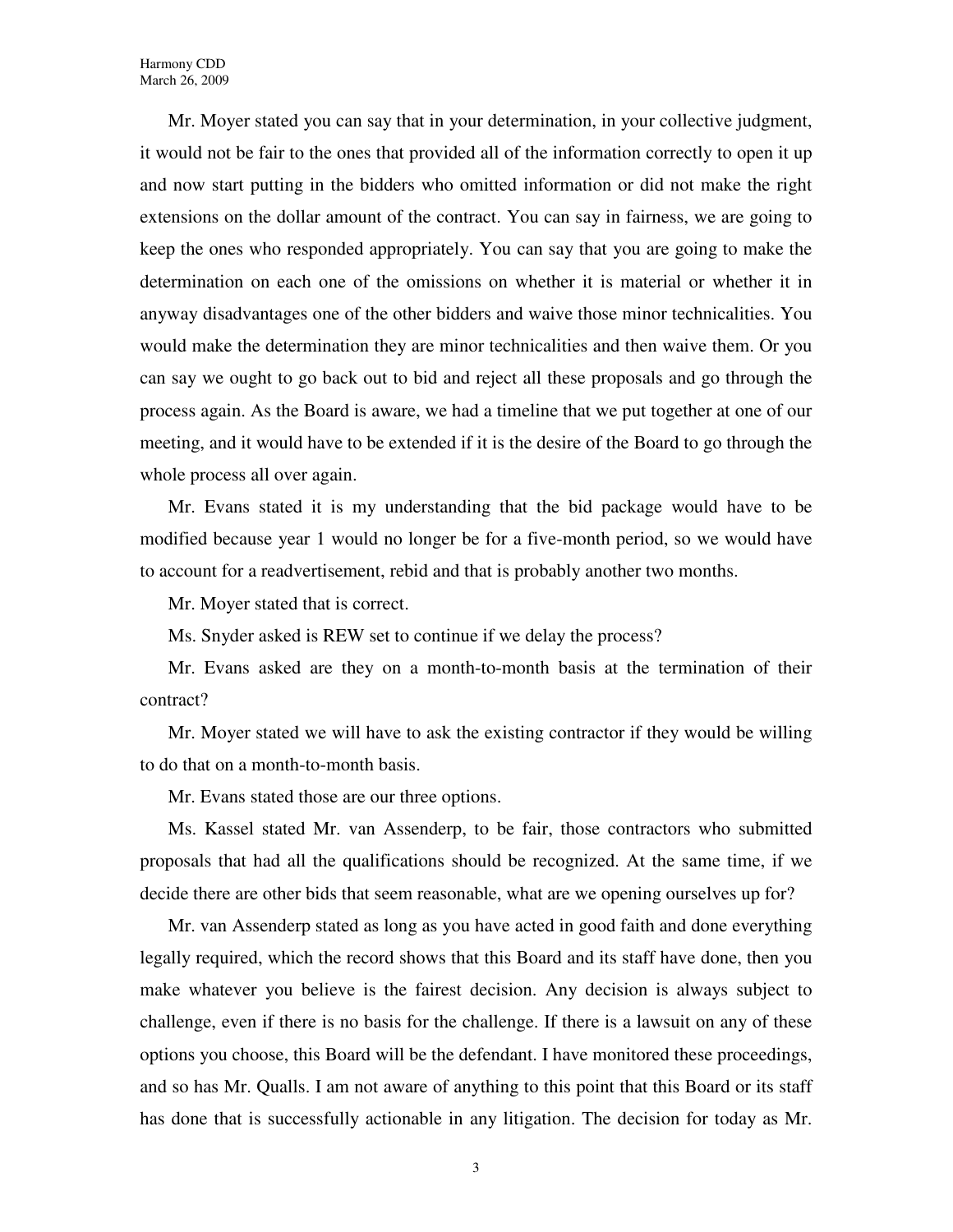Mr. Moyer stated you can say that in your determination, in your collective judgment, it would not be fair to the ones that provided all of the information correctly to open it up and now start putting in the bidders who omitted information or did not make the right extensions on the dollar amount of the contract. You can say in fairness, we are going to keep the ones who responded appropriately. You can say that you are going to make the determination on each one of the omissions on whether it is material or whether it in anyway disadvantages one of the other bidders and waive those minor technicalities. You would make the determination they are minor technicalities and then waive them. Or you can say we ought to go back out to bid and reject all these proposals and go through the process again. As the Board is aware, we had a timeline that we put together at one of our meeting, and it would have to be extended if it is the desire of the Board to go through the whole process all over again.

Mr. Evans stated it is my understanding that the bid package would have to be modified because year 1 would no longer be for a five-month period, so we would have to account for a readvertisement, rebid and that is probably another two months.

Mr. Moyer stated that is correct.

Ms. Snyder asked is REW set to continue if we delay the process?

Mr. Evans asked are they on a month-to-month basis at the termination of their contract?

Mr. Moyer stated we will have to ask the existing contractor if they would be willing to do that on a month-to-month basis.

Mr. Evans stated those are our three options.

Ms. Kassel stated Mr. van Assenderp, to be fair, those contractors who submitted proposals that had all the qualifications should be recognized. At the same time, if we decide there are other bids that seem reasonable, what are we opening ourselves up for?

Mr. van Assenderp stated as long as you have acted in good faith and done everything legally required, which the record shows that this Board and its staff have done, then you make whatever you believe is the fairest decision. Any decision is always subject to challenge, even if there is no basis for the challenge. If there is a lawsuit on any of these options you choose, this Board will be the defendant. I have monitored these proceedings, and so has Mr. Qualls. I am not aware of anything to this point that this Board or its staff has done that is successfully actionable in any litigation. The decision for today as Mr.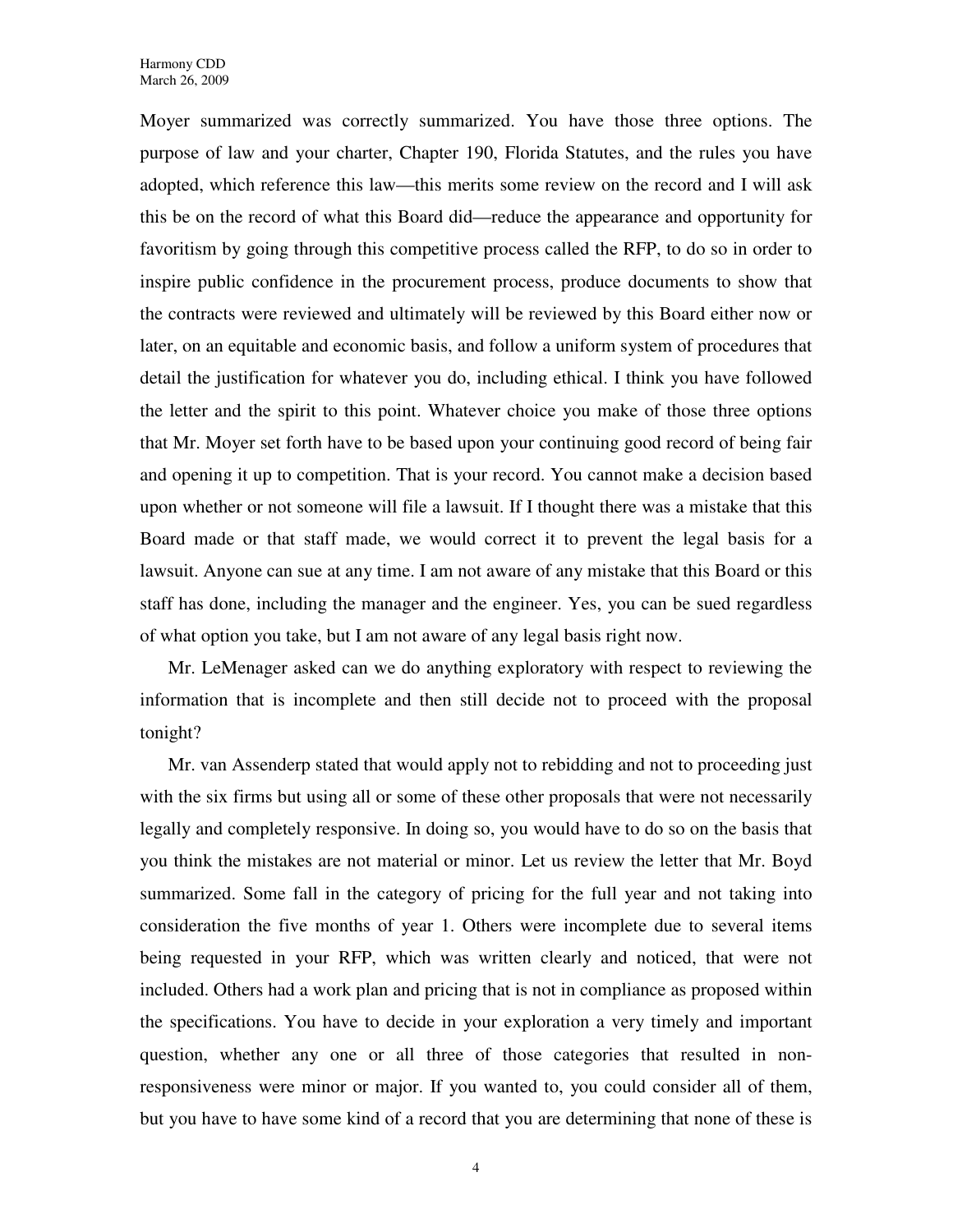Moyer summarized was correctly summarized. You have those three options. The purpose of law and your charter, Chapter 190, Florida Statutes, and the rules you have adopted, which reference this law—this merits some review on the record and I will ask this be on the record of what this Board did—reduce the appearance and opportunity for favoritism by going through this competitive process called the RFP, to do so in order to inspire public confidence in the procurement process, produce documents to show that the contracts were reviewed and ultimately will be reviewed by this Board either now or later, on an equitable and economic basis, and follow a uniform system of procedures that detail the justification for whatever you do, including ethical. I think you have followed the letter and the spirit to this point. Whatever choice you make of those three options that Mr. Moyer set forth have to be based upon your continuing good record of being fair and opening it up to competition. That is your record. You cannot make a decision based upon whether or not someone will file a lawsuit. If I thought there was a mistake that this Board made or that staff made, we would correct it to prevent the legal basis for a lawsuit. Anyone can sue at any time. I am not aware of any mistake that this Board or this staff has done, including the manager and the engineer. Yes, you can be sued regardless of what option you take, but I am not aware of any legal basis right now.

Mr. LeMenager asked can we do anything exploratory with respect to reviewing the information that is incomplete and then still decide not to proceed with the proposal tonight?

Mr. van Assenderp stated that would apply not to rebidding and not to proceeding just with the six firms but using all or some of these other proposals that were not necessarily legally and completely responsive. In doing so, you would have to do so on the basis that you think the mistakes are not material or minor. Let us review the letter that Mr. Boyd summarized. Some fall in the category of pricing for the full year and not taking into consideration the five months of year 1. Others were incomplete due to several items being requested in your RFP, which was written clearly and noticed, that were not included. Others had a work plan and pricing that is not in compliance as proposed within the specifications. You have to decide in your exploration a very timely and important question, whether any one or all three of those categories that resulted in nonresponsiveness were minor or major. If you wanted to, you could consider all of them, but you have to have some kind of a record that you are determining that none of these is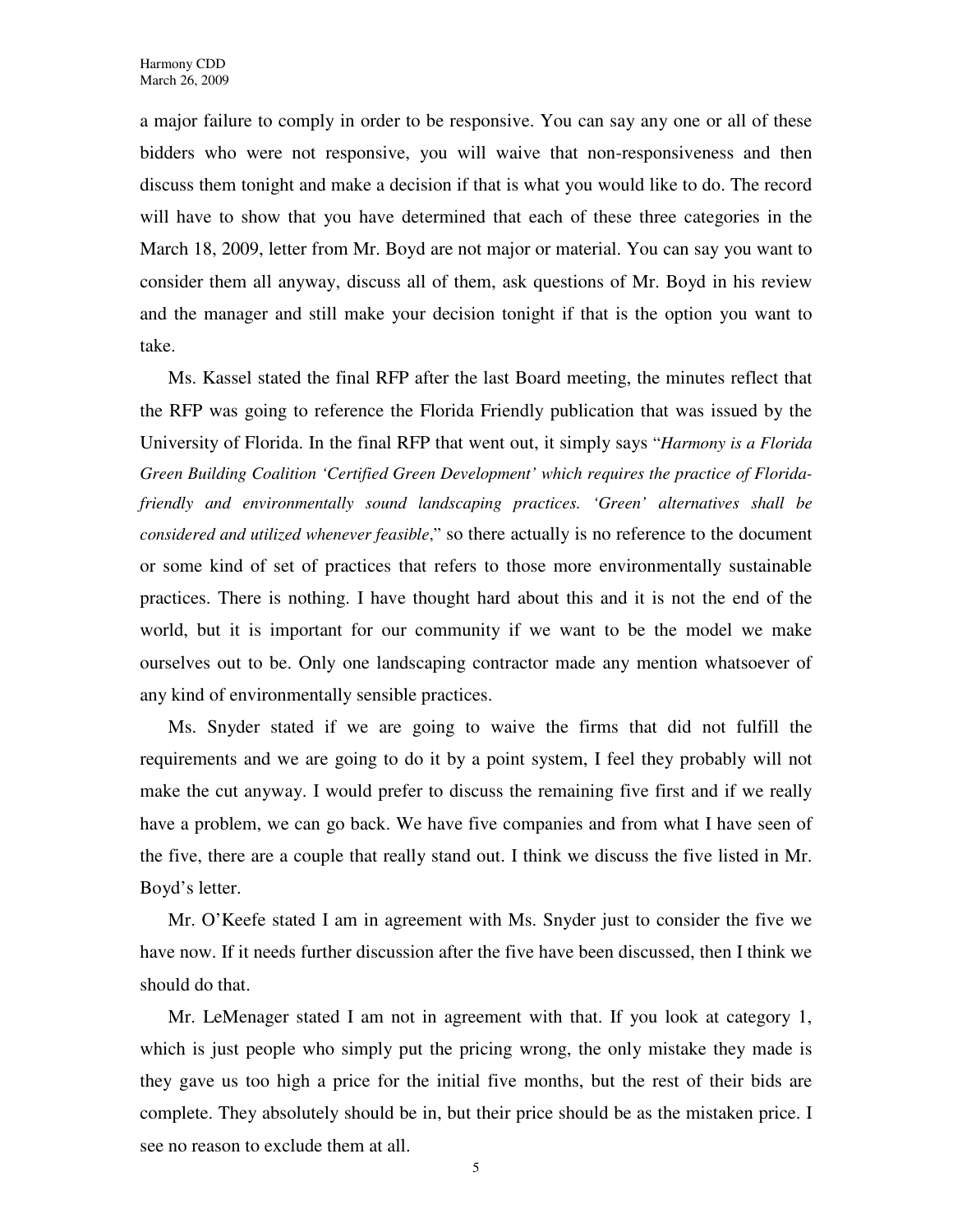a major failure to comply in order to be responsive. You can say any one or all of these bidders who were not responsive, you will waive that non-responsiveness and then discuss them tonight and make a decision if that is what you would like to do. The record will have to show that you have determined that each of these three categories in the March 18, 2009, letter from Mr. Boyd are not major or material. You can say you want to consider them all anyway, discuss all of them, ask questions of Mr. Boyd in his review and the manager and still make your decision tonight if that is the option you want to take.

Ms. Kassel stated the final RFP after the last Board meeting, the minutes reflect that the RFP was going to reference the Florida Friendly publication that was issued by the University of Florida. In the final RFP that went out, it simply says "*Harmony is a Florida Green Building Coalition 'Certified Green Development' which requires the practice of Floridafriendly and environmentally sound landscaping practices. 'Green' alternatives shall be considered and utilized whenever feasible*," so there actually is no reference to the document or some kind of set of practices that refers to those more environmentally sustainable practices. There is nothing. I have thought hard about this and it is not the end of the world, but it is important for our community if we want to be the model we make ourselves out to be. Only one landscaping contractor made any mention whatsoever of any kind of environmentally sensible practices.

Ms. Snyder stated if we are going to waive the firms that did not fulfill the requirements and we are going to do it by a point system, I feel they probably will not make the cut anyway. I would prefer to discuss the remaining five first and if we really have a problem, we can go back. We have five companies and from what I have seen of the five, there are a couple that really stand out. I think we discuss the five listed in Mr. Boyd's letter.

Mr. O'Keefe stated I am in agreement with Ms. Snyder just to consider the five we have now. If it needs further discussion after the five have been discussed, then I think we should do that.

Mr. LeMenager stated I am not in agreement with that. If you look at category 1, which is just people who simply put the pricing wrong, the only mistake they made is they gave us too high a price for the initial five months, but the rest of their bids are complete. They absolutely should be in, but their price should be as the mistaken price. I see no reason to exclude them at all.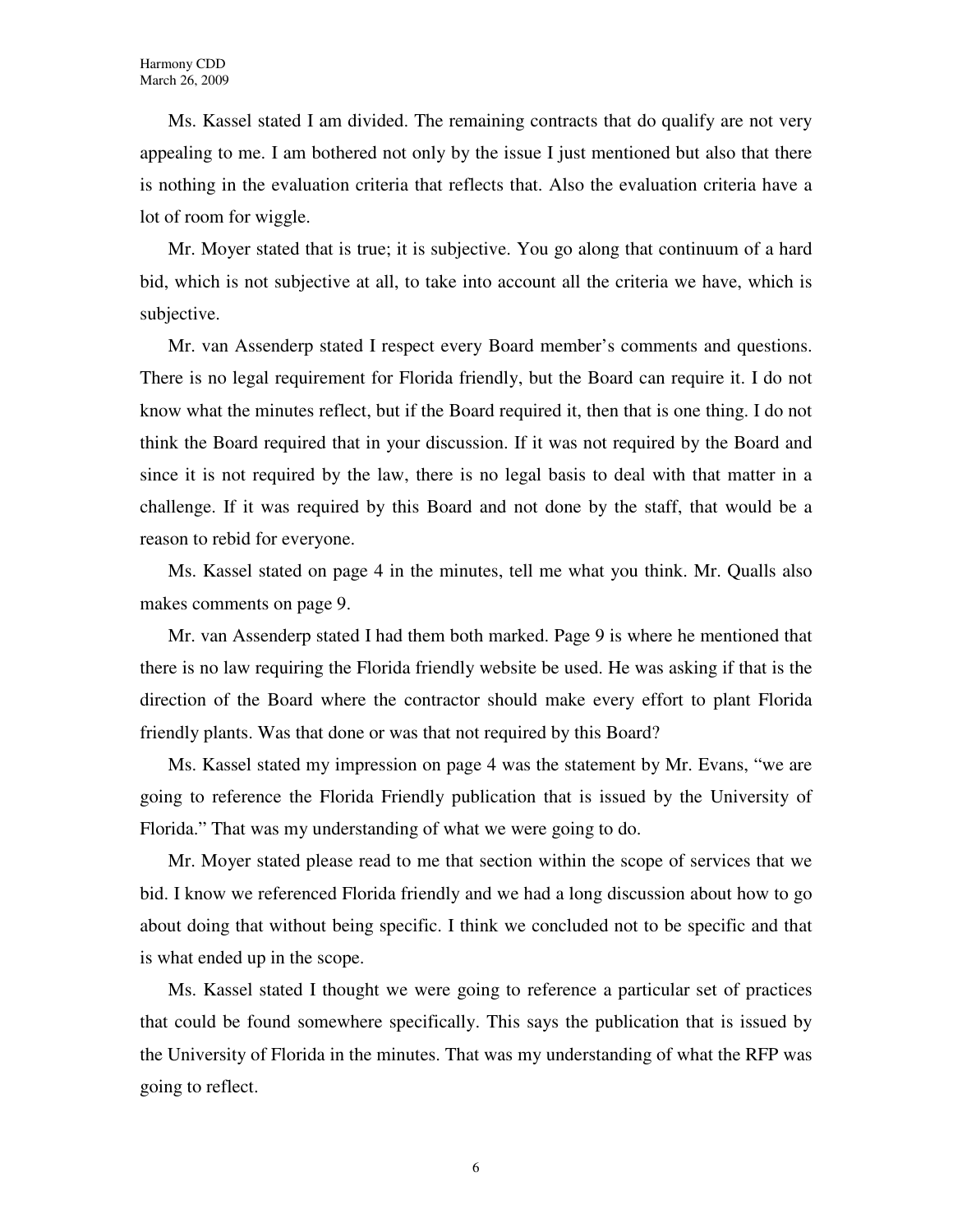Ms. Kassel stated I am divided. The remaining contracts that do qualify are not very appealing to me. I am bothered not only by the issue I just mentioned but also that there is nothing in the evaluation criteria that reflects that. Also the evaluation criteria have a lot of room for wiggle.

Mr. Moyer stated that is true; it is subjective. You go along that continuum of a hard bid, which is not subjective at all, to take into account all the criteria we have, which is subjective.

Mr. van Assenderp stated I respect every Board member's comments and questions. There is no legal requirement for Florida friendly, but the Board can require it. I do not know what the minutes reflect, but if the Board required it, then that is one thing. I do not think the Board required that in your discussion. If it was not required by the Board and since it is not required by the law, there is no legal basis to deal with that matter in a challenge. If it was required by this Board and not done by the staff, that would be a reason to rebid for everyone.

Ms. Kassel stated on page 4 in the minutes, tell me what you think. Mr. Qualls also makes comments on page 9.

Mr. van Assenderp stated I had them both marked. Page 9 is where he mentioned that there is no law requiring the Florida friendly website be used. He was asking if that is the direction of the Board where the contractor should make every effort to plant Florida friendly plants. Was that done or was that not required by this Board?

Ms. Kassel stated my impression on page 4 was the statement by Mr. Evans, "we are going to reference the Florida Friendly publication that is issued by the University of Florida." That was my understanding of what we were going to do.

Mr. Moyer stated please read to me that section within the scope of services that we bid. I know we referenced Florida friendly and we had a long discussion about how to go about doing that without being specific. I think we concluded not to be specific and that is what ended up in the scope.

Ms. Kassel stated I thought we were going to reference a particular set of practices that could be found somewhere specifically. This says the publication that is issued by the University of Florida in the minutes. That was my understanding of what the RFP was going to reflect.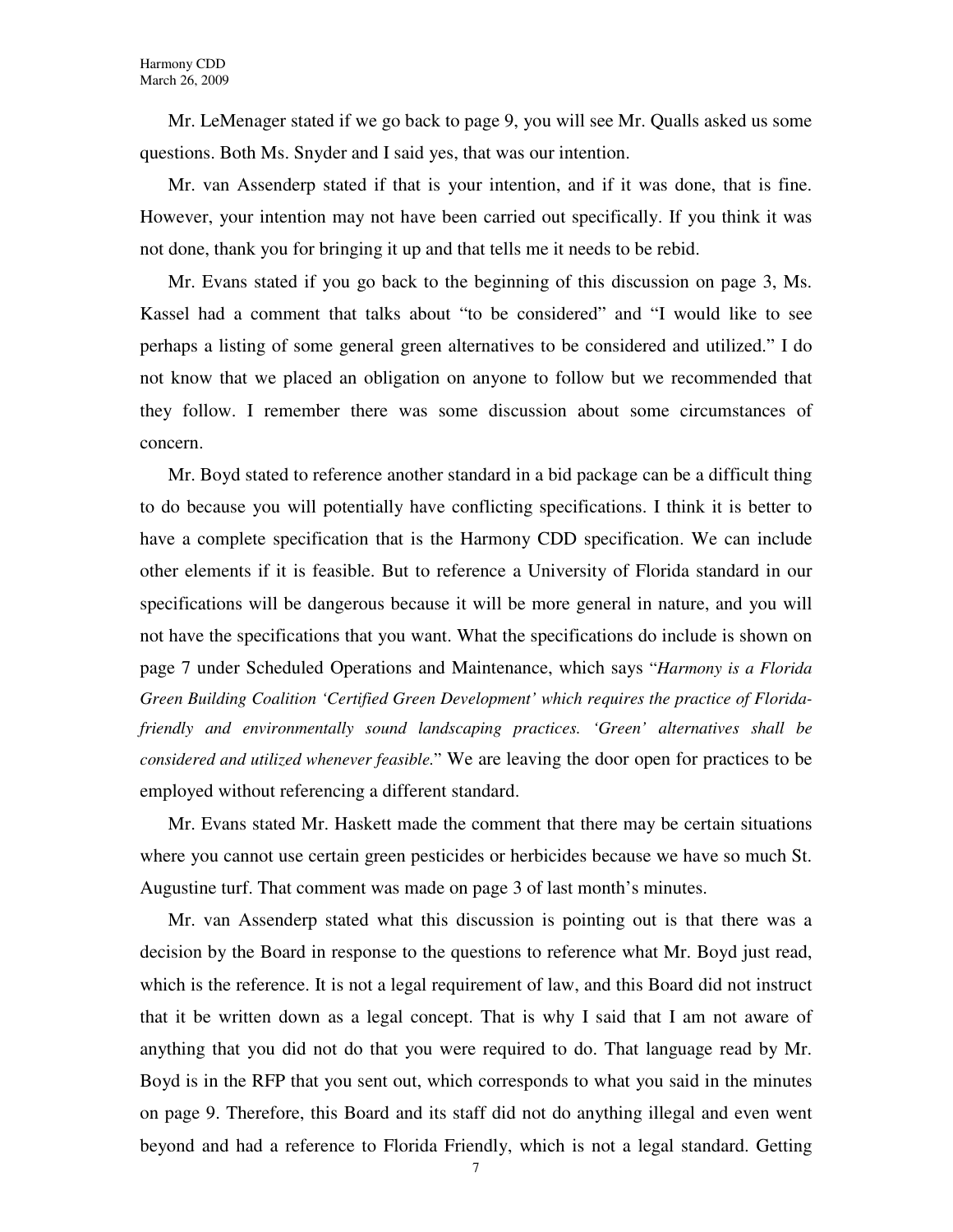Mr. LeMenager stated if we go back to page 9, you will see Mr. Qualls asked us some questions. Both Ms. Snyder and I said yes, that was our intention.

Mr. van Assenderp stated if that is your intention, and if it was done, that is fine. However, your intention may not have been carried out specifically. If you think it was not done, thank you for bringing it up and that tells me it needs to be rebid.

Mr. Evans stated if you go back to the beginning of this discussion on page 3, Ms. Kassel had a comment that talks about "to be considered" and "I would like to see perhaps a listing of some general green alternatives to be considered and utilized." I do not know that we placed an obligation on anyone to follow but we recommended that they follow. I remember there was some discussion about some circumstances of concern.

Mr. Boyd stated to reference another standard in a bid package can be a difficult thing to do because you will potentially have conflicting specifications. I think it is better to have a complete specification that is the Harmony CDD specification. We can include other elements if it is feasible. But to reference a University of Florida standard in our specifications will be dangerous because it will be more general in nature, and you will not have the specifications that you want. What the specifications do include is shown on page 7 under Scheduled Operations and Maintenance, which says "*Harmony is a Florida Green Building Coalition 'Certified Green Development' which requires the practice of Floridafriendly and environmentally sound landscaping practices. 'Green' alternatives shall be considered and utilized whenever feasible.*" We are leaving the door open for practices to be employed without referencing a different standard.

Mr. Evans stated Mr. Haskett made the comment that there may be certain situations where you cannot use certain green pesticides or herbicides because we have so much St. Augustine turf. That comment was made on page 3 of last month's minutes.

Mr. van Assenderp stated what this discussion is pointing out is that there was a decision by the Board in response to the questions to reference what Mr. Boyd just read, which is the reference. It is not a legal requirement of law, and this Board did not instruct that it be written down as a legal concept. That is why I said that I am not aware of anything that you did not do that you were required to do. That language read by Mr. Boyd is in the RFP that you sent out, which corresponds to what you said in the minutes on page 9. Therefore, this Board and its staff did not do anything illegal and even went beyond and had a reference to Florida Friendly, which is not a legal standard. Getting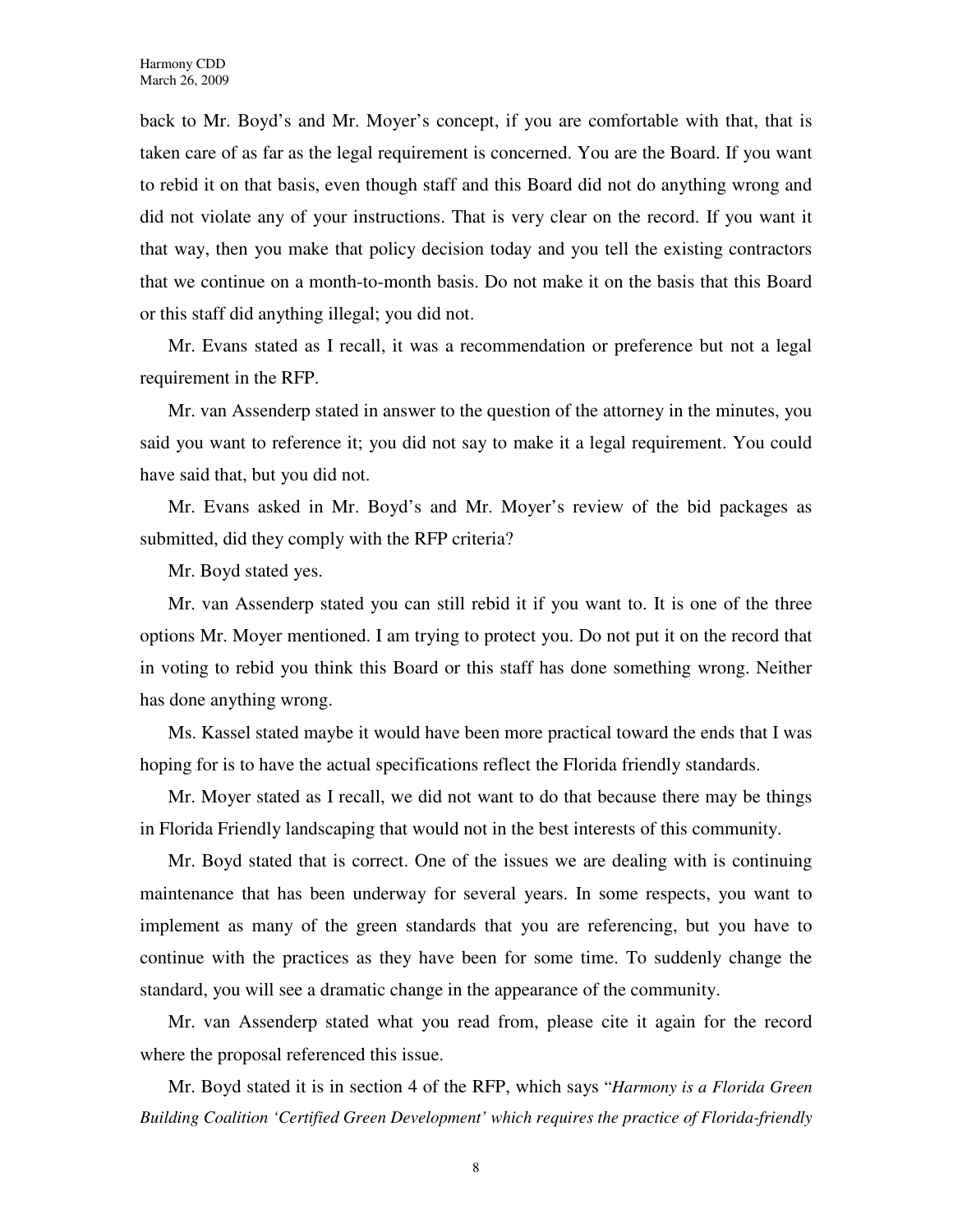back to Mr. Boyd's and Mr. Moyer's concept, if you are comfortable with that, that is taken care of as far as the legal requirement is concerned. You are the Board. If you want to rebid it on that basis, even though staff and this Board did not do anything wrong and did not violate any of your instructions. That is very clear on the record. If you want it that way, then you make that policy decision today and you tell the existing contractors that we continue on a month-to-month basis. Do not make it on the basis that this Board or this staff did anything illegal; you did not.

Mr. Evans stated as I recall, it was a recommendation or preference but not a legal requirement in the RFP.

Mr. van Assenderp stated in answer to the question of the attorney in the minutes, you said you want to reference it; you did not say to make it a legal requirement. You could have said that, but you did not.

Mr. Evans asked in Mr. Boyd's and Mr. Moyer's review of the bid packages as submitted, did they comply with the RFP criteria?

Mr. Boyd stated yes.

Mr. van Assenderp stated you can still rebid it if you want to. It is one of the three options Mr. Moyer mentioned. I am trying to protect you. Do not put it on the record that in voting to rebid you think this Board or this staff has done something wrong. Neither has done anything wrong.

Ms. Kassel stated maybe it would have been more practical toward the ends that I was hoping for is to have the actual specifications reflect the Florida friendly standards.

Mr. Moyer stated as I recall, we did not want to do that because there may be things in Florida Friendly landscaping that would not in the best interests of this community.

Mr. Boyd stated that is correct. One of the issues we are dealing with is continuing maintenance that has been underway for several years. In some respects, you want to implement as many of the green standards that you are referencing, but you have to continue with the practices as they have been for some time. To suddenly change the standard, you will see a dramatic change in the appearance of the community.

Mr. van Assenderp stated what you read from, please cite it again for the record where the proposal referenced this issue.

Mr. Boyd stated it is in section 4 of the RFP, which says "*Harmony is a Florida Green Building Coalition 'Certified Green Development' which requires the practice of Florida-friendly* 

8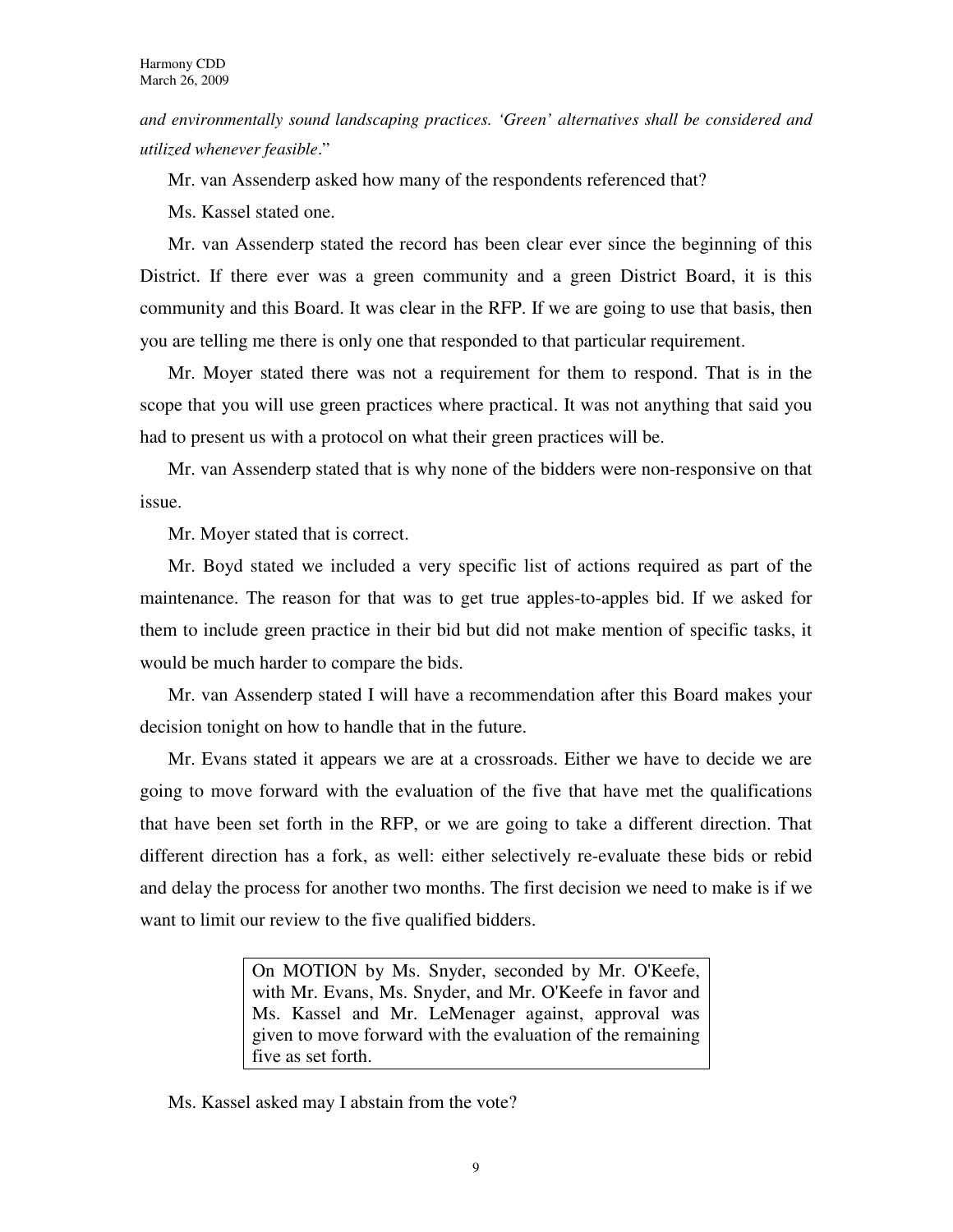*and environmentally sound landscaping practices. 'Green' alternatives shall be considered and utilized whenever feasible*."

Mr. van Assenderp asked how many of the respondents referenced that?

Ms. Kassel stated one.

Mr. van Assenderp stated the record has been clear ever since the beginning of this District. If there ever was a green community and a green District Board, it is this community and this Board. It was clear in the RFP. If we are going to use that basis, then you are telling me there is only one that responded to that particular requirement.

Mr. Moyer stated there was not a requirement for them to respond. That is in the scope that you will use green practices where practical. It was not anything that said you had to present us with a protocol on what their green practices will be.

Mr. van Assenderp stated that is why none of the bidders were non-responsive on that issue.

Mr. Moyer stated that is correct.

Mr. Boyd stated we included a very specific list of actions required as part of the maintenance. The reason for that was to get true apples-to-apples bid. If we asked for them to include green practice in their bid but did not make mention of specific tasks, it would be much harder to compare the bids.

Mr. van Assenderp stated I will have a recommendation after this Board makes your decision tonight on how to handle that in the future.

Mr. Evans stated it appears we are at a crossroads. Either we have to decide we are going to move forward with the evaluation of the five that have met the qualifications that have been set forth in the RFP, or we are going to take a different direction. That different direction has a fork, as well: either selectively re-evaluate these bids or rebid and delay the process for another two months. The first decision we need to make is if we want to limit our review to the five qualified bidders.

> On MOTION by Ms. Snyder, seconded by Mr. O'Keefe, with Mr. Evans, Ms. Snyder, and Mr. O'Keefe in favor and Ms. Kassel and Mr. LeMenager against, approval was given to move forward with the evaluation of the remaining five as set forth.

Ms. Kassel asked may I abstain from the vote?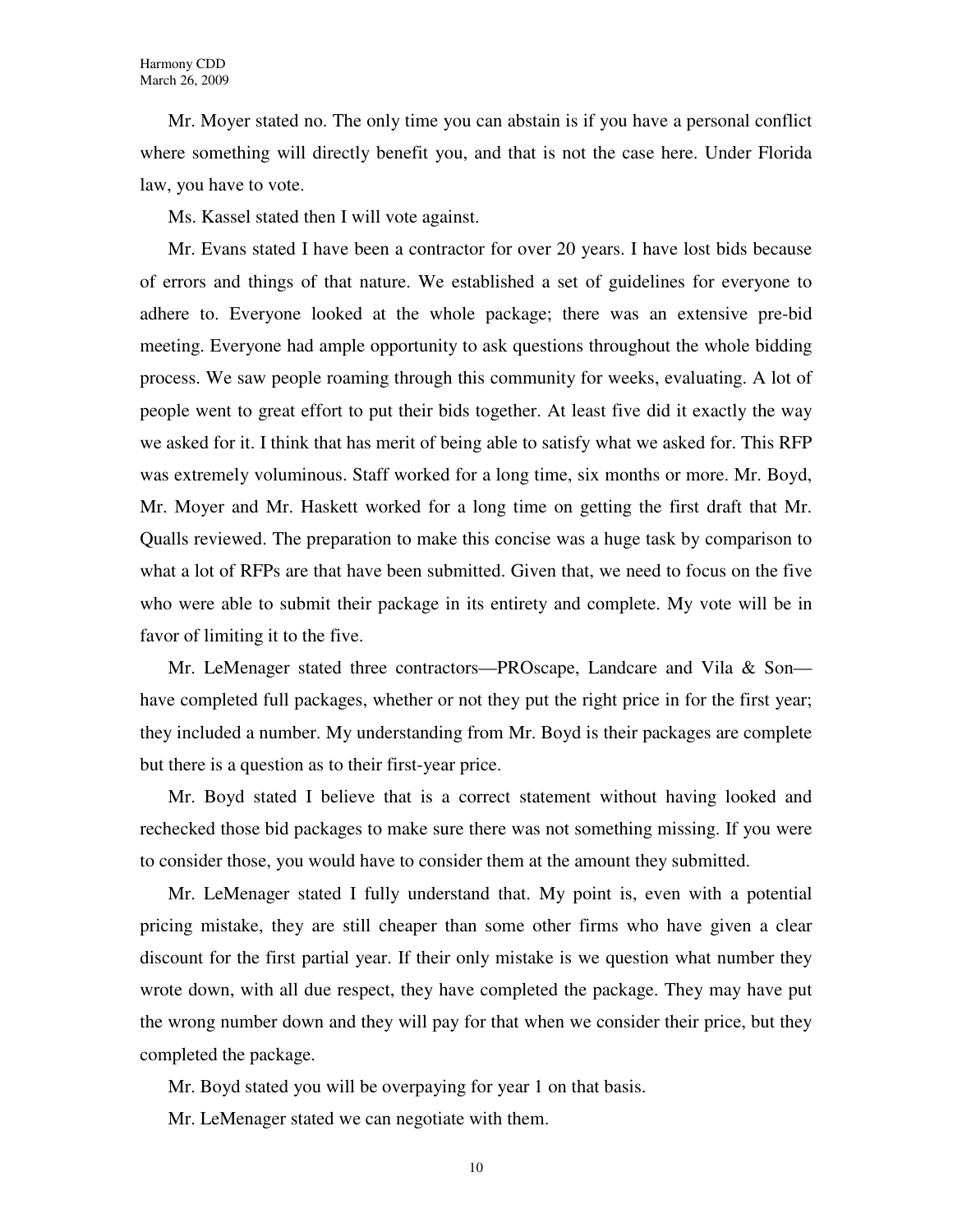Mr. Moyer stated no. The only time you can abstain is if you have a personal conflict where something will directly benefit you, and that is not the case here. Under Florida law, you have to vote.

Ms. Kassel stated then I will vote against.

Mr. Evans stated I have been a contractor for over 20 years. I have lost bids because of errors and things of that nature. We established a set of guidelines for everyone to adhere to. Everyone looked at the whole package; there was an extensive pre-bid meeting. Everyone had ample opportunity to ask questions throughout the whole bidding process. We saw people roaming through this community for weeks, evaluating. A lot of people went to great effort to put their bids together. At least five did it exactly the way we asked for it. I think that has merit of being able to satisfy what we asked for. This RFP was extremely voluminous. Staff worked for a long time, six months or more. Mr. Boyd, Mr. Moyer and Mr. Haskett worked for a long time on getting the first draft that Mr. Qualls reviewed. The preparation to make this concise was a huge task by comparison to what a lot of RFPs are that have been submitted. Given that, we need to focus on the five who were able to submit their package in its entirety and complete. My vote will be in favor of limiting it to the five.

Mr. LeMenager stated three contractors—PROscape, Landcare and Vila & Son have completed full packages, whether or not they put the right price in for the first year; they included a number. My understanding from Mr. Boyd is their packages are complete but there is a question as to their first-year price.

Mr. Boyd stated I believe that is a correct statement without having looked and rechecked those bid packages to make sure there was not something missing. If you were to consider those, you would have to consider them at the amount they submitted.

Mr. LeMenager stated I fully understand that. My point is, even with a potential pricing mistake, they are still cheaper than some other firms who have given a clear discount for the first partial year. If their only mistake is we question what number they wrote down, with all due respect, they have completed the package. They may have put the wrong number down and they will pay for that when we consider their price, but they completed the package.

Mr. Boyd stated you will be overpaying for year 1 on that basis.

Mr. LeMenager stated we can negotiate with them.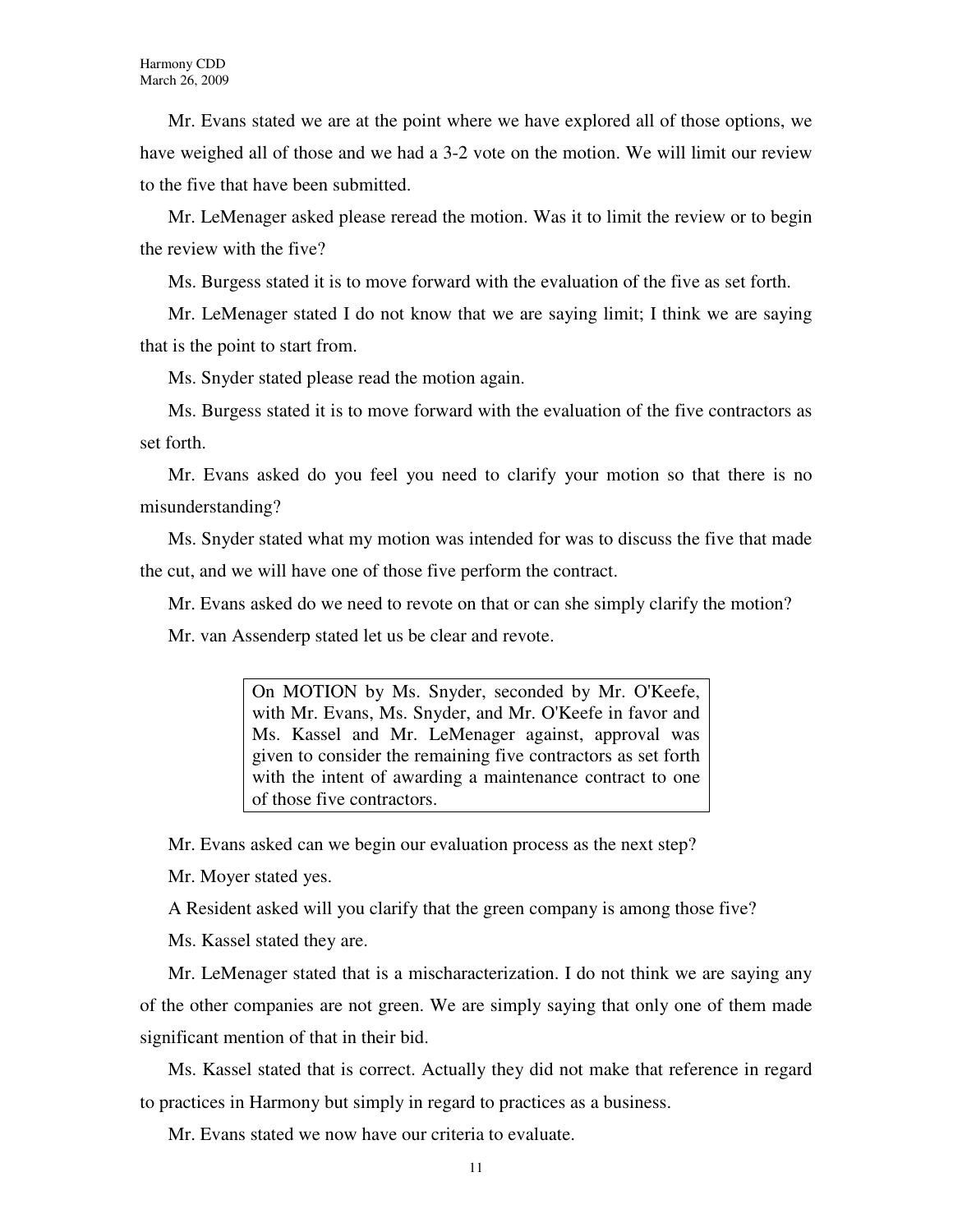Mr. Evans stated we are at the point where we have explored all of those options, we have weighed all of those and we had a 3-2 vote on the motion. We will limit our review to the five that have been submitted.

Mr. LeMenager asked please reread the motion. Was it to limit the review or to begin the review with the five?

Ms. Burgess stated it is to move forward with the evaluation of the five as set forth.

Mr. LeMenager stated I do not know that we are saying limit; I think we are saying that is the point to start from.

Ms. Snyder stated please read the motion again.

Ms. Burgess stated it is to move forward with the evaluation of the five contractors as set forth.

Mr. Evans asked do you feel you need to clarify your motion so that there is no misunderstanding?

Ms. Snyder stated what my motion was intended for was to discuss the five that made the cut, and we will have one of those five perform the contract.

Mr. Evans asked do we need to revote on that or can she simply clarify the motion?

Mr. van Assenderp stated let us be clear and revote.

On MOTION by Ms. Snyder, seconded by Mr. O'Keefe, with Mr. Evans, Ms. Snyder, and Mr. O'Keefe in favor and Ms. Kassel and Mr. LeMenager against, approval was given to consider the remaining five contractors as set forth with the intent of awarding a maintenance contract to one of those five contractors.

Mr. Evans asked can we begin our evaluation process as the next step?

Mr. Moyer stated yes.

A Resident asked will you clarify that the green company is among those five?

Ms. Kassel stated they are.

Mr. LeMenager stated that is a mischaracterization. I do not think we are saying any of the other companies are not green. We are simply saying that only one of them made significant mention of that in their bid.

Ms. Kassel stated that is correct. Actually they did not make that reference in regard to practices in Harmony but simply in regard to practices as a business.

Mr. Evans stated we now have our criteria to evaluate.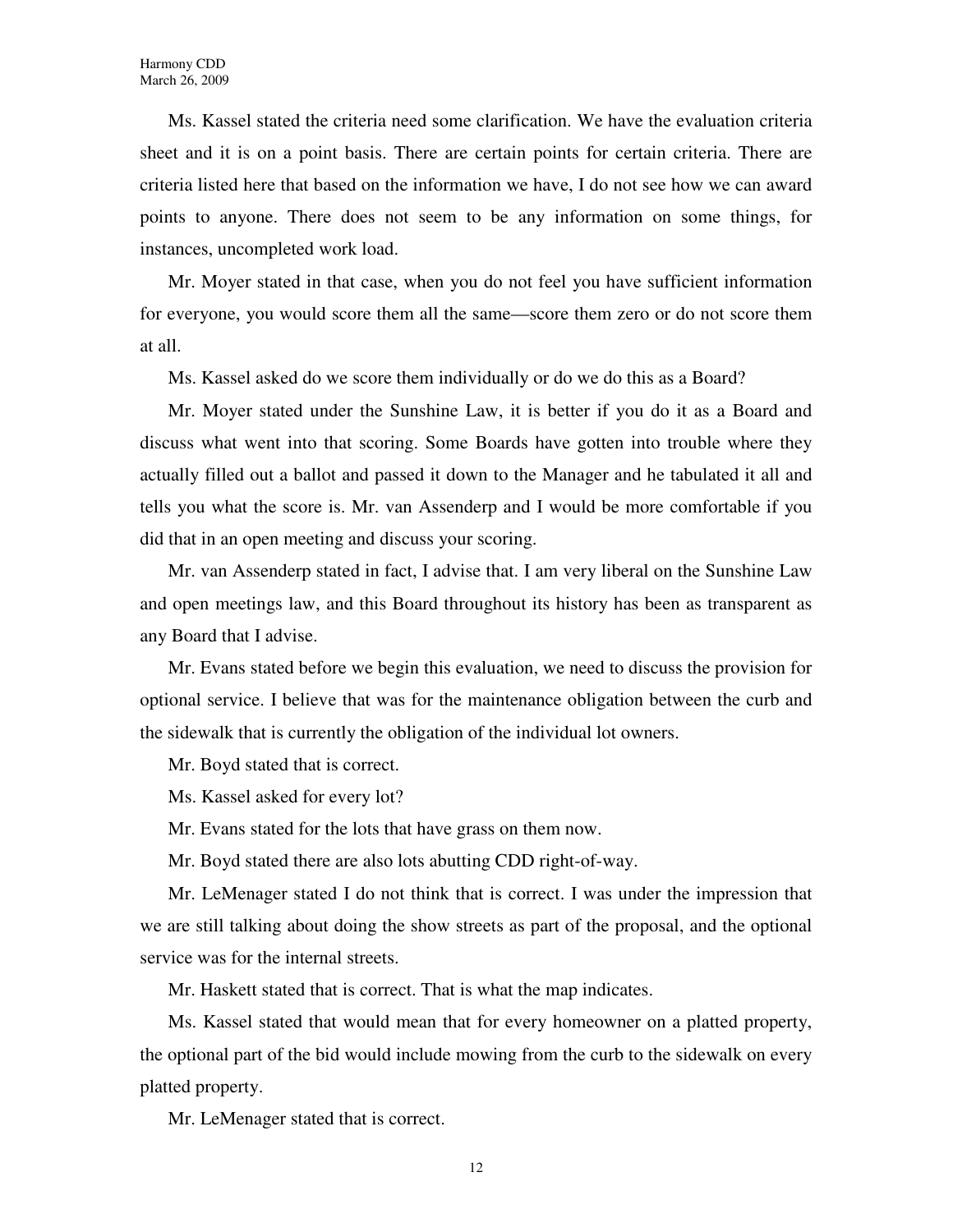Ms. Kassel stated the criteria need some clarification. We have the evaluation criteria sheet and it is on a point basis. There are certain points for certain criteria. There are criteria listed here that based on the information we have, I do not see how we can award points to anyone. There does not seem to be any information on some things, for instances, uncompleted work load.

Mr. Moyer stated in that case, when you do not feel you have sufficient information for everyone, you would score them all the same—score them zero or do not score them at all.

Ms. Kassel asked do we score them individually or do we do this as a Board?

Mr. Moyer stated under the Sunshine Law, it is better if you do it as a Board and discuss what went into that scoring. Some Boards have gotten into trouble where they actually filled out a ballot and passed it down to the Manager and he tabulated it all and tells you what the score is. Mr. van Assenderp and I would be more comfortable if you did that in an open meeting and discuss your scoring.

Mr. van Assenderp stated in fact, I advise that. I am very liberal on the Sunshine Law and open meetings law, and this Board throughout its history has been as transparent as any Board that I advise.

Mr. Evans stated before we begin this evaluation, we need to discuss the provision for optional service. I believe that was for the maintenance obligation between the curb and the sidewalk that is currently the obligation of the individual lot owners.

Mr. Boyd stated that is correct.

Ms. Kassel asked for every lot?

Mr. Evans stated for the lots that have grass on them now.

Mr. Boyd stated there are also lots abutting CDD right-of-way.

Mr. LeMenager stated I do not think that is correct. I was under the impression that we are still talking about doing the show streets as part of the proposal, and the optional service was for the internal streets.

Mr. Haskett stated that is correct. That is what the map indicates.

Ms. Kassel stated that would mean that for every homeowner on a platted property, the optional part of the bid would include mowing from the curb to the sidewalk on every platted property.

Mr. LeMenager stated that is correct.

12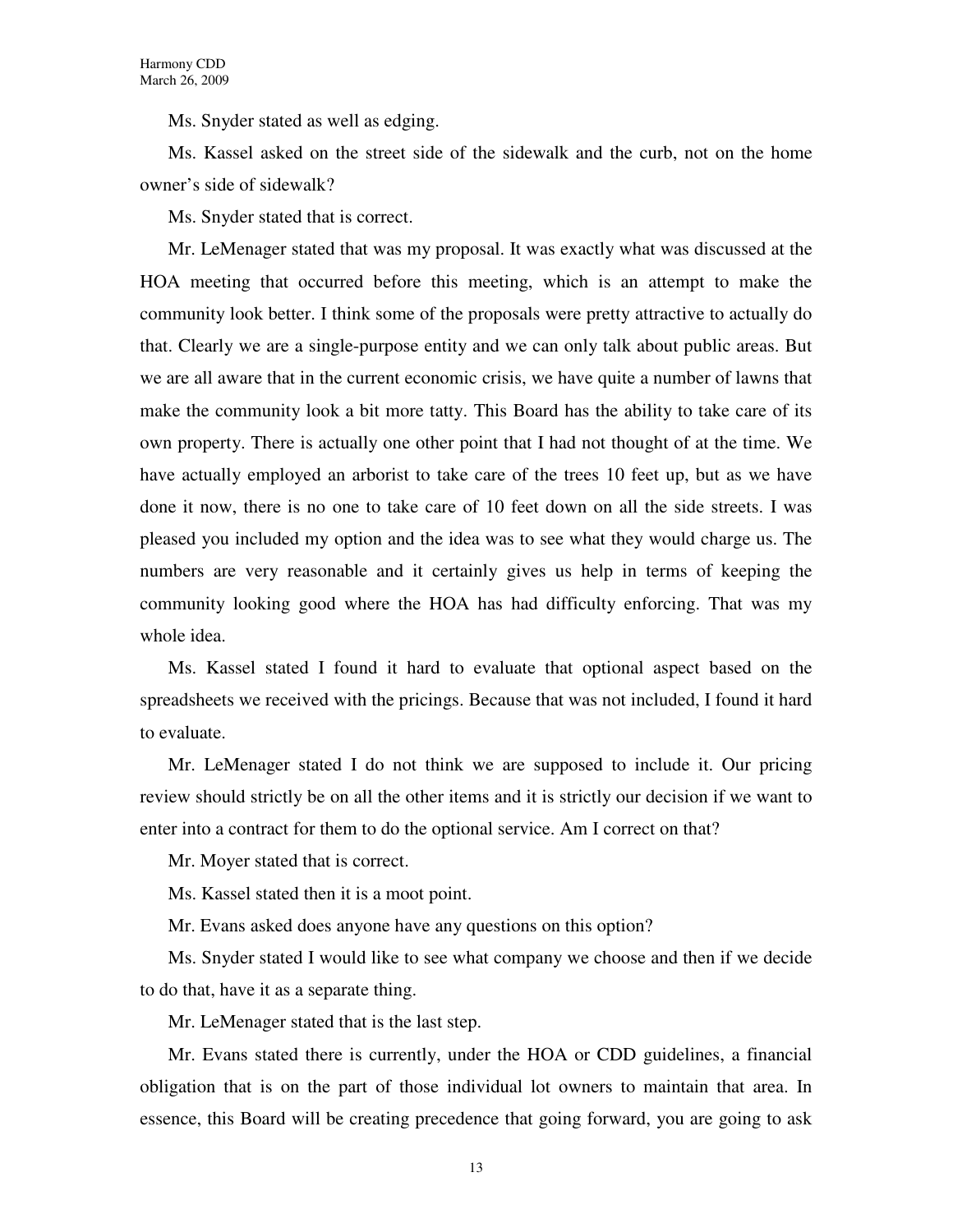Ms. Snyder stated as well as edging.

Ms. Kassel asked on the street side of the sidewalk and the curb, not on the home owner's side of sidewalk?

Ms. Snyder stated that is correct.

Mr. LeMenager stated that was my proposal. It was exactly what was discussed at the HOA meeting that occurred before this meeting, which is an attempt to make the community look better. I think some of the proposals were pretty attractive to actually do that. Clearly we are a single-purpose entity and we can only talk about public areas. But we are all aware that in the current economic crisis, we have quite a number of lawns that make the community look a bit more tatty. This Board has the ability to take care of its own property. There is actually one other point that I had not thought of at the time. We have actually employed an arborist to take care of the trees 10 feet up, but as we have done it now, there is no one to take care of 10 feet down on all the side streets. I was pleased you included my option and the idea was to see what they would charge us. The numbers are very reasonable and it certainly gives us help in terms of keeping the community looking good where the HOA has had difficulty enforcing. That was my whole idea.

Ms. Kassel stated I found it hard to evaluate that optional aspect based on the spreadsheets we received with the pricings. Because that was not included, I found it hard to evaluate.

Mr. LeMenager stated I do not think we are supposed to include it. Our pricing review should strictly be on all the other items and it is strictly our decision if we want to enter into a contract for them to do the optional service. Am I correct on that?

Mr. Moyer stated that is correct.

Ms. Kassel stated then it is a moot point.

Mr. Evans asked does anyone have any questions on this option?

Ms. Snyder stated I would like to see what company we choose and then if we decide to do that, have it as a separate thing.

Mr. LeMenager stated that is the last step.

Mr. Evans stated there is currently, under the HOA or CDD guidelines, a financial obligation that is on the part of those individual lot owners to maintain that area. In essence, this Board will be creating precedence that going forward, you are going to ask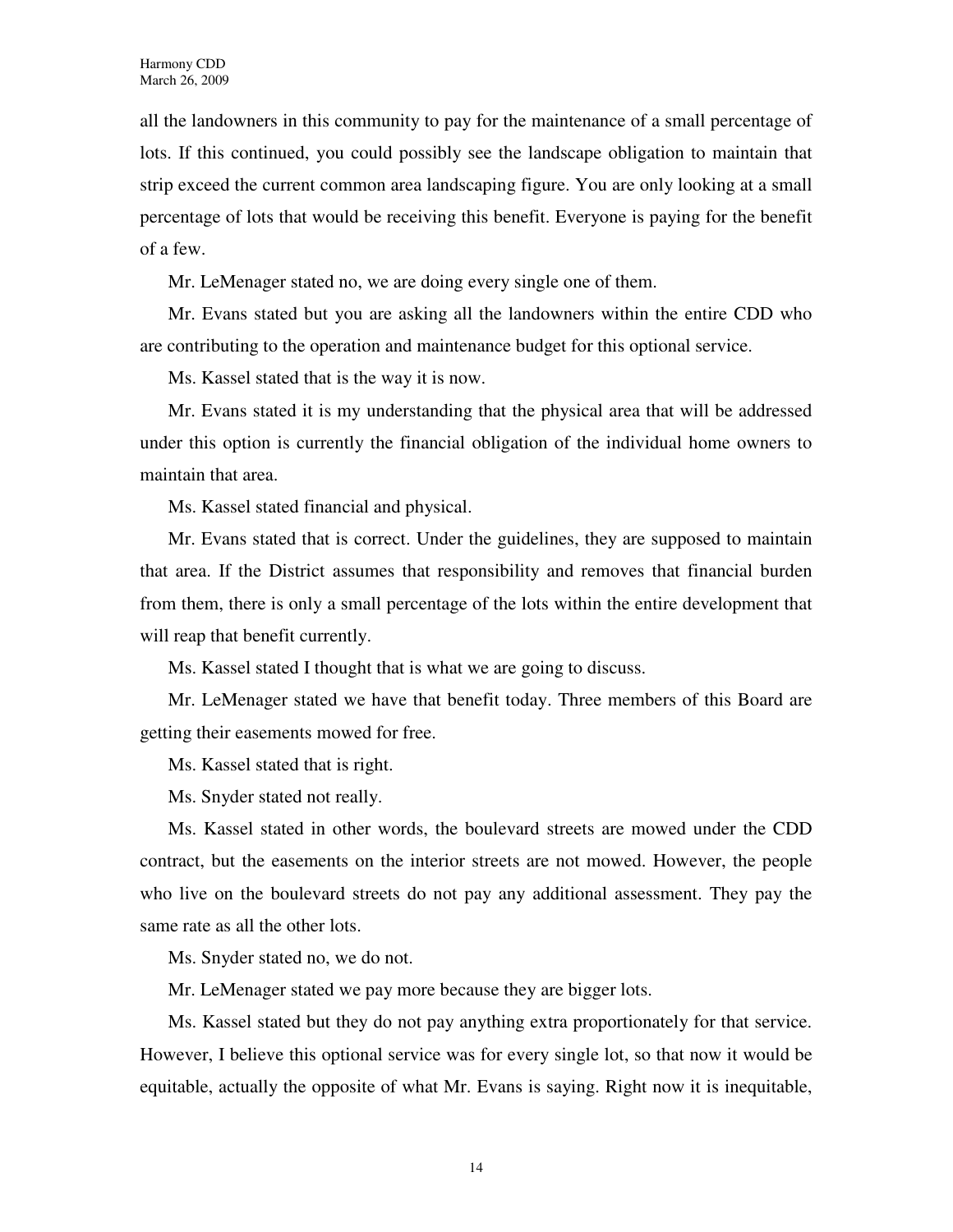all the landowners in this community to pay for the maintenance of a small percentage of lots. If this continued, you could possibly see the landscape obligation to maintain that strip exceed the current common area landscaping figure. You are only looking at a small percentage of lots that would be receiving this benefit. Everyone is paying for the benefit of a few.

Mr. LeMenager stated no, we are doing every single one of them.

Mr. Evans stated but you are asking all the landowners within the entire CDD who are contributing to the operation and maintenance budget for this optional service.

Ms. Kassel stated that is the way it is now.

Mr. Evans stated it is my understanding that the physical area that will be addressed under this option is currently the financial obligation of the individual home owners to maintain that area.

Ms. Kassel stated financial and physical.

Mr. Evans stated that is correct. Under the guidelines, they are supposed to maintain that area. If the District assumes that responsibility and removes that financial burden from them, there is only a small percentage of the lots within the entire development that will reap that benefit currently.

Ms. Kassel stated I thought that is what we are going to discuss.

Mr. LeMenager stated we have that benefit today. Three members of this Board are getting their easements mowed for free.

Ms. Kassel stated that is right.

Ms. Snyder stated not really.

Ms. Kassel stated in other words, the boulevard streets are mowed under the CDD contract, but the easements on the interior streets are not mowed. However, the people who live on the boulevard streets do not pay any additional assessment. They pay the same rate as all the other lots.

Ms. Snyder stated no, we do not.

Mr. LeMenager stated we pay more because they are bigger lots.

Ms. Kassel stated but they do not pay anything extra proportionately for that service. However, I believe this optional service was for every single lot, so that now it would be equitable, actually the opposite of what Mr. Evans is saying. Right now it is inequitable,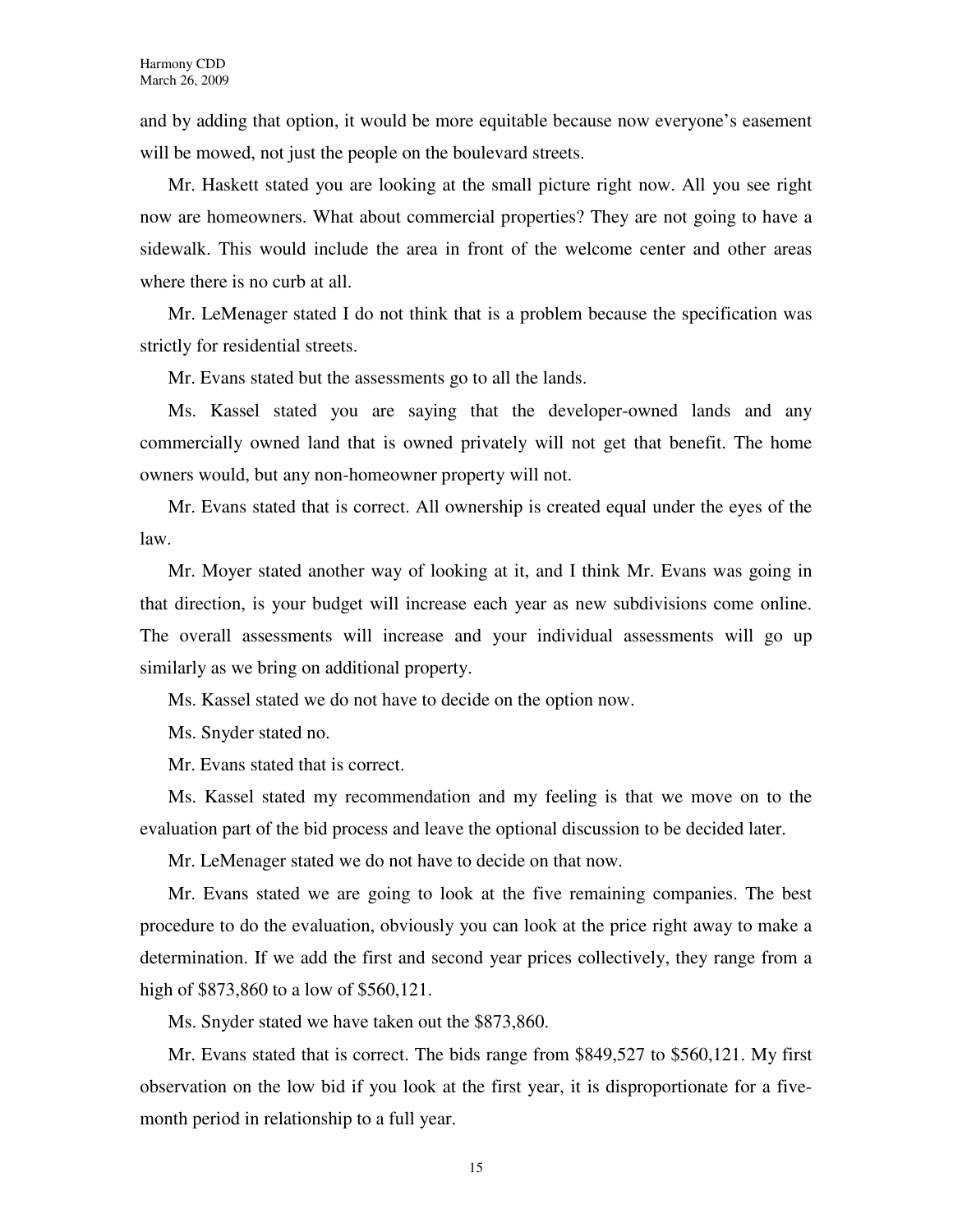and by adding that option, it would be more equitable because now everyone's easement will be mowed, not just the people on the boulevard streets.

Mr. Haskett stated you are looking at the small picture right now. All you see right now are homeowners. What about commercial properties? They are not going to have a sidewalk. This would include the area in front of the welcome center and other areas where there is no curb at all.

Mr. LeMenager stated I do not think that is a problem because the specification was strictly for residential streets.

Mr. Evans stated but the assessments go to all the lands.

Ms. Kassel stated you are saying that the developer-owned lands and any commercially owned land that is owned privately will not get that benefit. The home owners would, but any non-homeowner property will not.

Mr. Evans stated that is correct. All ownership is created equal under the eyes of the law.

Mr. Moyer stated another way of looking at it, and I think Mr. Evans was going in that direction, is your budget will increase each year as new subdivisions come online. The overall assessments will increase and your individual assessments will go up similarly as we bring on additional property.

Ms. Kassel stated we do not have to decide on the option now.

Ms. Snyder stated no.

Mr. Evans stated that is correct.

Ms. Kassel stated my recommendation and my feeling is that we move on to the evaluation part of the bid process and leave the optional discussion to be decided later.

Mr. LeMenager stated we do not have to decide on that now.

Mr. Evans stated we are going to look at the five remaining companies. The best procedure to do the evaluation, obviously you can look at the price right away to make a determination. If we add the first and second year prices collectively, they range from a high of \$873,860 to a low of \$560,121.

Ms. Snyder stated we have taken out the \$873,860.

Mr. Evans stated that is correct. The bids range from \$849,527 to \$560,121. My first observation on the low bid if you look at the first year, it is disproportionate for a fivemonth period in relationship to a full year.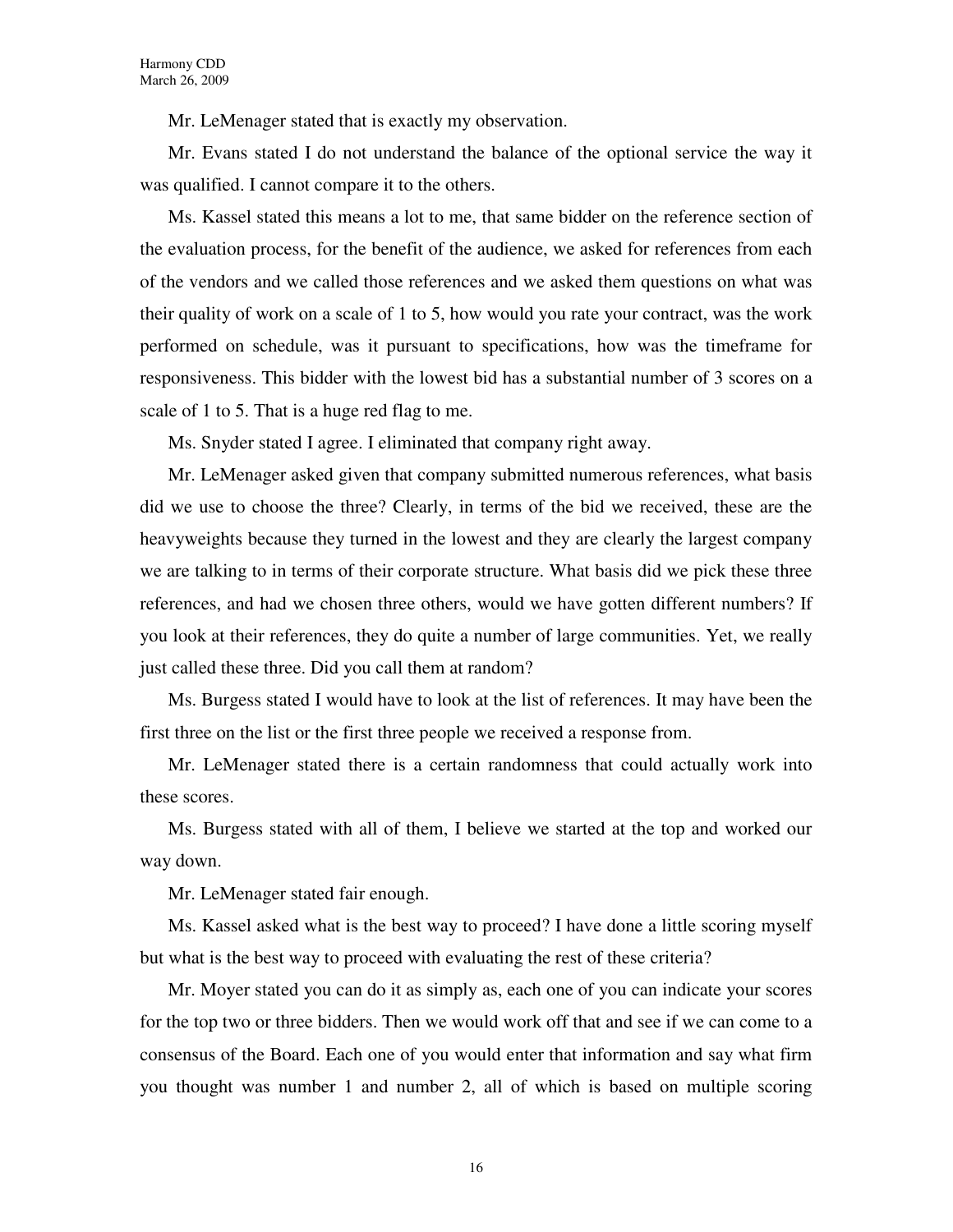Mr. LeMenager stated that is exactly my observation.

Mr. Evans stated I do not understand the balance of the optional service the way it was qualified. I cannot compare it to the others.

Ms. Kassel stated this means a lot to me, that same bidder on the reference section of the evaluation process, for the benefit of the audience, we asked for references from each of the vendors and we called those references and we asked them questions on what was their quality of work on a scale of 1 to 5, how would you rate your contract, was the work performed on schedule, was it pursuant to specifications, how was the timeframe for responsiveness. This bidder with the lowest bid has a substantial number of 3 scores on a scale of 1 to 5. That is a huge red flag to me.

Ms. Snyder stated I agree. I eliminated that company right away.

Mr. LeMenager asked given that company submitted numerous references, what basis did we use to choose the three? Clearly, in terms of the bid we received, these are the heavyweights because they turned in the lowest and they are clearly the largest company we are talking to in terms of their corporate structure. What basis did we pick these three references, and had we chosen three others, would we have gotten different numbers? If you look at their references, they do quite a number of large communities. Yet, we really just called these three. Did you call them at random?

Ms. Burgess stated I would have to look at the list of references. It may have been the first three on the list or the first three people we received a response from.

Mr. LeMenager stated there is a certain randomness that could actually work into these scores.

Ms. Burgess stated with all of them, I believe we started at the top and worked our way down.

Mr. LeMenager stated fair enough.

Ms. Kassel asked what is the best way to proceed? I have done a little scoring myself but what is the best way to proceed with evaluating the rest of these criteria?

Mr. Moyer stated you can do it as simply as, each one of you can indicate your scores for the top two or three bidders. Then we would work off that and see if we can come to a consensus of the Board. Each one of you would enter that information and say what firm you thought was number 1 and number 2, all of which is based on multiple scoring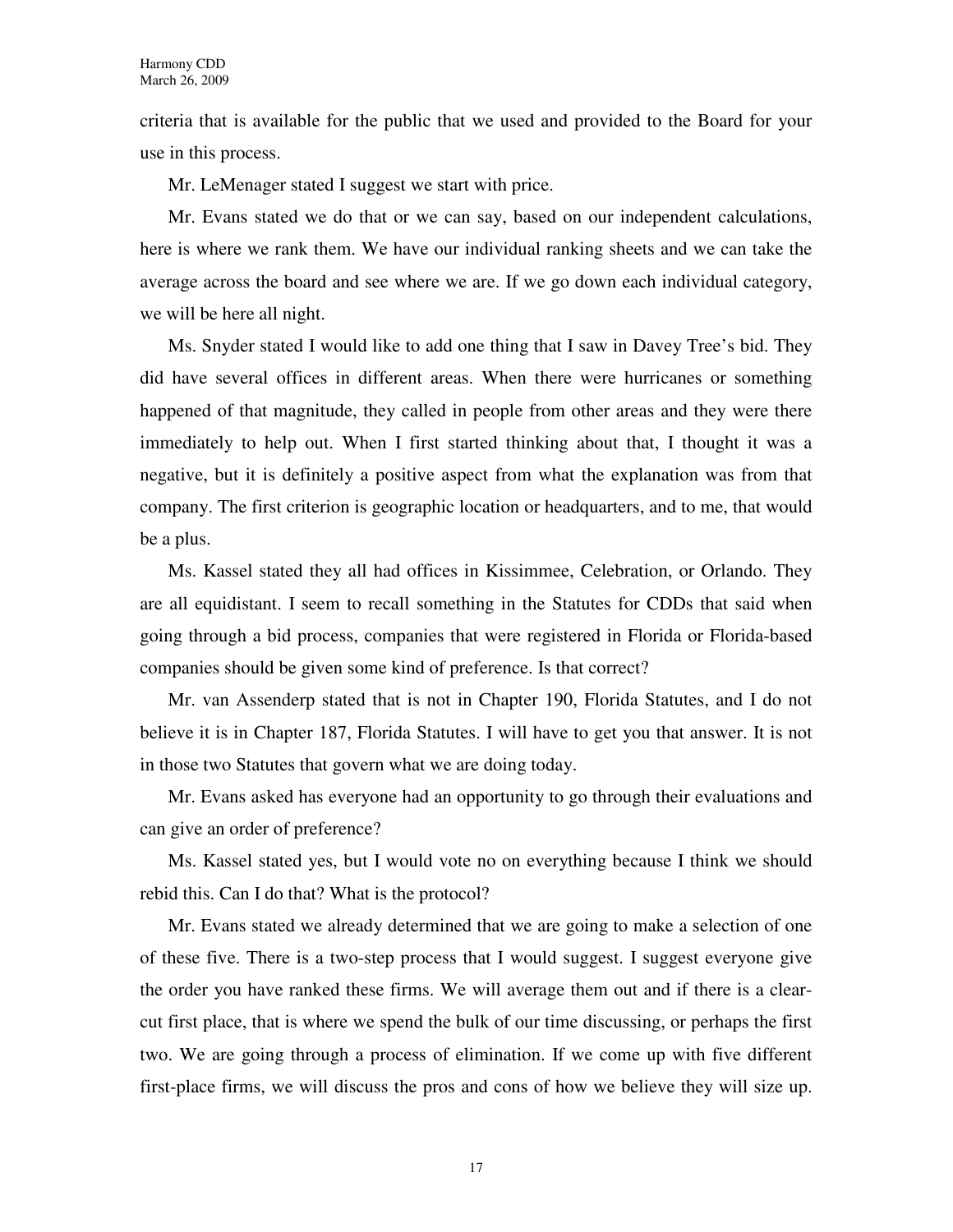criteria that is available for the public that we used and provided to the Board for your use in this process.

Mr. LeMenager stated I suggest we start with price.

Mr. Evans stated we do that or we can say, based on our independent calculations, here is where we rank them. We have our individual ranking sheets and we can take the average across the board and see where we are. If we go down each individual category, we will be here all night.

Ms. Snyder stated I would like to add one thing that I saw in Davey Tree's bid. They did have several offices in different areas. When there were hurricanes or something happened of that magnitude, they called in people from other areas and they were there immediately to help out. When I first started thinking about that, I thought it was a negative, but it is definitely a positive aspect from what the explanation was from that company. The first criterion is geographic location or headquarters, and to me, that would be a plus.

Ms. Kassel stated they all had offices in Kissimmee, Celebration, or Orlando. They are all equidistant. I seem to recall something in the Statutes for CDDs that said when going through a bid process, companies that were registered in Florida or Florida-based companies should be given some kind of preference. Is that correct?

Mr. van Assenderp stated that is not in Chapter 190, Florida Statutes, and I do not believe it is in Chapter 187, Florida Statutes. I will have to get you that answer. It is not in those two Statutes that govern what we are doing today.

Mr. Evans asked has everyone had an opportunity to go through their evaluations and can give an order of preference?

Ms. Kassel stated yes, but I would vote no on everything because I think we should rebid this. Can I do that? What is the protocol?

Mr. Evans stated we already determined that we are going to make a selection of one of these five. There is a two-step process that I would suggest. I suggest everyone give the order you have ranked these firms. We will average them out and if there is a clearcut first place, that is where we spend the bulk of our time discussing, or perhaps the first two. We are going through a process of elimination. If we come up with five different first-place firms, we will discuss the pros and cons of how we believe they will size up.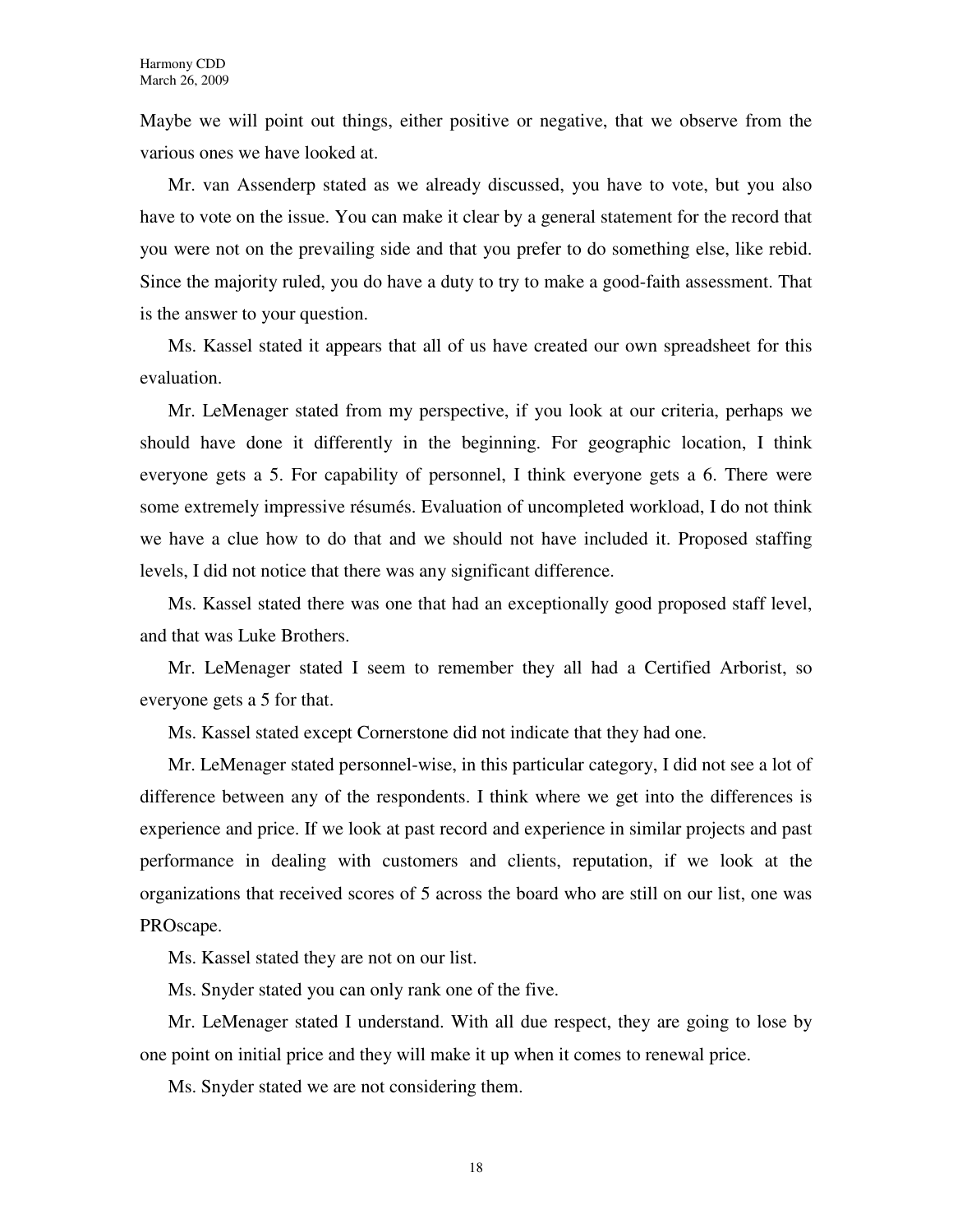Maybe we will point out things, either positive or negative, that we observe from the various ones we have looked at.

Mr. van Assenderp stated as we already discussed, you have to vote, but you also have to vote on the issue. You can make it clear by a general statement for the record that you were not on the prevailing side and that you prefer to do something else, like rebid. Since the majority ruled, you do have a duty to try to make a good-faith assessment. That is the answer to your question.

Ms. Kassel stated it appears that all of us have created our own spreadsheet for this evaluation.

Mr. LeMenager stated from my perspective, if you look at our criteria, perhaps we should have done it differently in the beginning. For geographic location, I think everyone gets a 5. For capability of personnel, I think everyone gets a 6. There were some extremely impressive résumés. Evaluation of uncompleted workload, I do not think we have a clue how to do that and we should not have included it. Proposed staffing levels, I did not notice that there was any significant difference.

Ms. Kassel stated there was one that had an exceptionally good proposed staff level, and that was Luke Brothers.

Mr. LeMenager stated I seem to remember they all had a Certified Arborist, so everyone gets a 5 for that.

Ms. Kassel stated except Cornerstone did not indicate that they had one.

Mr. LeMenager stated personnel-wise, in this particular category, I did not see a lot of difference between any of the respondents. I think where we get into the differences is experience and price. If we look at past record and experience in similar projects and past performance in dealing with customers and clients, reputation, if we look at the organizations that received scores of 5 across the board who are still on our list, one was PROscape.

Ms. Kassel stated they are not on our list.

Ms. Snyder stated you can only rank one of the five.

Mr. LeMenager stated I understand. With all due respect, they are going to lose by one point on initial price and they will make it up when it comes to renewal price.

Ms. Snyder stated we are not considering them.

18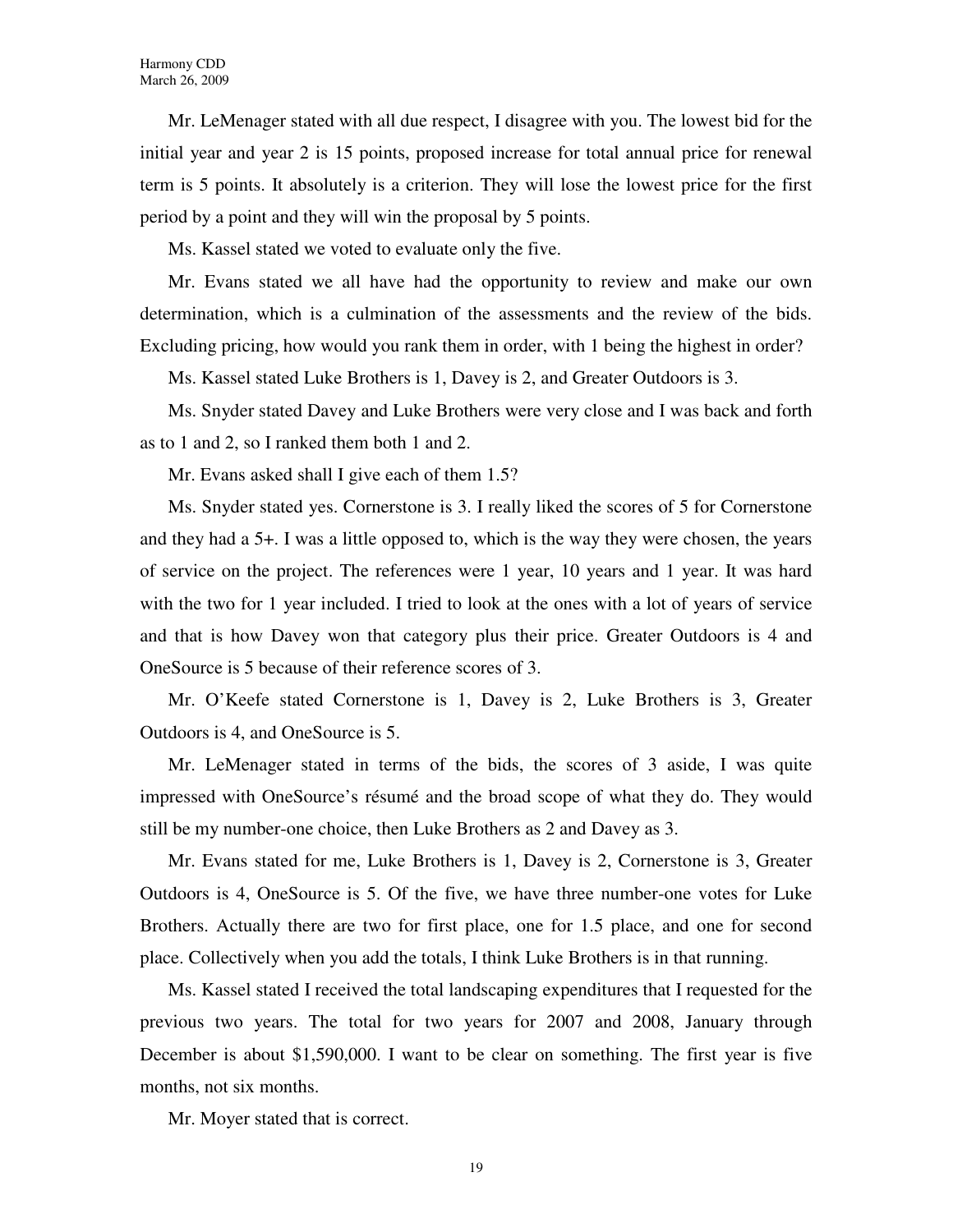Mr. LeMenager stated with all due respect, I disagree with you. The lowest bid for the initial year and year 2 is 15 points, proposed increase for total annual price for renewal term is 5 points. It absolutely is a criterion. They will lose the lowest price for the first period by a point and they will win the proposal by 5 points.

Ms. Kassel stated we voted to evaluate only the five.

Mr. Evans stated we all have had the opportunity to review and make our own determination, which is a culmination of the assessments and the review of the bids. Excluding pricing, how would you rank them in order, with 1 being the highest in order?

Ms. Kassel stated Luke Brothers is 1, Davey is 2, and Greater Outdoors is 3.

Ms. Snyder stated Davey and Luke Brothers were very close and I was back and forth as to 1 and 2, so I ranked them both 1 and 2.

Mr. Evans asked shall I give each of them 1.5?

Ms. Snyder stated yes. Cornerstone is 3. I really liked the scores of 5 for Cornerstone and they had a 5+. I was a little opposed to, which is the way they were chosen, the years of service on the project. The references were 1 year, 10 years and 1 year. It was hard with the two for 1 year included. I tried to look at the ones with a lot of years of service and that is how Davey won that category plus their price. Greater Outdoors is 4 and OneSource is 5 because of their reference scores of 3.

Mr. O'Keefe stated Cornerstone is 1, Davey is 2, Luke Brothers is 3, Greater Outdoors is 4, and OneSource is 5.

Mr. LeMenager stated in terms of the bids, the scores of 3 aside, I was quite impressed with OneSource's résumé and the broad scope of what they do. They would still be my number-one choice, then Luke Brothers as 2 and Davey as 3.

Mr. Evans stated for me, Luke Brothers is 1, Davey is 2, Cornerstone is 3, Greater Outdoors is 4, OneSource is 5. Of the five, we have three number-one votes for Luke Brothers. Actually there are two for first place, one for 1.5 place, and one for second place. Collectively when you add the totals, I think Luke Brothers is in that running.

Ms. Kassel stated I received the total landscaping expenditures that I requested for the previous two years. The total for two years for 2007 and 2008, January through December is about \$1,590,000. I want to be clear on something. The first year is five months, not six months.

Mr. Moyer stated that is correct.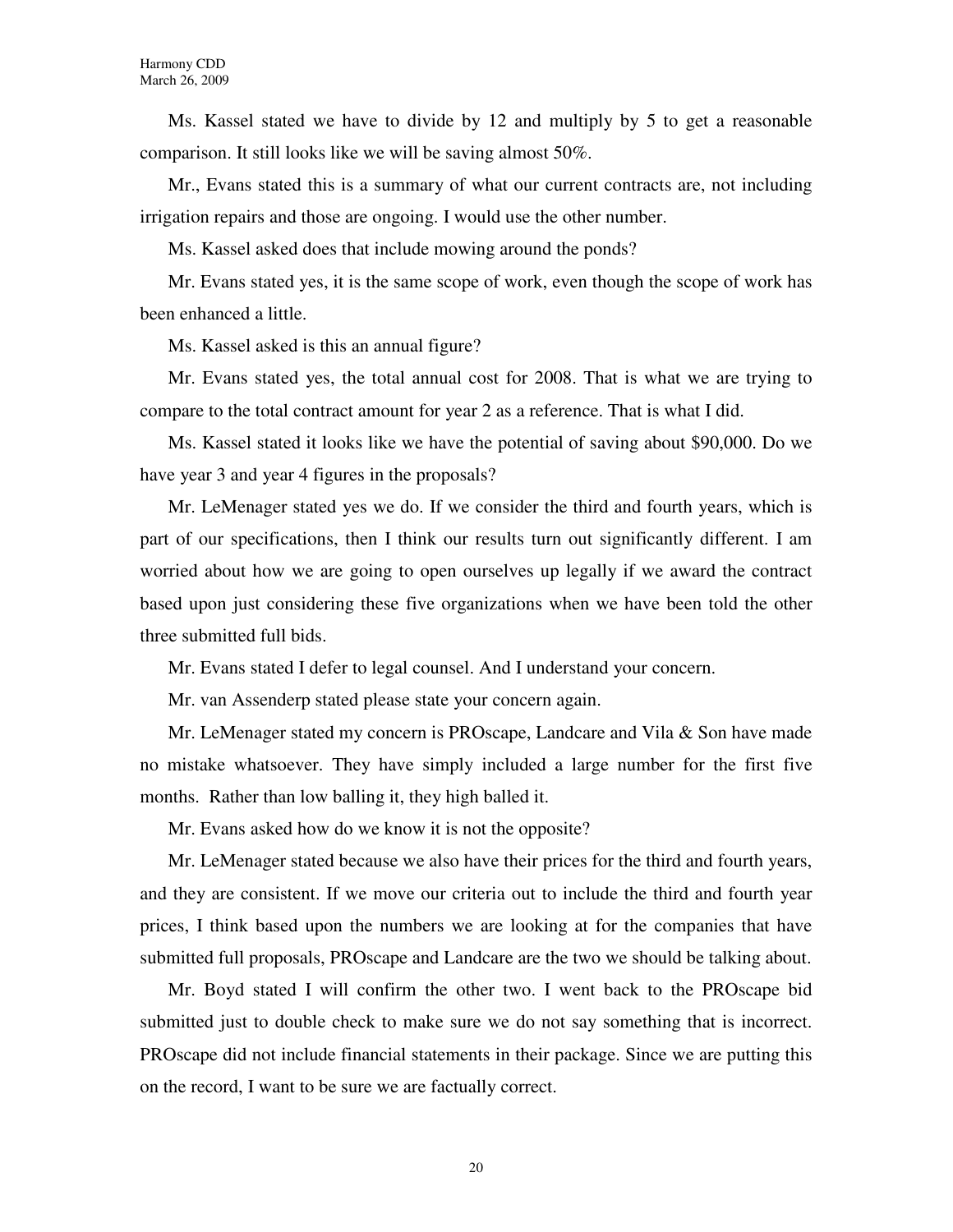Ms. Kassel stated we have to divide by 12 and multiply by 5 to get a reasonable comparison. It still looks like we will be saving almost 50%.

Mr., Evans stated this is a summary of what our current contracts are, not including irrigation repairs and those are ongoing. I would use the other number.

Ms. Kassel asked does that include mowing around the ponds?

Mr. Evans stated yes, it is the same scope of work, even though the scope of work has been enhanced a little.

Ms. Kassel asked is this an annual figure?

Mr. Evans stated yes, the total annual cost for 2008. That is what we are trying to compare to the total contract amount for year 2 as a reference. That is what I did.

Ms. Kassel stated it looks like we have the potential of saving about \$90,000. Do we have year 3 and year 4 figures in the proposals?

Mr. LeMenager stated yes we do. If we consider the third and fourth years, which is part of our specifications, then I think our results turn out significantly different. I am worried about how we are going to open ourselves up legally if we award the contract based upon just considering these five organizations when we have been told the other three submitted full bids.

Mr. Evans stated I defer to legal counsel. And I understand your concern.

Mr. van Assenderp stated please state your concern again.

Mr. LeMenager stated my concern is PROscape, Landcare and Vila & Son have made no mistake whatsoever. They have simply included a large number for the first five months. Rather than low balling it, they high balled it.

Mr. Evans asked how do we know it is not the opposite?

Mr. LeMenager stated because we also have their prices for the third and fourth years, and they are consistent. If we move our criteria out to include the third and fourth year prices, I think based upon the numbers we are looking at for the companies that have submitted full proposals, PROscape and Landcare are the two we should be talking about.

Mr. Boyd stated I will confirm the other two. I went back to the PROscape bid submitted just to double check to make sure we do not say something that is incorrect. PROscape did not include financial statements in their package. Since we are putting this on the record, I want to be sure we are factually correct.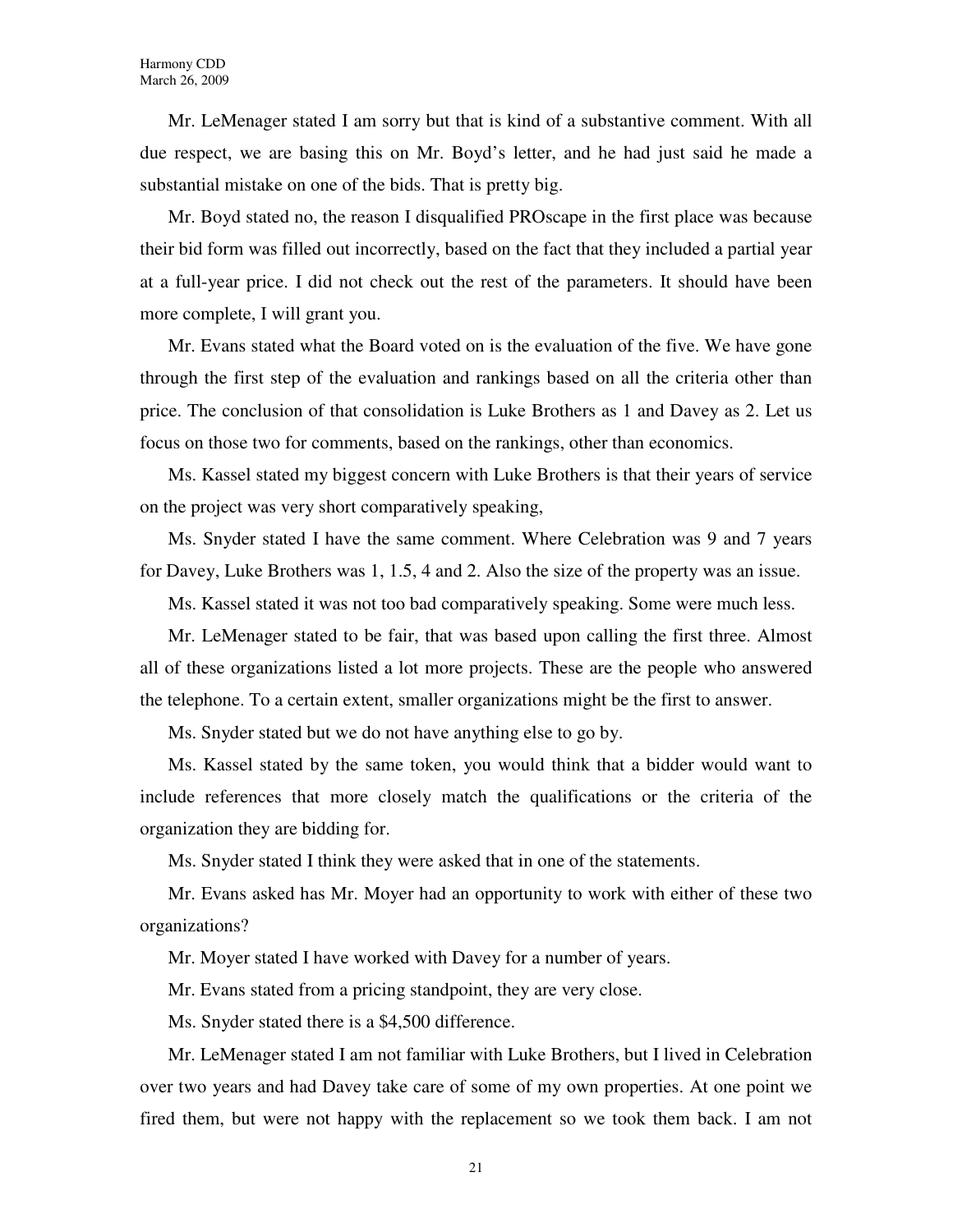Mr. LeMenager stated I am sorry but that is kind of a substantive comment. With all due respect, we are basing this on Mr. Boyd's letter, and he had just said he made a substantial mistake on one of the bids. That is pretty big.

Mr. Boyd stated no, the reason I disqualified PROscape in the first place was because their bid form was filled out incorrectly, based on the fact that they included a partial year at a full-year price. I did not check out the rest of the parameters. It should have been more complete, I will grant you.

Mr. Evans stated what the Board voted on is the evaluation of the five. We have gone through the first step of the evaluation and rankings based on all the criteria other than price. The conclusion of that consolidation is Luke Brothers as 1 and Davey as 2. Let us focus on those two for comments, based on the rankings, other than economics.

Ms. Kassel stated my biggest concern with Luke Brothers is that their years of service on the project was very short comparatively speaking,

Ms. Snyder stated I have the same comment. Where Celebration was 9 and 7 years for Davey, Luke Brothers was 1, 1.5, 4 and 2. Also the size of the property was an issue.

Ms. Kassel stated it was not too bad comparatively speaking. Some were much less.

Mr. LeMenager stated to be fair, that was based upon calling the first three. Almost all of these organizations listed a lot more projects. These are the people who answered the telephone. To a certain extent, smaller organizations might be the first to answer.

Ms. Snyder stated but we do not have anything else to go by.

Ms. Kassel stated by the same token, you would think that a bidder would want to include references that more closely match the qualifications or the criteria of the organization they are bidding for.

Ms. Snyder stated I think they were asked that in one of the statements.

Mr. Evans asked has Mr. Moyer had an opportunity to work with either of these two organizations?

Mr. Moyer stated I have worked with Davey for a number of years.

Mr. Evans stated from a pricing standpoint, they are very close.

Ms. Snyder stated there is a \$4,500 difference.

Mr. LeMenager stated I am not familiar with Luke Brothers, but I lived in Celebration over two years and had Davey take care of some of my own properties. At one point we fired them, but were not happy with the replacement so we took them back. I am not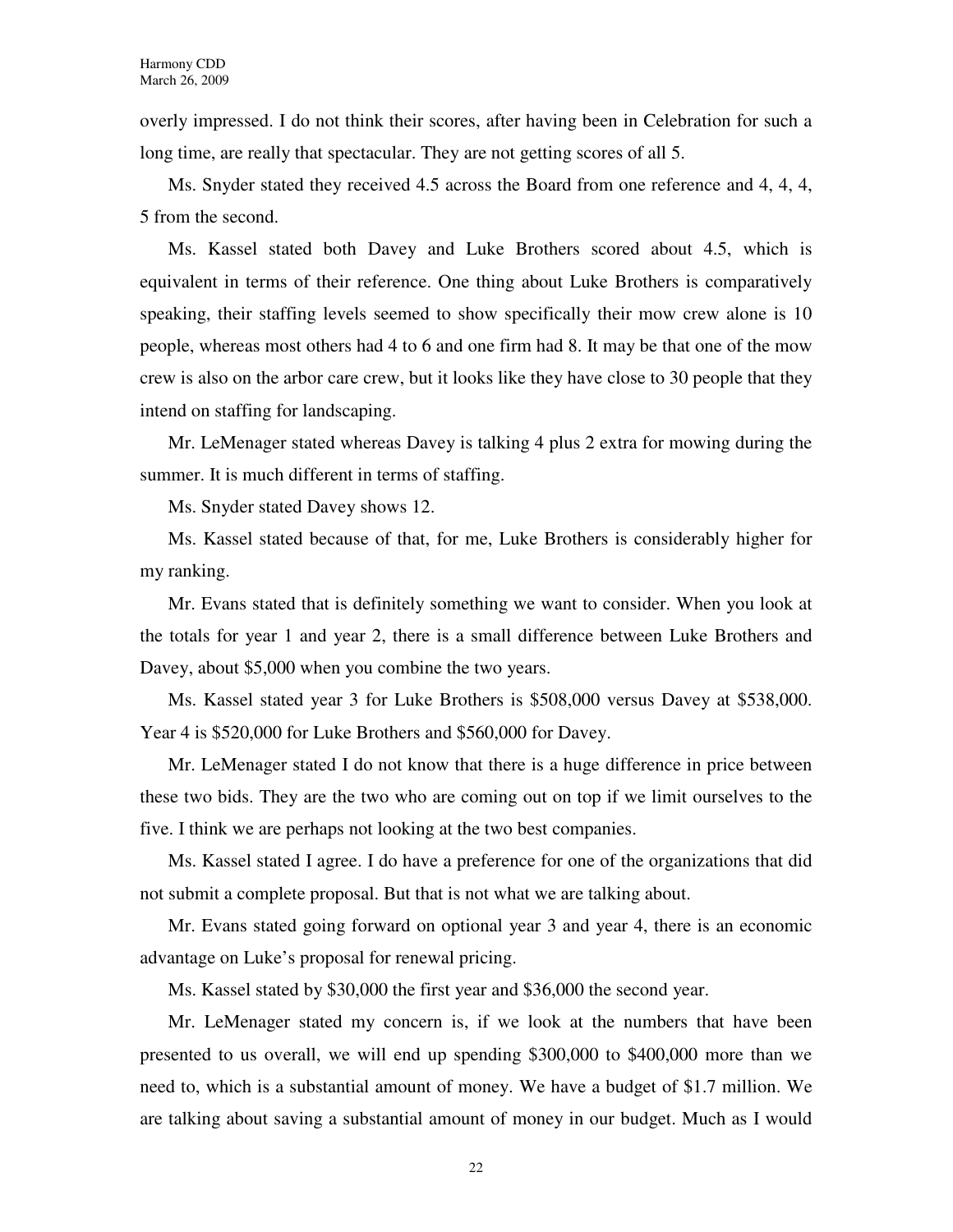overly impressed. I do not think their scores, after having been in Celebration for such a long time, are really that spectacular. They are not getting scores of all 5.

Ms. Snyder stated they received 4.5 across the Board from one reference and 4, 4, 4, 5 from the second.

Ms. Kassel stated both Davey and Luke Brothers scored about 4.5, which is equivalent in terms of their reference. One thing about Luke Brothers is comparatively speaking, their staffing levels seemed to show specifically their mow crew alone is 10 people, whereas most others had 4 to 6 and one firm had 8. It may be that one of the mow crew is also on the arbor care crew, but it looks like they have close to 30 people that they intend on staffing for landscaping.

Mr. LeMenager stated whereas Davey is talking 4 plus 2 extra for mowing during the summer. It is much different in terms of staffing.

Ms. Snyder stated Davey shows 12.

Ms. Kassel stated because of that, for me, Luke Brothers is considerably higher for my ranking.

Mr. Evans stated that is definitely something we want to consider. When you look at the totals for year 1 and year 2, there is a small difference between Luke Brothers and Davey, about \$5,000 when you combine the two years.

Ms. Kassel stated year 3 for Luke Brothers is \$508,000 versus Davey at \$538,000. Year 4 is \$520,000 for Luke Brothers and \$560,000 for Davey.

Mr. LeMenager stated I do not know that there is a huge difference in price between these two bids. They are the two who are coming out on top if we limit ourselves to the five. I think we are perhaps not looking at the two best companies.

Ms. Kassel stated I agree. I do have a preference for one of the organizations that did not submit a complete proposal. But that is not what we are talking about.

Mr. Evans stated going forward on optional year 3 and year 4, there is an economic advantage on Luke's proposal for renewal pricing.

Ms. Kassel stated by \$30,000 the first year and \$36,000 the second year.

Mr. LeMenager stated my concern is, if we look at the numbers that have been presented to us overall, we will end up spending \$300,000 to \$400,000 more than we need to, which is a substantial amount of money. We have a budget of \$1.7 million. We are talking about saving a substantial amount of money in our budget. Much as I would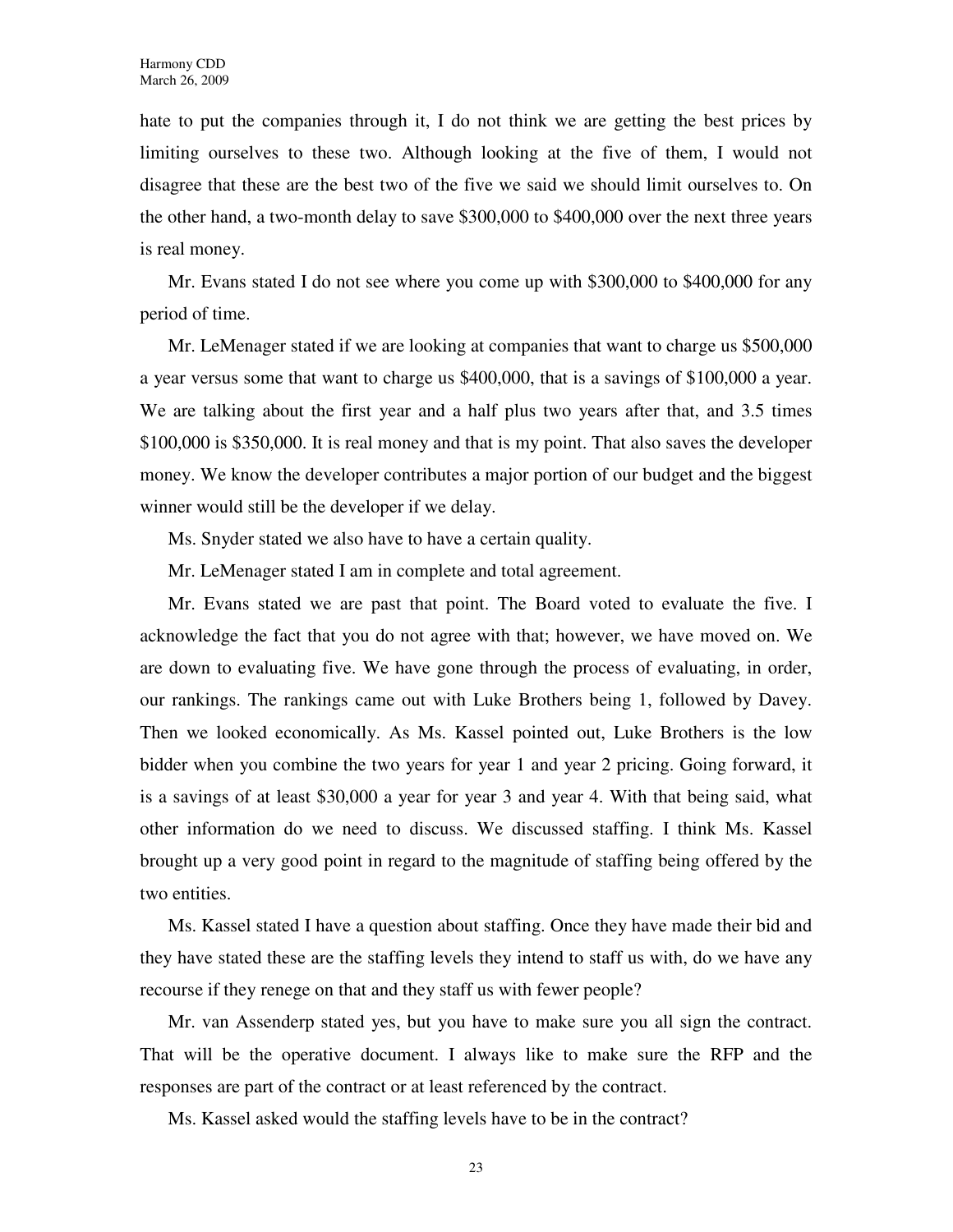hate to put the companies through it, I do not think we are getting the best prices by limiting ourselves to these two. Although looking at the five of them, I would not disagree that these are the best two of the five we said we should limit ourselves to. On the other hand, a two-month delay to save \$300,000 to \$400,000 over the next three years is real money.

Mr. Evans stated I do not see where you come up with \$300,000 to \$400,000 for any period of time.

Mr. LeMenager stated if we are looking at companies that want to charge us \$500,000 a year versus some that want to charge us \$400,000, that is a savings of \$100,000 a year. We are talking about the first year and a half plus two years after that, and 3.5 times \$100,000 is \$350,000. It is real money and that is my point. That also saves the developer money. We know the developer contributes a major portion of our budget and the biggest winner would still be the developer if we delay.

Ms. Snyder stated we also have to have a certain quality.

Mr. LeMenager stated I am in complete and total agreement.

Mr. Evans stated we are past that point. The Board voted to evaluate the five. I acknowledge the fact that you do not agree with that; however, we have moved on. We are down to evaluating five. We have gone through the process of evaluating, in order, our rankings. The rankings came out with Luke Brothers being 1, followed by Davey. Then we looked economically. As Ms. Kassel pointed out, Luke Brothers is the low bidder when you combine the two years for year 1 and year 2 pricing. Going forward, it is a savings of at least \$30,000 a year for year 3 and year 4. With that being said, what other information do we need to discuss. We discussed staffing. I think Ms. Kassel brought up a very good point in regard to the magnitude of staffing being offered by the two entities.

Ms. Kassel stated I have a question about staffing. Once they have made their bid and they have stated these are the staffing levels they intend to staff us with, do we have any recourse if they renege on that and they staff us with fewer people?

Mr. van Assenderp stated yes, but you have to make sure you all sign the contract. That will be the operative document. I always like to make sure the RFP and the responses are part of the contract or at least referenced by the contract.

Ms. Kassel asked would the staffing levels have to be in the contract?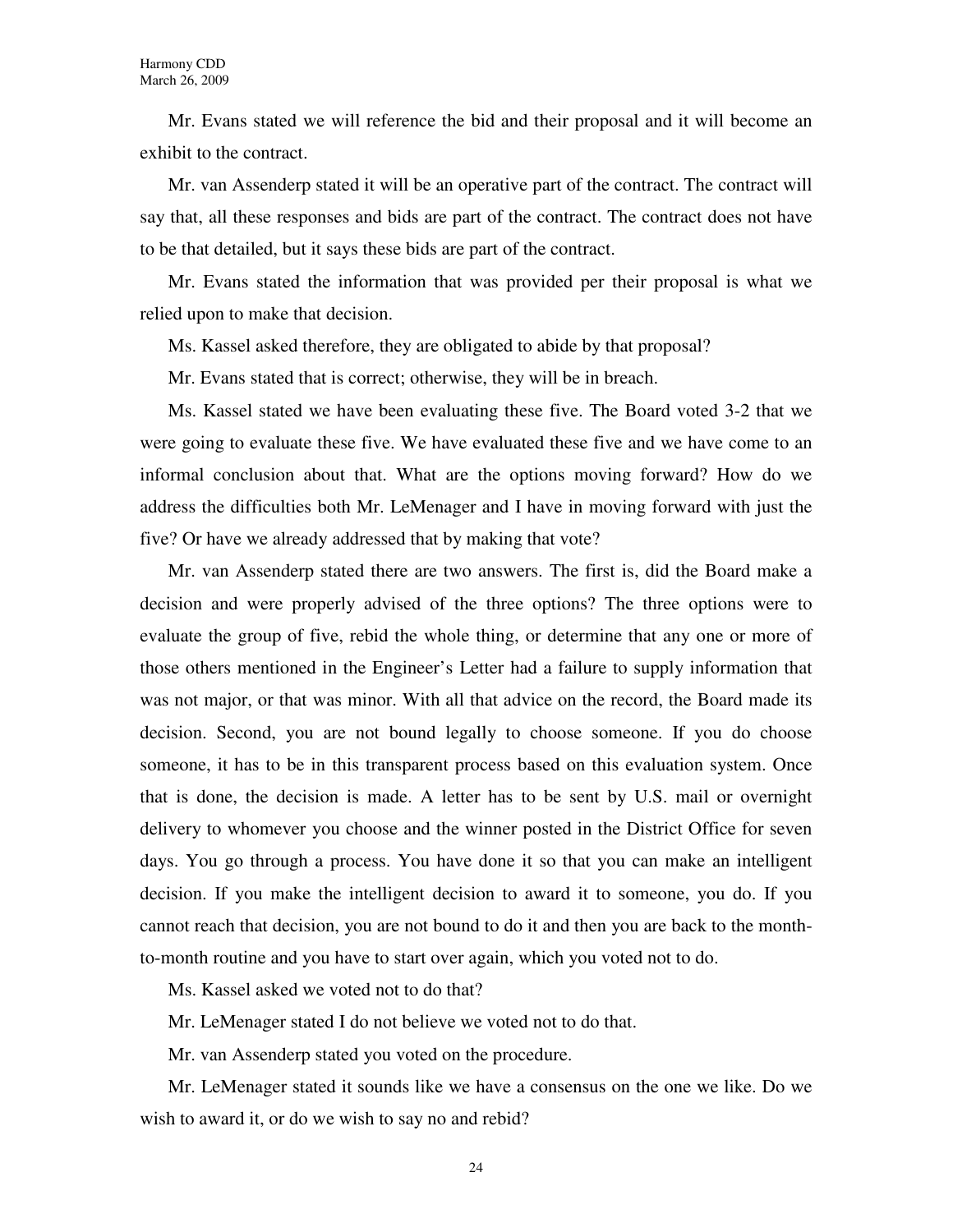Mr. Evans stated we will reference the bid and their proposal and it will become an exhibit to the contract.

Mr. van Assenderp stated it will be an operative part of the contract. The contract will say that, all these responses and bids are part of the contract. The contract does not have to be that detailed, but it says these bids are part of the contract.

Mr. Evans stated the information that was provided per their proposal is what we relied upon to make that decision.

Ms. Kassel asked therefore, they are obligated to abide by that proposal?

Mr. Evans stated that is correct; otherwise, they will be in breach.

Ms. Kassel stated we have been evaluating these five. The Board voted 3-2 that we were going to evaluate these five. We have evaluated these five and we have come to an informal conclusion about that. What are the options moving forward? How do we address the difficulties both Mr. LeMenager and I have in moving forward with just the five? Or have we already addressed that by making that vote?

Mr. van Assenderp stated there are two answers. The first is, did the Board make a decision and were properly advised of the three options? The three options were to evaluate the group of five, rebid the whole thing, or determine that any one or more of those others mentioned in the Engineer's Letter had a failure to supply information that was not major, or that was minor. With all that advice on the record, the Board made its decision. Second, you are not bound legally to choose someone. If you do choose someone, it has to be in this transparent process based on this evaluation system. Once that is done, the decision is made. A letter has to be sent by U.S. mail or overnight delivery to whomever you choose and the winner posted in the District Office for seven days. You go through a process. You have done it so that you can make an intelligent decision. If you make the intelligent decision to award it to someone, you do. If you cannot reach that decision, you are not bound to do it and then you are back to the monthto-month routine and you have to start over again, which you voted not to do.

Ms. Kassel asked we voted not to do that?

Mr. LeMenager stated I do not believe we voted not to do that.

Mr. van Assenderp stated you voted on the procedure.

Mr. LeMenager stated it sounds like we have a consensus on the one we like. Do we wish to award it, or do we wish to say no and rebid?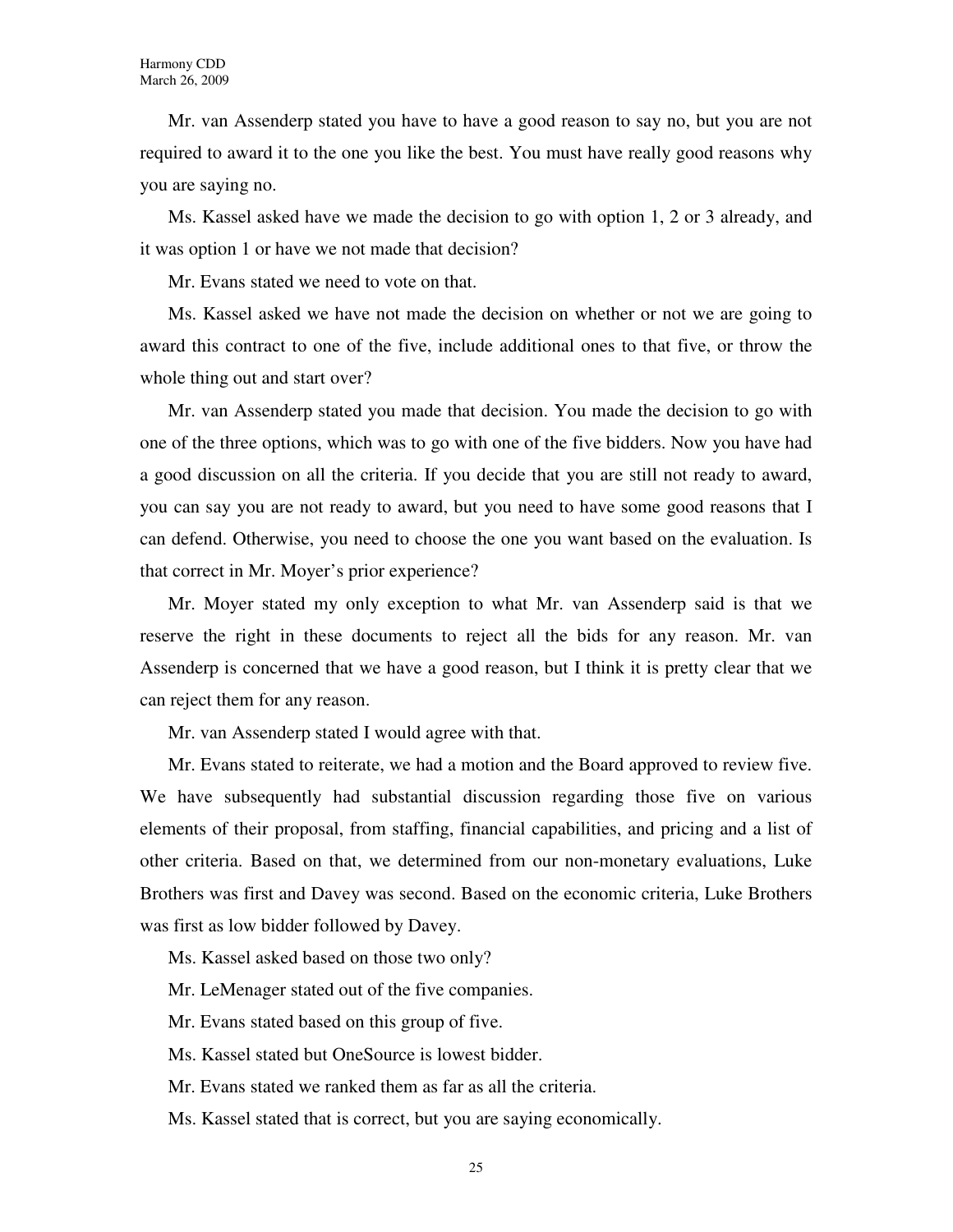Mr. van Assenderp stated you have to have a good reason to say no, but you are not required to award it to the one you like the best. You must have really good reasons why you are saying no.

Ms. Kassel asked have we made the decision to go with option 1, 2 or 3 already, and it was option 1 or have we not made that decision?

Mr. Evans stated we need to vote on that.

Ms. Kassel asked we have not made the decision on whether or not we are going to award this contract to one of the five, include additional ones to that five, or throw the whole thing out and start over?

Mr. van Assenderp stated you made that decision. You made the decision to go with one of the three options, which was to go with one of the five bidders. Now you have had a good discussion on all the criteria. If you decide that you are still not ready to award, you can say you are not ready to award, but you need to have some good reasons that I can defend. Otherwise, you need to choose the one you want based on the evaluation. Is that correct in Mr. Moyer's prior experience?

Mr. Moyer stated my only exception to what Mr. van Assenderp said is that we reserve the right in these documents to reject all the bids for any reason. Mr. van Assenderp is concerned that we have a good reason, but I think it is pretty clear that we can reject them for any reason.

Mr. van Assenderp stated I would agree with that.

Mr. Evans stated to reiterate, we had a motion and the Board approved to review five. We have subsequently had substantial discussion regarding those five on various elements of their proposal, from staffing, financial capabilities, and pricing and a list of other criteria. Based on that, we determined from our non-monetary evaluations, Luke Brothers was first and Davey was second. Based on the economic criteria, Luke Brothers was first as low bidder followed by Davey.

Ms. Kassel asked based on those two only?

Mr. LeMenager stated out of the five companies.

Mr. Evans stated based on this group of five.

Ms. Kassel stated but OneSource is lowest bidder.

Mr. Evans stated we ranked them as far as all the criteria.

Ms. Kassel stated that is correct, but you are saying economically.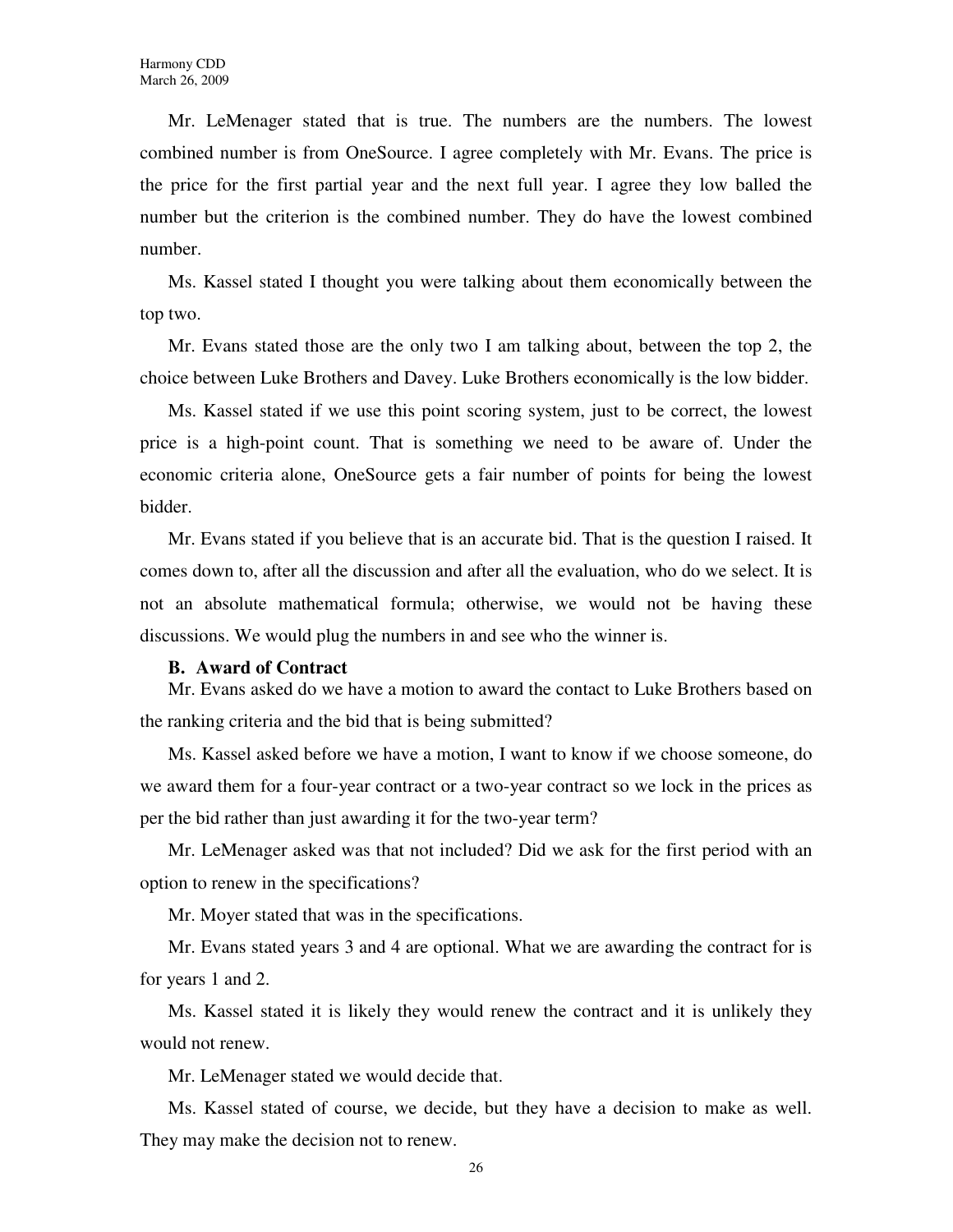Mr. LeMenager stated that is true. The numbers are the numbers. The lowest combined number is from OneSource. I agree completely with Mr. Evans. The price is the price for the first partial year and the next full year. I agree they low balled the number but the criterion is the combined number. They do have the lowest combined number.

Ms. Kassel stated I thought you were talking about them economically between the top two.

Mr. Evans stated those are the only two I am talking about, between the top 2, the choice between Luke Brothers and Davey. Luke Brothers economically is the low bidder.

Ms. Kassel stated if we use this point scoring system, just to be correct, the lowest price is a high-point count. That is something we need to be aware of. Under the economic criteria alone, OneSource gets a fair number of points for being the lowest bidder.

Mr. Evans stated if you believe that is an accurate bid. That is the question I raised. It comes down to, after all the discussion and after all the evaluation, who do we select. It is not an absolute mathematical formula; otherwise, we would not be having these discussions. We would plug the numbers in and see who the winner is.

### **B. Award of Contract**

Mr. Evans asked do we have a motion to award the contact to Luke Brothers based on the ranking criteria and the bid that is being submitted?

Ms. Kassel asked before we have a motion, I want to know if we choose someone, do we award them for a four-year contract or a two-year contract so we lock in the prices as per the bid rather than just awarding it for the two-year term?

Mr. LeMenager asked was that not included? Did we ask for the first period with an option to renew in the specifications?

Mr. Moyer stated that was in the specifications.

Mr. Evans stated years 3 and 4 are optional. What we are awarding the contract for is for years 1 and 2.

Ms. Kassel stated it is likely they would renew the contract and it is unlikely they would not renew.

Mr. LeMenager stated we would decide that.

Ms. Kassel stated of course, we decide, but they have a decision to make as well. They may make the decision not to renew.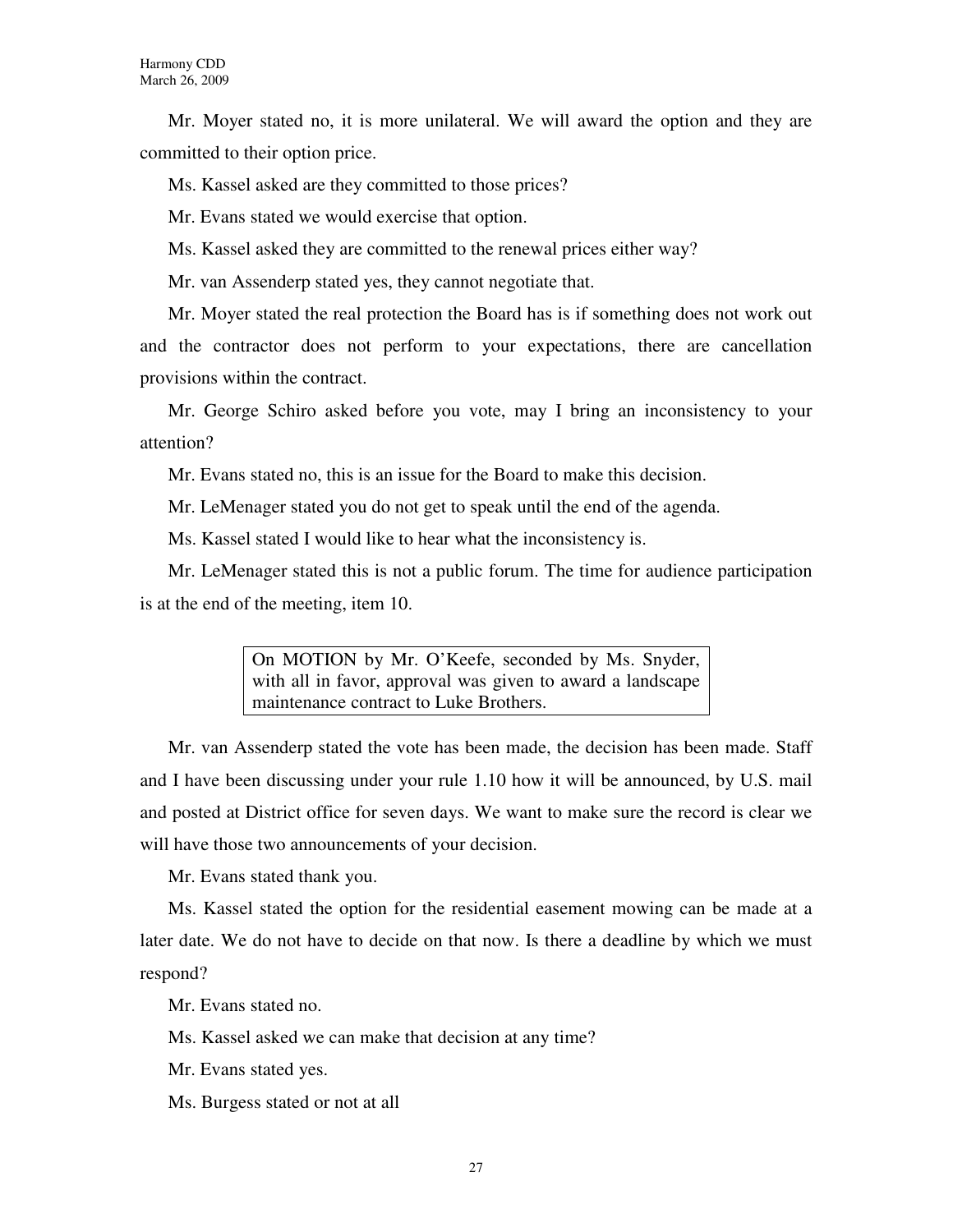Mr. Moyer stated no, it is more unilateral. We will award the option and they are committed to their option price.

Ms. Kassel asked are they committed to those prices?

Mr. Evans stated we would exercise that option.

Ms. Kassel asked they are committed to the renewal prices either way?

Mr. van Assenderp stated yes, they cannot negotiate that.

Mr. Moyer stated the real protection the Board has is if something does not work out and the contractor does not perform to your expectations, there are cancellation provisions within the contract.

Mr. George Schiro asked before you vote, may I bring an inconsistency to your attention?

Mr. Evans stated no, this is an issue for the Board to make this decision.

Mr. LeMenager stated you do not get to speak until the end of the agenda.

Ms. Kassel stated I would like to hear what the inconsistency is.

Mr. LeMenager stated this is not a public forum. The time for audience participation is at the end of the meeting, item 10.

> On MOTION by Mr. O'Keefe, seconded by Ms. Snyder, with all in favor, approval was given to award a landscape maintenance contract to Luke Brothers.

Mr. van Assenderp stated the vote has been made, the decision has been made. Staff and I have been discussing under your rule 1.10 how it will be announced, by U.S. mail and posted at District office for seven days. We want to make sure the record is clear we will have those two announcements of your decision.

Mr. Evans stated thank you.

Ms. Kassel stated the option for the residential easement mowing can be made at a later date. We do not have to decide on that now. Is there a deadline by which we must respond?

Mr. Evans stated no.

Ms. Kassel asked we can make that decision at any time?

Mr. Evans stated yes.

Ms. Burgess stated or not at all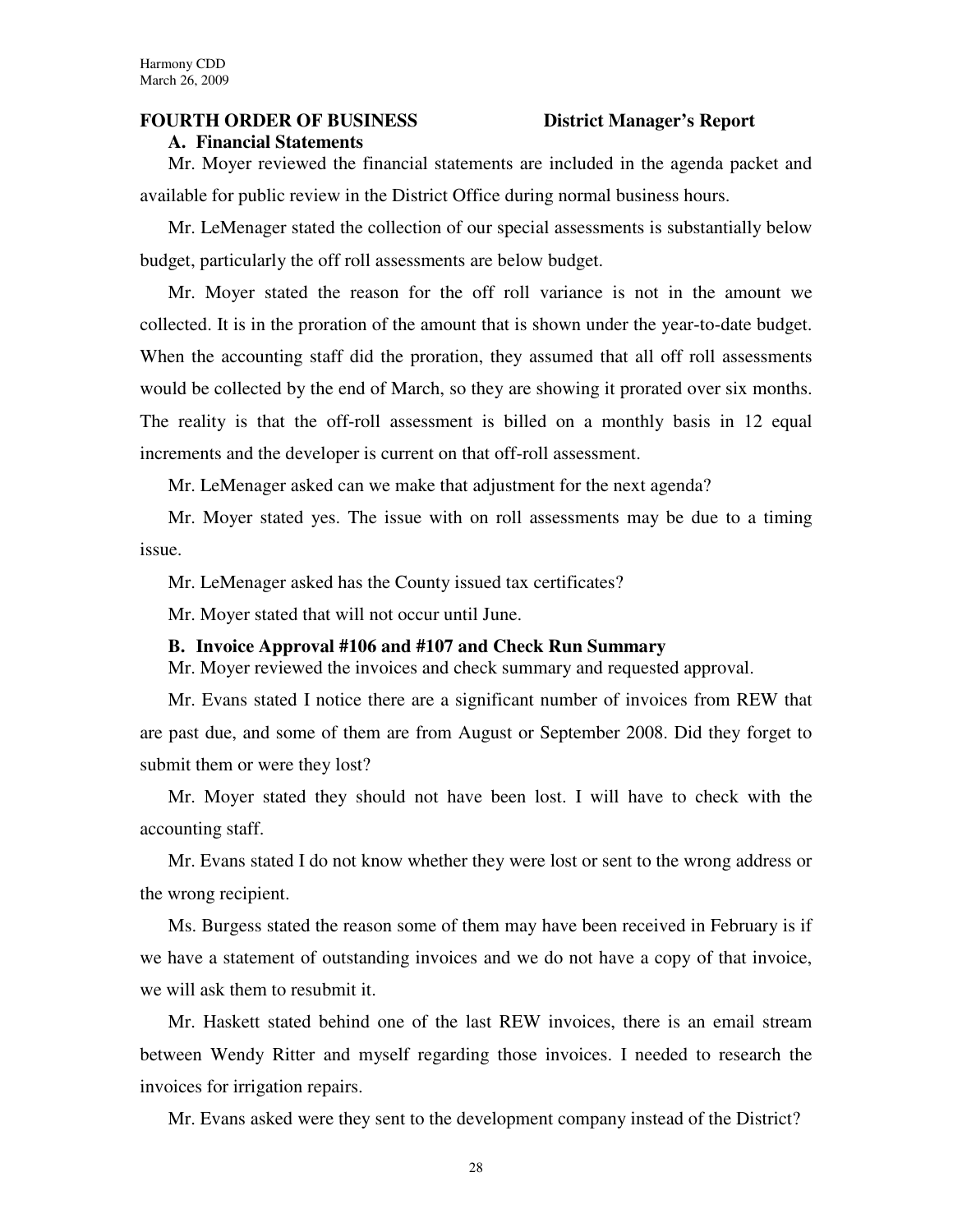# **FOURTH ORDER OF BUSINESS District Manager's Report**

**A. Financial Statements**

Mr. Moyer reviewed the financial statements are included in the agenda packet and available for public review in the District Office during normal business hours.

Mr. LeMenager stated the collection of our special assessments is substantially below budget, particularly the off roll assessments are below budget.

Mr. Moyer stated the reason for the off roll variance is not in the amount we collected. It is in the proration of the amount that is shown under the year-to-date budget. When the accounting staff did the proration, they assumed that all off roll assessments would be collected by the end of March, so they are showing it prorated over six months. The reality is that the off-roll assessment is billed on a monthly basis in 12 equal increments and the developer is current on that off-roll assessment.

Mr. LeMenager asked can we make that adjustment for the next agenda?

Mr. Moyer stated yes. The issue with on roll assessments may be due to a timing issue.

Mr. LeMenager asked has the County issued tax certificates?

Mr. Moyer stated that will not occur until June.

### **B. Invoice Approval #106 and #107 and Check Run Summary**

Mr. Moyer reviewed the invoices and check summary and requested approval.

Mr. Evans stated I notice there are a significant number of invoices from REW that are past due, and some of them are from August or September 2008. Did they forget to submit them or were they lost?

Mr. Moyer stated they should not have been lost. I will have to check with the accounting staff.

Mr. Evans stated I do not know whether they were lost or sent to the wrong address or the wrong recipient.

Ms. Burgess stated the reason some of them may have been received in February is if we have a statement of outstanding invoices and we do not have a copy of that invoice, we will ask them to resubmit it.

Mr. Haskett stated behind one of the last REW invoices, there is an email stream between Wendy Ritter and myself regarding those invoices. I needed to research the invoices for irrigation repairs.

Mr. Evans asked were they sent to the development company instead of the District?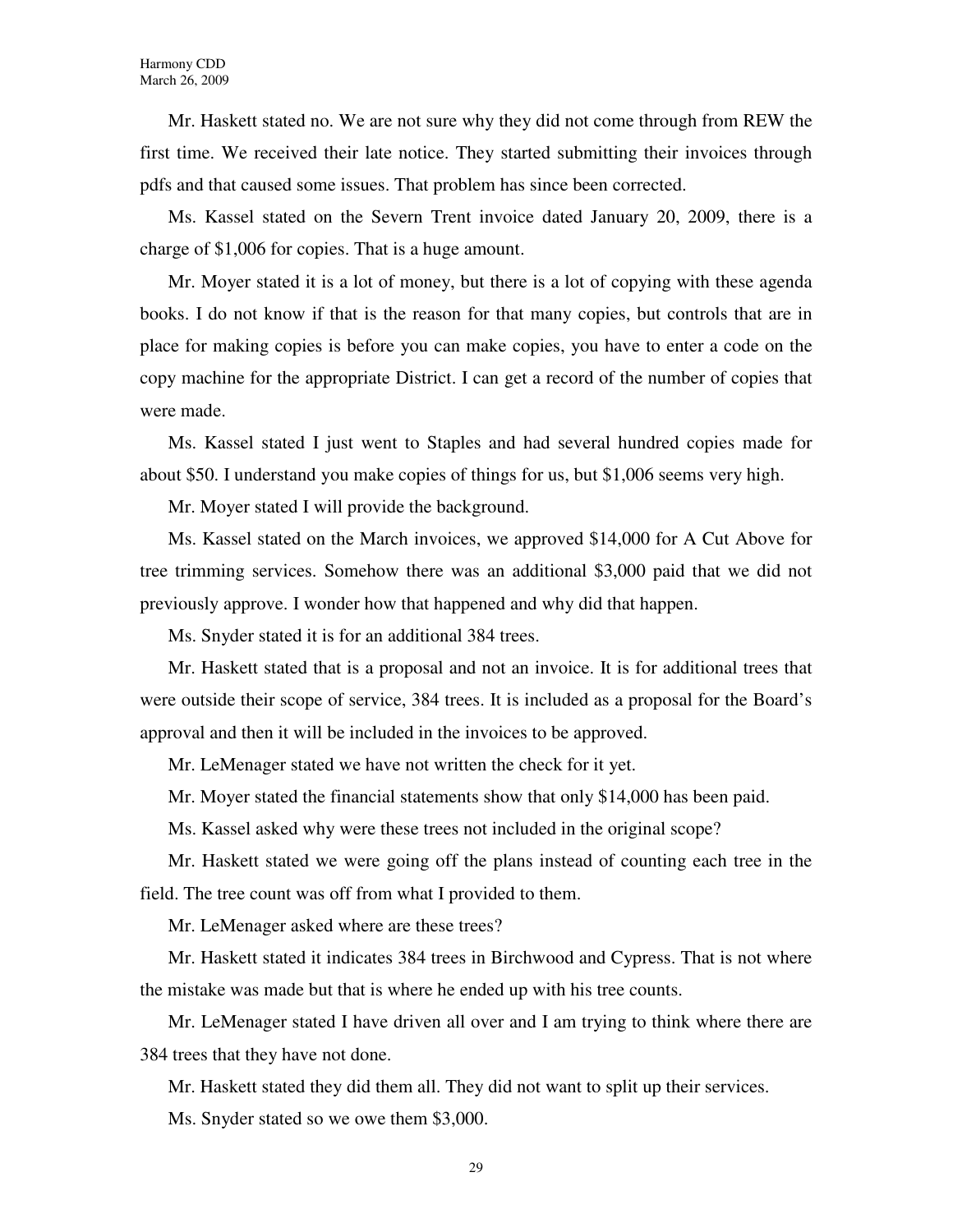Mr. Haskett stated no. We are not sure why they did not come through from REW the first time. We received their late notice. They started submitting their invoices through pdfs and that caused some issues. That problem has since been corrected.

Ms. Kassel stated on the Severn Trent invoice dated January 20, 2009, there is a charge of \$1,006 for copies. That is a huge amount.

Mr. Moyer stated it is a lot of money, but there is a lot of copying with these agenda books. I do not know if that is the reason for that many copies, but controls that are in place for making copies is before you can make copies, you have to enter a code on the copy machine for the appropriate District. I can get a record of the number of copies that were made.

Ms. Kassel stated I just went to Staples and had several hundred copies made for about \$50. I understand you make copies of things for us, but \$1,006 seems very high.

Mr. Moyer stated I will provide the background.

Ms. Kassel stated on the March invoices, we approved \$14,000 for A Cut Above for tree trimming services. Somehow there was an additional \$3,000 paid that we did not previously approve. I wonder how that happened and why did that happen.

Ms. Snyder stated it is for an additional 384 trees.

Mr. Haskett stated that is a proposal and not an invoice. It is for additional trees that were outside their scope of service, 384 trees. It is included as a proposal for the Board's approval and then it will be included in the invoices to be approved.

Mr. LeMenager stated we have not written the check for it yet.

Mr. Moyer stated the financial statements show that only \$14,000 has been paid.

Ms. Kassel asked why were these trees not included in the original scope?

Mr. Haskett stated we were going off the plans instead of counting each tree in the field. The tree count was off from what I provided to them.

Mr. LeMenager asked where are these trees?

Mr. Haskett stated it indicates 384 trees in Birchwood and Cypress. That is not where the mistake was made but that is where he ended up with his tree counts.

Mr. LeMenager stated I have driven all over and I am trying to think where there are 384 trees that they have not done.

Mr. Haskett stated they did them all. They did not want to split up their services.

Ms. Snyder stated so we owe them \$3,000.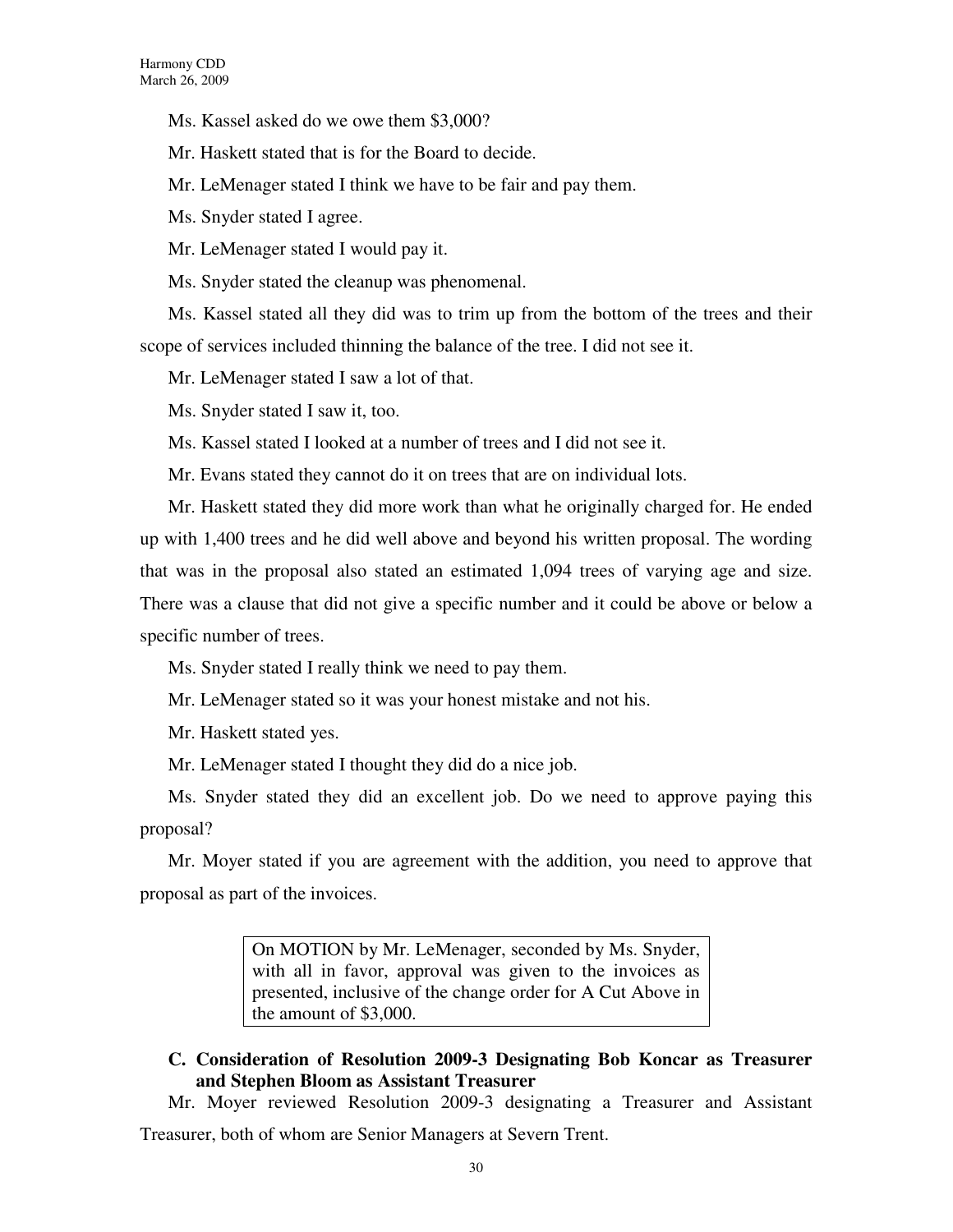Ms. Kassel asked do we owe them \$3,000?

Mr. Haskett stated that is for the Board to decide.

Mr. LeMenager stated I think we have to be fair and pay them.

Ms. Snyder stated I agree.

Mr. LeMenager stated I would pay it.

Ms. Snyder stated the cleanup was phenomenal.

Ms. Kassel stated all they did was to trim up from the bottom of the trees and their scope of services included thinning the balance of the tree. I did not see it.

Mr. LeMenager stated I saw a lot of that.

Ms. Snyder stated I saw it, too.

Ms. Kassel stated I looked at a number of trees and I did not see it.

Mr. Evans stated they cannot do it on trees that are on individual lots.

Mr. Haskett stated they did more work than what he originally charged for. He ended up with 1,400 trees and he did well above and beyond his written proposal. The wording that was in the proposal also stated an estimated 1,094 trees of varying age and size. There was a clause that did not give a specific number and it could be above or below a specific number of trees.

Ms. Snyder stated I really think we need to pay them.

Mr. LeMenager stated so it was your honest mistake and not his.

Mr. Haskett stated yes.

Mr. LeMenager stated I thought they did do a nice job.

Ms. Snyder stated they did an excellent job. Do we need to approve paying this proposal?

Mr. Moyer stated if you are agreement with the addition, you need to approve that proposal as part of the invoices.

> On MOTION by Mr. LeMenager, seconded by Ms. Snyder, with all in favor, approval was given to the invoices as presented, inclusive of the change order for A Cut Above in the amount of \$3,000.

# **C. Consideration of Resolution 2009-3 Designating Bob Koncar as Treasurer and Stephen Bloom as Assistant Treasurer**

Mr. Moyer reviewed Resolution 2009-3 designating a Treasurer and Assistant

Treasurer, both of whom are Senior Managers at Severn Trent.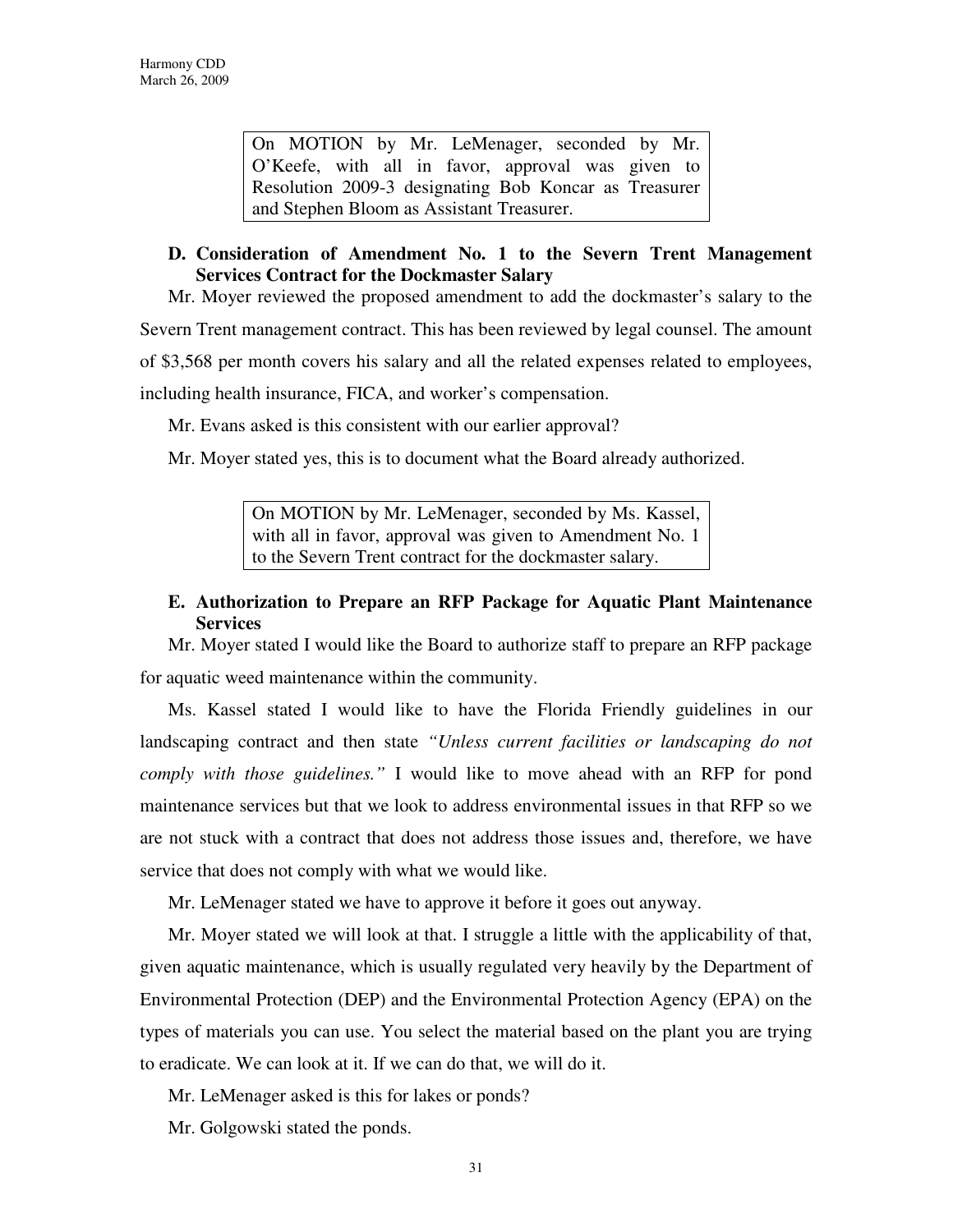On MOTION by Mr. LeMenager, seconded by Mr. O'Keefe, with all in favor, approval was given to Resolution 2009-3 designating Bob Koncar as Treasurer and Stephen Bloom as Assistant Treasurer.

# **D. Consideration of Amendment No. 1 to the Severn Trent Management Services Contract for the Dockmaster Salary**

Mr. Moyer reviewed the proposed amendment to add the dockmaster's salary to the Severn Trent management contract. This has been reviewed by legal counsel. The amount of \$3,568 per month covers his salary and all the related expenses related to employees, including health insurance, FICA, and worker's compensation.

Mr. Evans asked is this consistent with our earlier approval?

Mr. Moyer stated yes, this is to document what the Board already authorized.

On MOTION by Mr. LeMenager, seconded by Ms. Kassel, with all in favor, approval was given to Amendment No. 1 to the Severn Trent contract for the dockmaster salary.

# **E. Authorization to Prepare an RFP Package for Aquatic Plant Maintenance Services**

Mr. Moyer stated I would like the Board to authorize staff to prepare an RFP package for aquatic weed maintenance within the community.

Ms. Kassel stated I would like to have the Florida Friendly guidelines in our landscaping contract and then state *"Unless current facilities or landscaping do not comply with those guidelines."* I would like to move ahead with an RFP for pond maintenance services but that we look to address environmental issues in that RFP so we are not stuck with a contract that does not address those issues and, therefore, we have service that does not comply with what we would like.

Mr. LeMenager stated we have to approve it before it goes out anyway.

Mr. Moyer stated we will look at that. I struggle a little with the applicability of that, given aquatic maintenance, which is usually regulated very heavily by the Department of Environmental Protection (DEP) and the Environmental Protection Agency (EPA) on the types of materials you can use. You select the material based on the plant you are trying to eradicate. We can look at it. If we can do that, we will do it.

Mr. LeMenager asked is this for lakes or ponds?

Mr. Golgowski stated the ponds.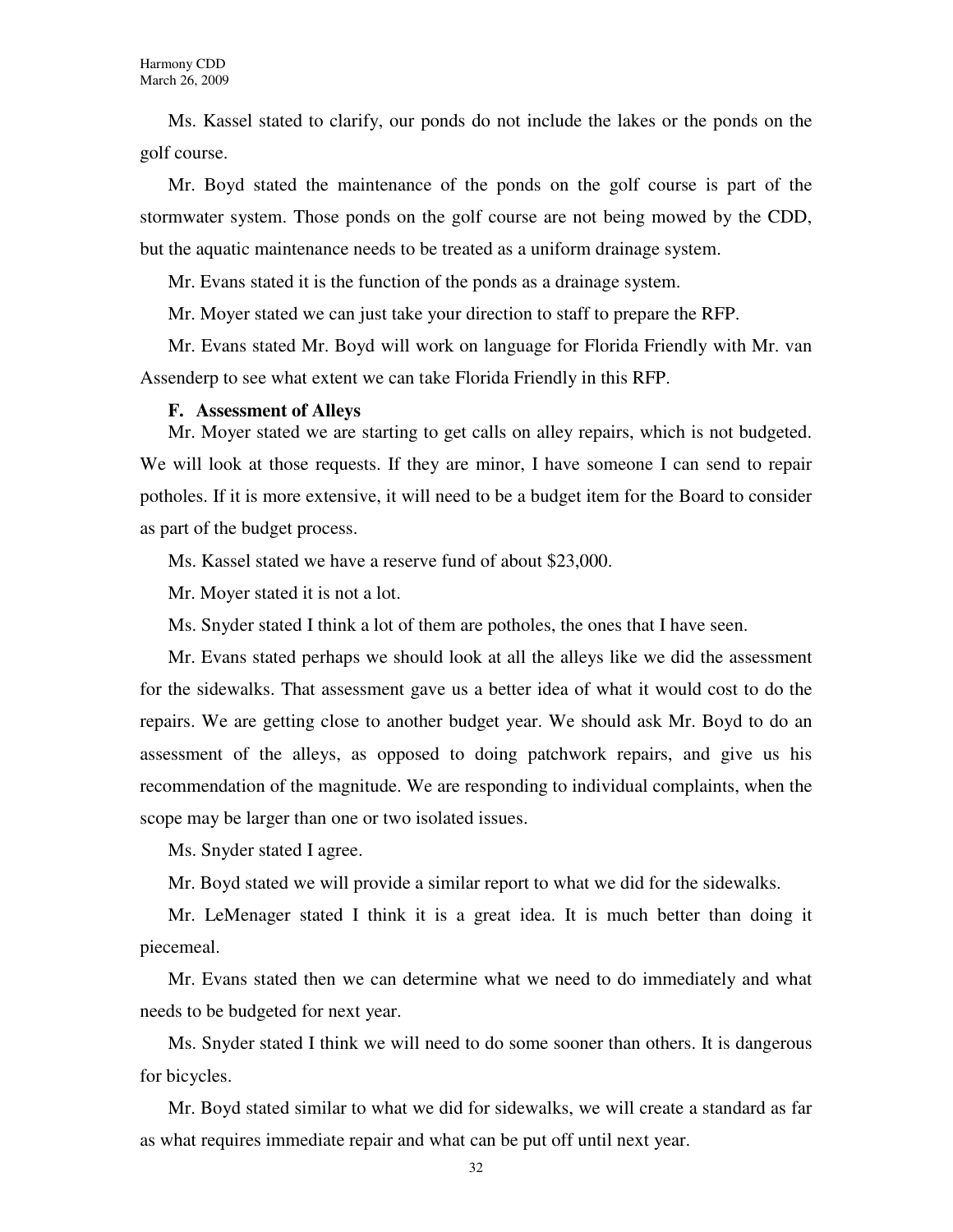Ms. Kassel stated to clarify, our ponds do not include the lakes or the ponds on the golf course.

Mr. Boyd stated the maintenance of the ponds on the golf course is part of the stormwater system. Those ponds on the golf course are not being mowed by the CDD, but the aquatic maintenance needs to be treated as a uniform drainage system.

Mr. Evans stated it is the function of the ponds as a drainage system.

Mr. Moyer stated we can just take your direction to staff to prepare the RFP.

Mr. Evans stated Mr. Boyd will work on language for Florida Friendly with Mr. van Assenderp to see what extent we can take Florida Friendly in this RFP.

### **F. Assessment of Alleys**

Mr. Moyer stated we are starting to get calls on alley repairs, which is not budgeted. We will look at those requests. If they are minor, I have someone I can send to repair potholes. If it is more extensive, it will need to be a budget item for the Board to consider as part of the budget process.

Ms. Kassel stated we have a reserve fund of about \$23,000.

Mr. Moyer stated it is not a lot.

Ms. Snyder stated I think a lot of them are potholes, the ones that I have seen.

Mr. Evans stated perhaps we should look at all the alleys like we did the assessment for the sidewalks. That assessment gave us a better idea of what it would cost to do the repairs. We are getting close to another budget year. We should ask Mr. Boyd to do an assessment of the alleys, as opposed to doing patchwork repairs, and give us his recommendation of the magnitude. We are responding to individual complaints, when the scope may be larger than one or two isolated issues.

Ms. Snyder stated I agree.

Mr. Boyd stated we will provide a similar report to what we did for the sidewalks.

Mr. LeMenager stated I think it is a great idea. It is much better than doing it piecemeal.

Mr. Evans stated then we can determine what we need to do immediately and what needs to be budgeted for next year.

Ms. Snyder stated I think we will need to do some sooner than others. It is dangerous for bicycles.

Mr. Boyd stated similar to what we did for sidewalks, we will create a standard as far as what requires immediate repair and what can be put off until next year.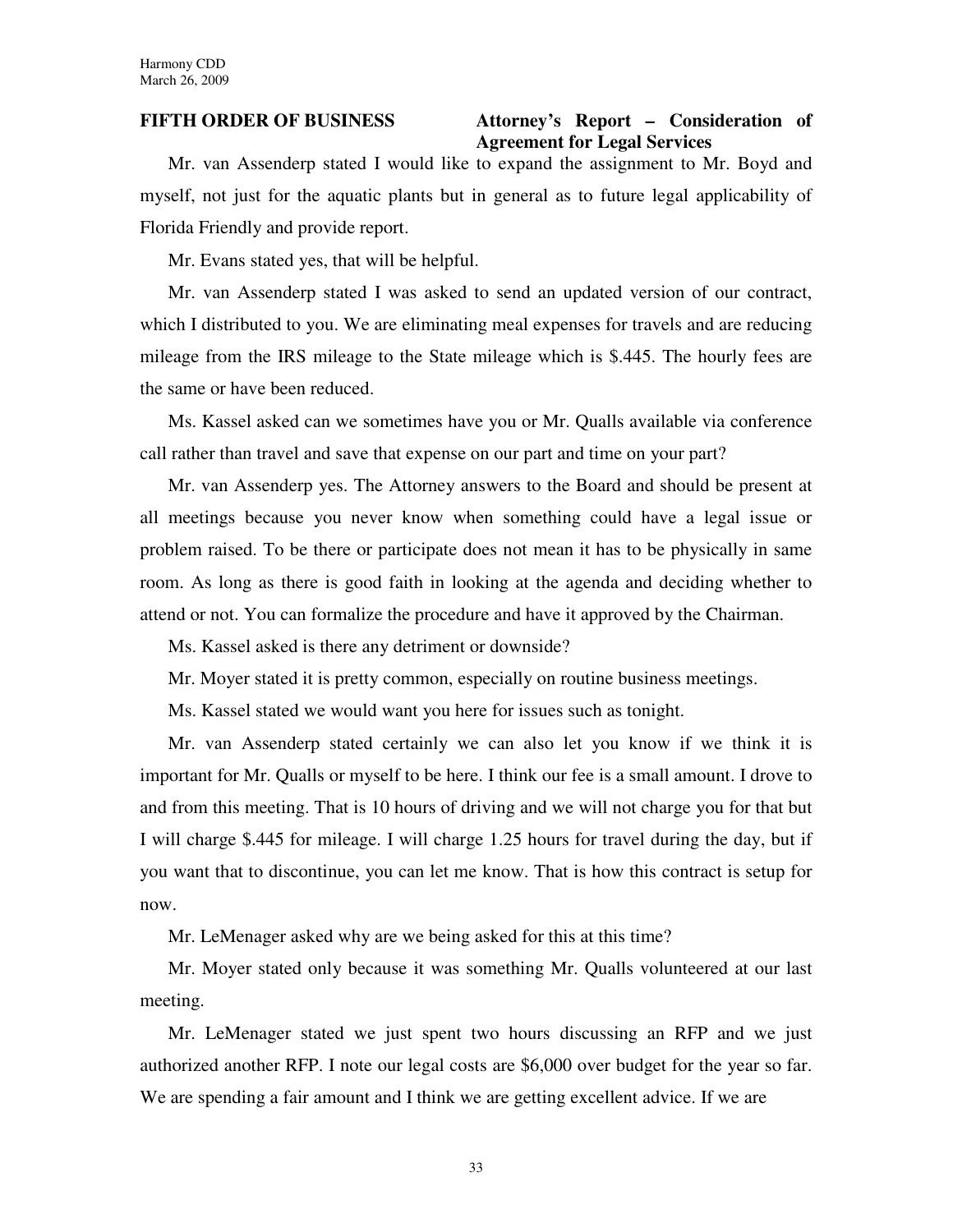### **FIFTH ORDER OF BUSINESS Attorney's Report – Consideration of Agreement for Legal Services**

Mr. van Assenderp stated I would like to expand the assignment to Mr. Boyd and myself, not just for the aquatic plants but in general as to future legal applicability of Florida Friendly and provide report.

Mr. Evans stated yes, that will be helpful.

Mr. van Assenderp stated I was asked to send an updated version of our contract, which I distributed to you. We are eliminating meal expenses for travels and are reducing mileage from the IRS mileage to the State mileage which is \$.445. The hourly fees are the same or have been reduced.

Ms. Kassel asked can we sometimes have you or Mr. Qualls available via conference call rather than travel and save that expense on our part and time on your part?

Mr. van Assenderp yes. The Attorney answers to the Board and should be present at all meetings because you never know when something could have a legal issue or problem raised. To be there or participate does not mean it has to be physically in same room. As long as there is good faith in looking at the agenda and deciding whether to attend or not. You can formalize the procedure and have it approved by the Chairman.

Ms. Kassel asked is there any detriment or downside?

Mr. Moyer stated it is pretty common, especially on routine business meetings.

Ms. Kassel stated we would want you here for issues such as tonight.

Mr. van Assenderp stated certainly we can also let you know if we think it is important for Mr. Qualls or myself to be here. I think our fee is a small amount. I drove to and from this meeting. That is 10 hours of driving and we will not charge you for that but I will charge \$.445 for mileage. I will charge 1.25 hours for travel during the day, but if you want that to discontinue, you can let me know. That is how this contract is setup for now.

Mr. LeMenager asked why are we being asked for this at this time?

Mr. Moyer stated only because it was something Mr. Qualls volunteered at our last meeting.

Mr. LeMenager stated we just spent two hours discussing an RFP and we just authorized another RFP. I note our legal costs are \$6,000 over budget for the year so far. We are spending a fair amount and I think we are getting excellent advice. If we are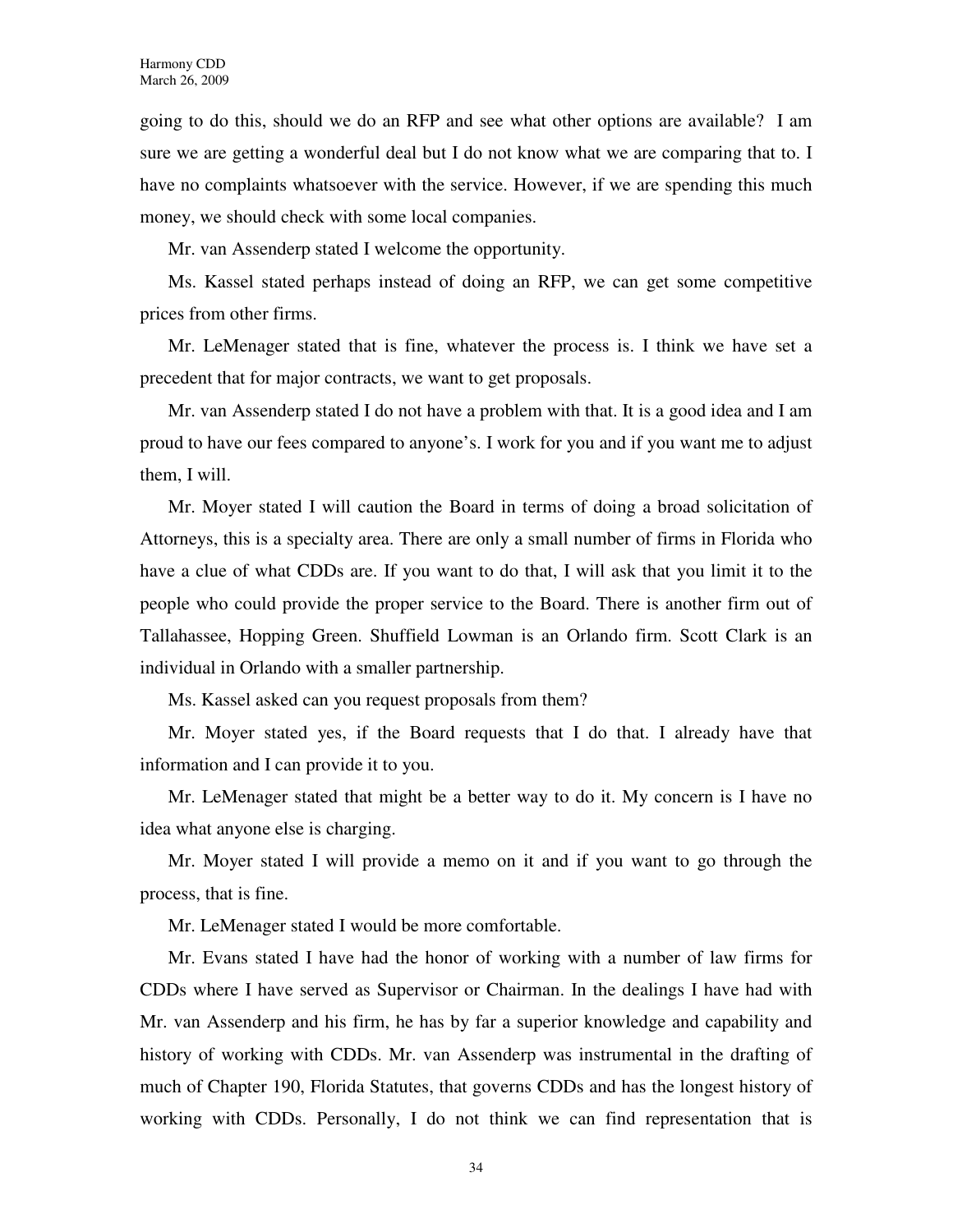going to do this, should we do an RFP and see what other options are available? I am sure we are getting a wonderful deal but I do not know what we are comparing that to. I have no complaints whatsoever with the service. However, if we are spending this much money, we should check with some local companies.

Mr. van Assenderp stated I welcome the opportunity.

Ms. Kassel stated perhaps instead of doing an RFP, we can get some competitive prices from other firms.

Mr. LeMenager stated that is fine, whatever the process is. I think we have set a precedent that for major contracts, we want to get proposals.

Mr. van Assenderp stated I do not have a problem with that. It is a good idea and I am proud to have our fees compared to anyone's. I work for you and if you want me to adjust them, I will.

Mr. Moyer stated I will caution the Board in terms of doing a broad solicitation of Attorneys, this is a specialty area. There are only a small number of firms in Florida who have a clue of what CDDs are. If you want to do that, I will ask that you limit it to the people who could provide the proper service to the Board. There is another firm out of Tallahassee, Hopping Green. Shuffield Lowman is an Orlando firm. Scott Clark is an individual in Orlando with a smaller partnership.

Ms. Kassel asked can you request proposals from them?

Mr. Moyer stated yes, if the Board requests that I do that. I already have that information and I can provide it to you.

Mr. LeMenager stated that might be a better way to do it. My concern is I have no idea what anyone else is charging.

Mr. Moyer stated I will provide a memo on it and if you want to go through the process, that is fine.

Mr. LeMenager stated I would be more comfortable.

Mr. Evans stated I have had the honor of working with a number of law firms for CDDs where I have served as Supervisor or Chairman. In the dealings I have had with Mr. van Assenderp and his firm, he has by far a superior knowledge and capability and history of working with CDDs. Mr. van Assenderp was instrumental in the drafting of much of Chapter 190, Florida Statutes, that governs CDDs and has the longest history of working with CDDs. Personally, I do not think we can find representation that is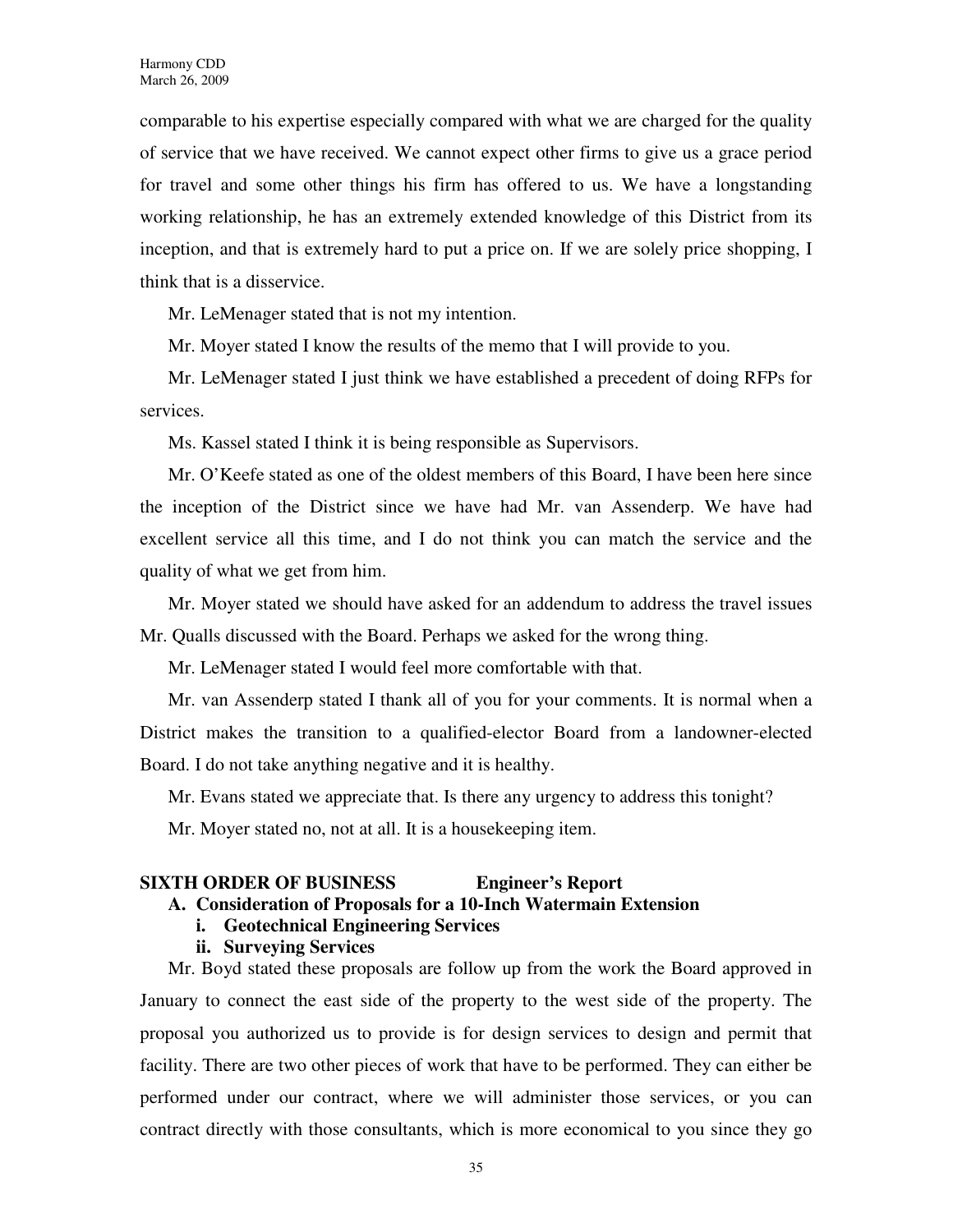comparable to his expertise especially compared with what we are charged for the quality of service that we have received. We cannot expect other firms to give us a grace period for travel and some other things his firm has offered to us. We have a longstanding working relationship, he has an extremely extended knowledge of this District from its inception, and that is extremely hard to put a price on. If we are solely price shopping, I think that is a disservice.

Mr. LeMenager stated that is not my intention.

Mr. Moyer stated I know the results of the memo that I will provide to you.

Mr. LeMenager stated I just think we have established a precedent of doing RFPs for services.

Ms. Kassel stated I think it is being responsible as Supervisors.

Mr. O'Keefe stated as one of the oldest members of this Board, I have been here since the inception of the District since we have had Mr. van Assenderp. We have had excellent service all this time, and I do not think you can match the service and the quality of what we get from him.

Mr. Moyer stated we should have asked for an addendum to address the travel issues Mr. Qualls discussed with the Board. Perhaps we asked for the wrong thing.

Mr. LeMenager stated I would feel more comfortable with that.

Mr. van Assenderp stated I thank all of you for your comments. It is normal when a District makes the transition to a qualified-elector Board from a landowner-elected Board. I do not take anything negative and it is healthy.

Mr. Evans stated we appreciate that. Is there any urgency to address this tonight?

Mr. Moyer stated no, not at all. It is a housekeeping item.

# **SIXTH ORDER OF BUSINESS Engineer's Report**

### **A. Consideration of Proposals for a 10-Inch Watermain Extension**

### **i. Geotechnical Engineering Services**

### **ii. Surveying Services**

Mr. Boyd stated these proposals are follow up from the work the Board approved in January to connect the east side of the property to the west side of the property. The proposal you authorized us to provide is for design services to design and permit that facility. There are two other pieces of work that have to be performed. They can either be performed under our contract, where we will administer those services, or you can contract directly with those consultants, which is more economical to you since they go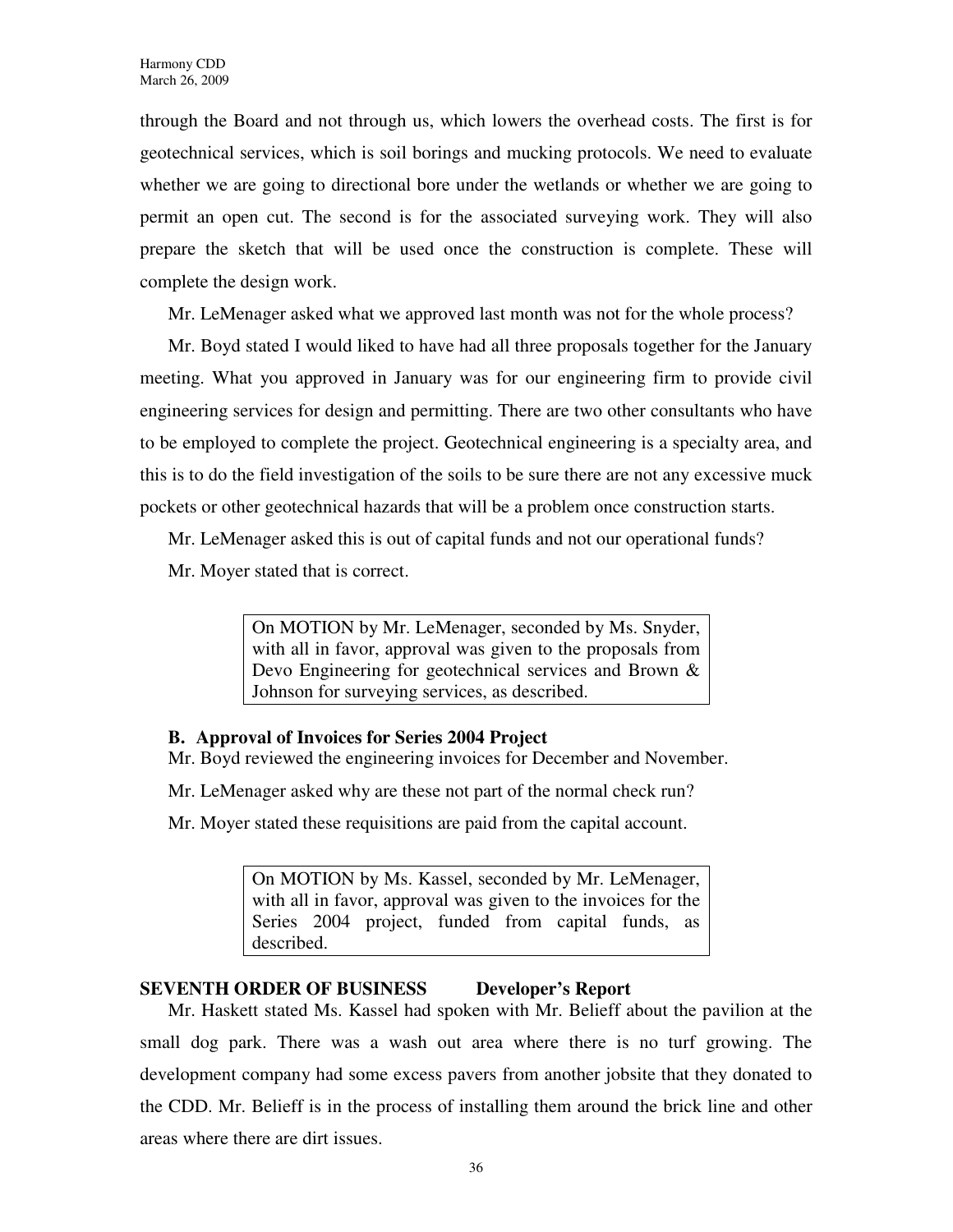through the Board and not through us, which lowers the overhead costs. The first is for geotechnical services, which is soil borings and mucking protocols. We need to evaluate whether we are going to directional bore under the wetlands or whether we are going to permit an open cut. The second is for the associated surveying work. They will also prepare the sketch that will be used once the construction is complete. These will complete the design work.

Mr. LeMenager asked what we approved last month was not for the whole process?

Mr. Boyd stated I would liked to have had all three proposals together for the January meeting. What you approved in January was for our engineering firm to provide civil engineering services for design and permitting. There are two other consultants who have to be employed to complete the project. Geotechnical engineering is a specialty area, and this is to do the field investigation of the soils to be sure there are not any excessive muck pockets or other geotechnical hazards that will be a problem once construction starts.

Mr. LeMenager asked this is out of capital funds and not our operational funds?

Mr. Moyer stated that is correct.

On MOTION by Mr. LeMenager, seconded by Ms. Snyder, with all in favor, approval was given to the proposals from Devo Engineering for geotechnical services and Brown & Johnson for surveying services, as described.

# **B. Approval of Invoices for Series 2004 Project**

Mr. Boyd reviewed the engineering invoices for December and November.

Mr. LeMenager asked why are these not part of the normal check run?

Mr. Moyer stated these requisitions are paid from the capital account.

On MOTION by Ms. Kassel, seconded by Mr. LeMenager, with all in favor, approval was given to the invoices for the Series 2004 project, funded from capital funds, as described.

# **SEVENTH ORDER OF BUSINESS Developer's Report**

Mr. Haskett stated Ms. Kassel had spoken with Mr. Belieff about the pavilion at the small dog park. There was a wash out area where there is no turf growing. The development company had some excess pavers from another jobsite that they donated to the CDD. Mr. Belieff is in the process of installing them around the brick line and other areas where there are dirt issues.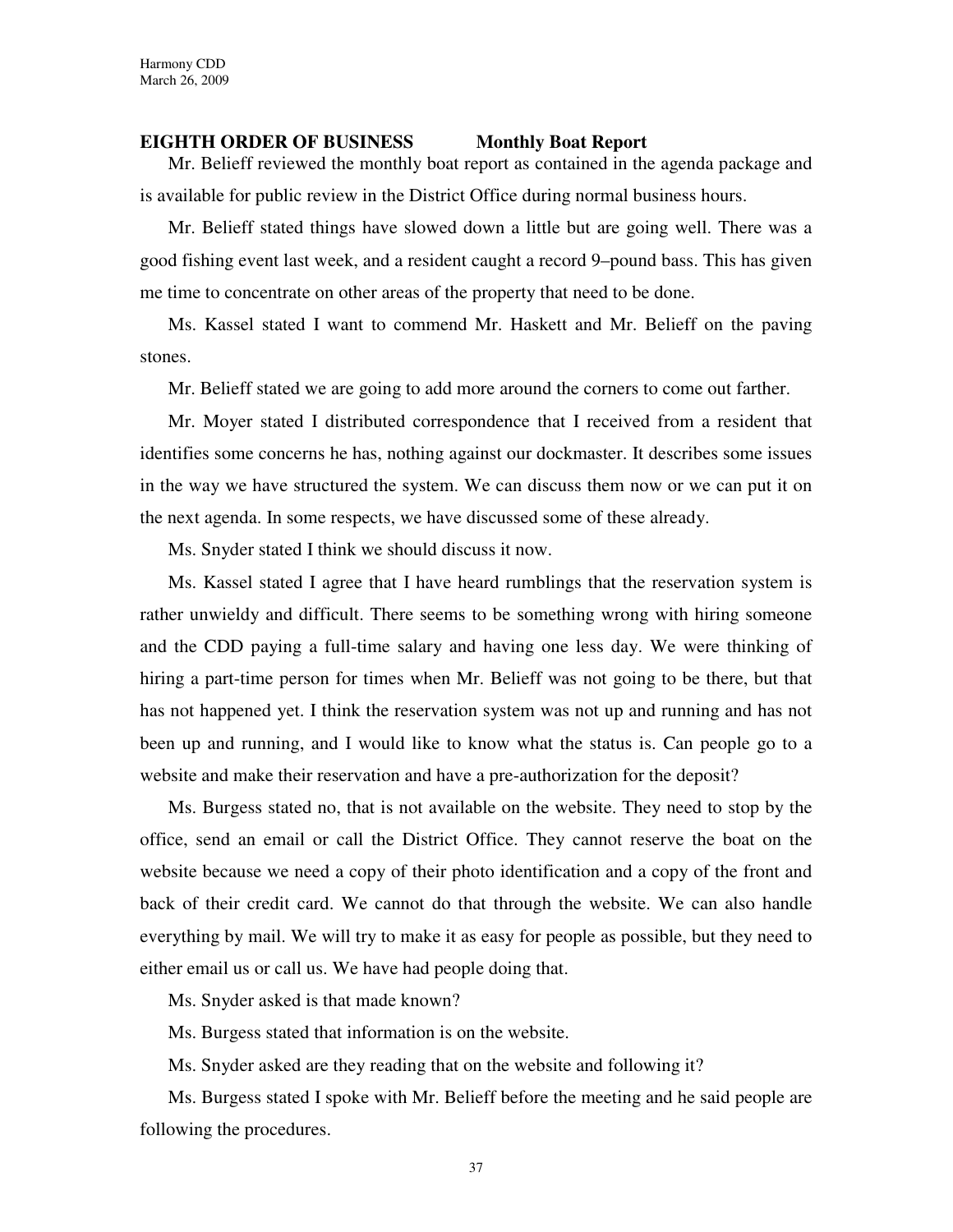### **EIGHTH ORDER OF BUSINESS Monthly Boat Report**

Mr. Belieff reviewed the monthly boat report as contained in the agenda package and is available for public review in the District Office during normal business hours.

Mr. Belieff stated things have slowed down a little but are going well. There was a good fishing event last week, and a resident caught a record 9–pound bass. This has given me time to concentrate on other areas of the property that need to be done.

Ms. Kassel stated I want to commend Mr. Haskett and Mr. Belieff on the paving stones.

Mr. Belieff stated we are going to add more around the corners to come out farther.

Mr. Moyer stated I distributed correspondence that I received from a resident that identifies some concerns he has, nothing against our dockmaster. It describes some issues in the way we have structured the system. We can discuss them now or we can put it on the next agenda. In some respects, we have discussed some of these already.

Ms. Snyder stated I think we should discuss it now.

Ms. Kassel stated I agree that I have heard rumblings that the reservation system is rather unwieldy and difficult. There seems to be something wrong with hiring someone and the CDD paying a full-time salary and having one less day. We were thinking of hiring a part-time person for times when Mr. Belieff was not going to be there, but that has not happened yet. I think the reservation system was not up and running and has not been up and running, and I would like to know what the status is. Can people go to a website and make their reservation and have a pre-authorization for the deposit?

Ms. Burgess stated no, that is not available on the website. They need to stop by the office, send an email or call the District Office. They cannot reserve the boat on the website because we need a copy of their photo identification and a copy of the front and back of their credit card. We cannot do that through the website. We can also handle everything by mail. We will try to make it as easy for people as possible, but they need to either email us or call us. We have had people doing that.

Ms. Snyder asked is that made known?

Ms. Burgess stated that information is on the website.

Ms. Snyder asked are they reading that on the website and following it?

Ms. Burgess stated I spoke with Mr. Belieff before the meeting and he said people are following the procedures.

37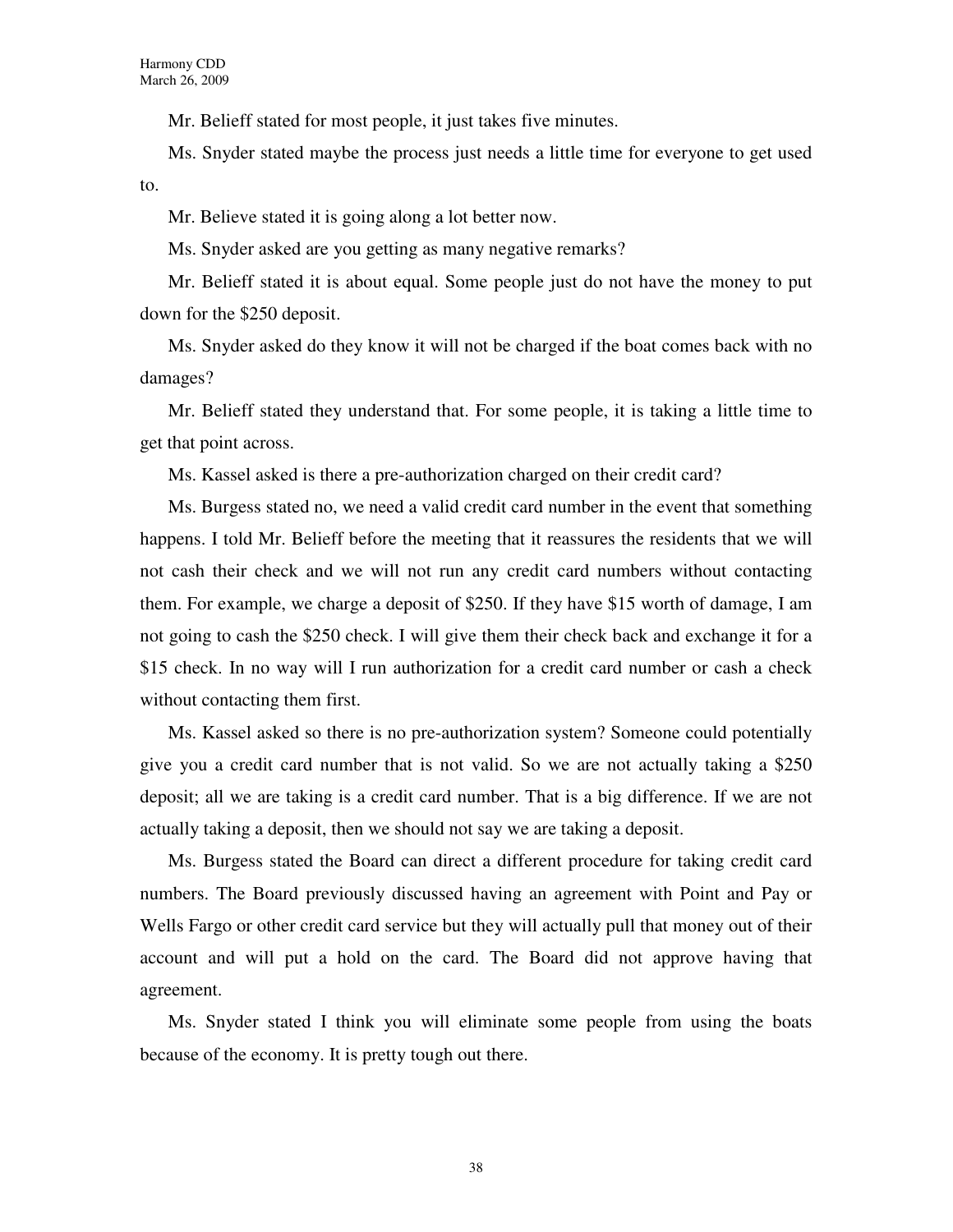Mr. Belieff stated for most people, it just takes five minutes.

Ms. Snyder stated maybe the process just needs a little time for everyone to get used to.

Mr. Believe stated it is going along a lot better now.

Ms. Snyder asked are you getting as many negative remarks?

Mr. Belieff stated it is about equal. Some people just do not have the money to put down for the \$250 deposit.

Ms. Snyder asked do they know it will not be charged if the boat comes back with no damages?

Mr. Belieff stated they understand that. For some people, it is taking a little time to get that point across.

Ms. Kassel asked is there a pre-authorization charged on their credit card?

Ms. Burgess stated no, we need a valid credit card number in the event that something happens. I told Mr. Belieff before the meeting that it reassures the residents that we will not cash their check and we will not run any credit card numbers without contacting them. For example, we charge a deposit of \$250. If they have \$15 worth of damage, I am not going to cash the \$250 check. I will give them their check back and exchange it for a \$15 check. In no way will I run authorization for a credit card number or cash a check without contacting them first.

Ms. Kassel asked so there is no pre-authorization system? Someone could potentially give you a credit card number that is not valid. So we are not actually taking a \$250 deposit; all we are taking is a credit card number. That is a big difference. If we are not actually taking a deposit, then we should not say we are taking a deposit.

Ms. Burgess stated the Board can direct a different procedure for taking credit card numbers. The Board previously discussed having an agreement with Point and Pay or Wells Fargo or other credit card service but they will actually pull that money out of their account and will put a hold on the card. The Board did not approve having that agreement.

Ms. Snyder stated I think you will eliminate some people from using the boats because of the economy. It is pretty tough out there.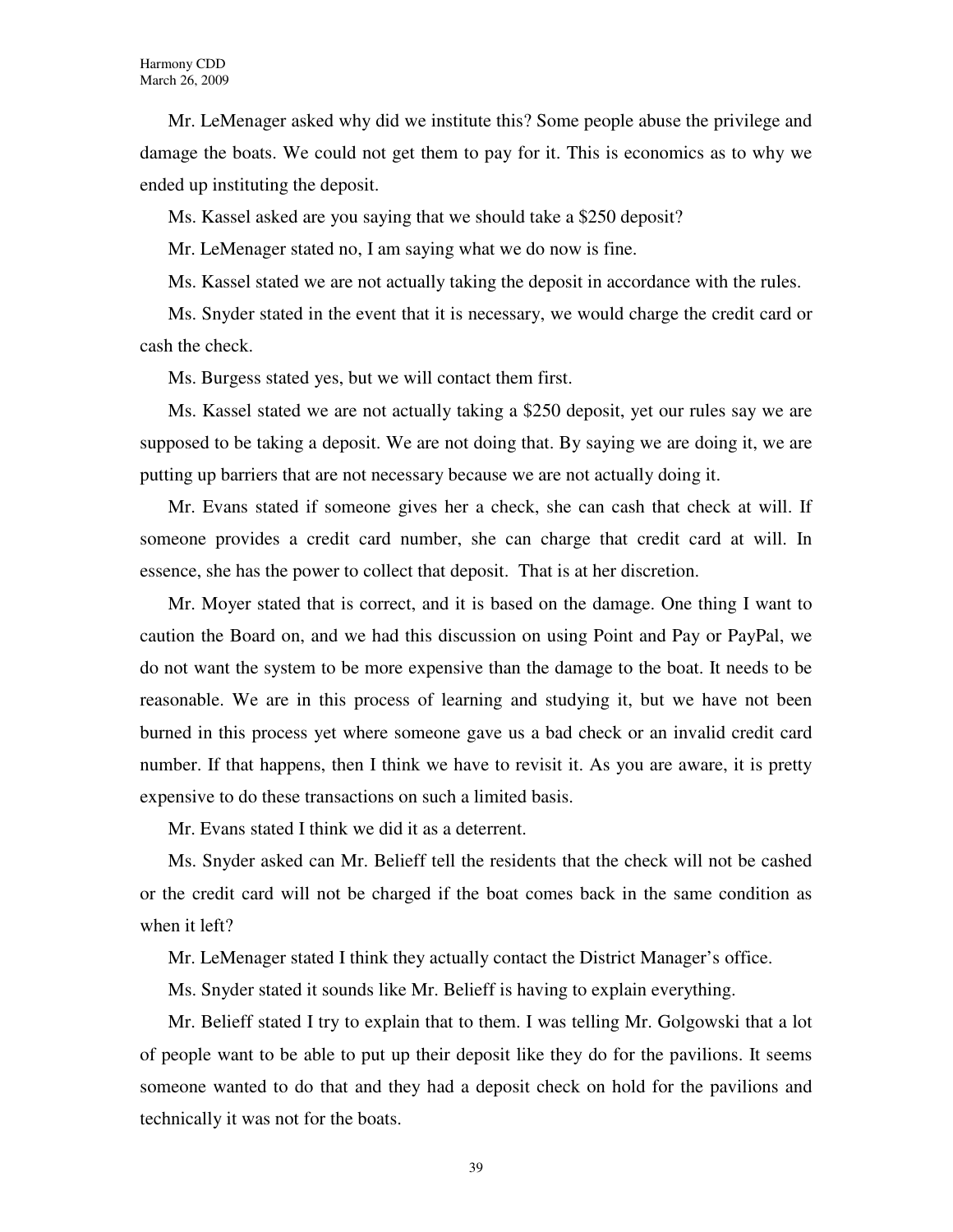Mr. LeMenager asked why did we institute this? Some people abuse the privilege and damage the boats. We could not get them to pay for it. This is economics as to why we ended up instituting the deposit.

Ms. Kassel asked are you saying that we should take a \$250 deposit?

Mr. LeMenager stated no, I am saying what we do now is fine.

Ms. Kassel stated we are not actually taking the deposit in accordance with the rules.

Ms. Snyder stated in the event that it is necessary, we would charge the credit card or cash the check.

Ms. Burgess stated yes, but we will contact them first.

Ms. Kassel stated we are not actually taking a \$250 deposit, yet our rules say we are supposed to be taking a deposit. We are not doing that. By saying we are doing it, we are putting up barriers that are not necessary because we are not actually doing it.

Mr. Evans stated if someone gives her a check, she can cash that check at will. If someone provides a credit card number, she can charge that credit card at will. In essence, she has the power to collect that deposit. That is at her discretion.

Mr. Moyer stated that is correct, and it is based on the damage. One thing I want to caution the Board on, and we had this discussion on using Point and Pay or PayPal, we do not want the system to be more expensive than the damage to the boat. It needs to be reasonable. We are in this process of learning and studying it, but we have not been burned in this process yet where someone gave us a bad check or an invalid credit card number. If that happens, then I think we have to revisit it. As you are aware, it is pretty expensive to do these transactions on such a limited basis.

Mr. Evans stated I think we did it as a deterrent.

Ms. Snyder asked can Mr. Belieff tell the residents that the check will not be cashed or the credit card will not be charged if the boat comes back in the same condition as when it left?

Mr. LeMenager stated I think they actually contact the District Manager's office.

Ms. Snyder stated it sounds like Mr. Belieff is having to explain everything.

Mr. Belieff stated I try to explain that to them. I was telling Mr. Golgowski that a lot of people want to be able to put up their deposit like they do for the pavilions. It seems someone wanted to do that and they had a deposit check on hold for the pavilions and technically it was not for the boats.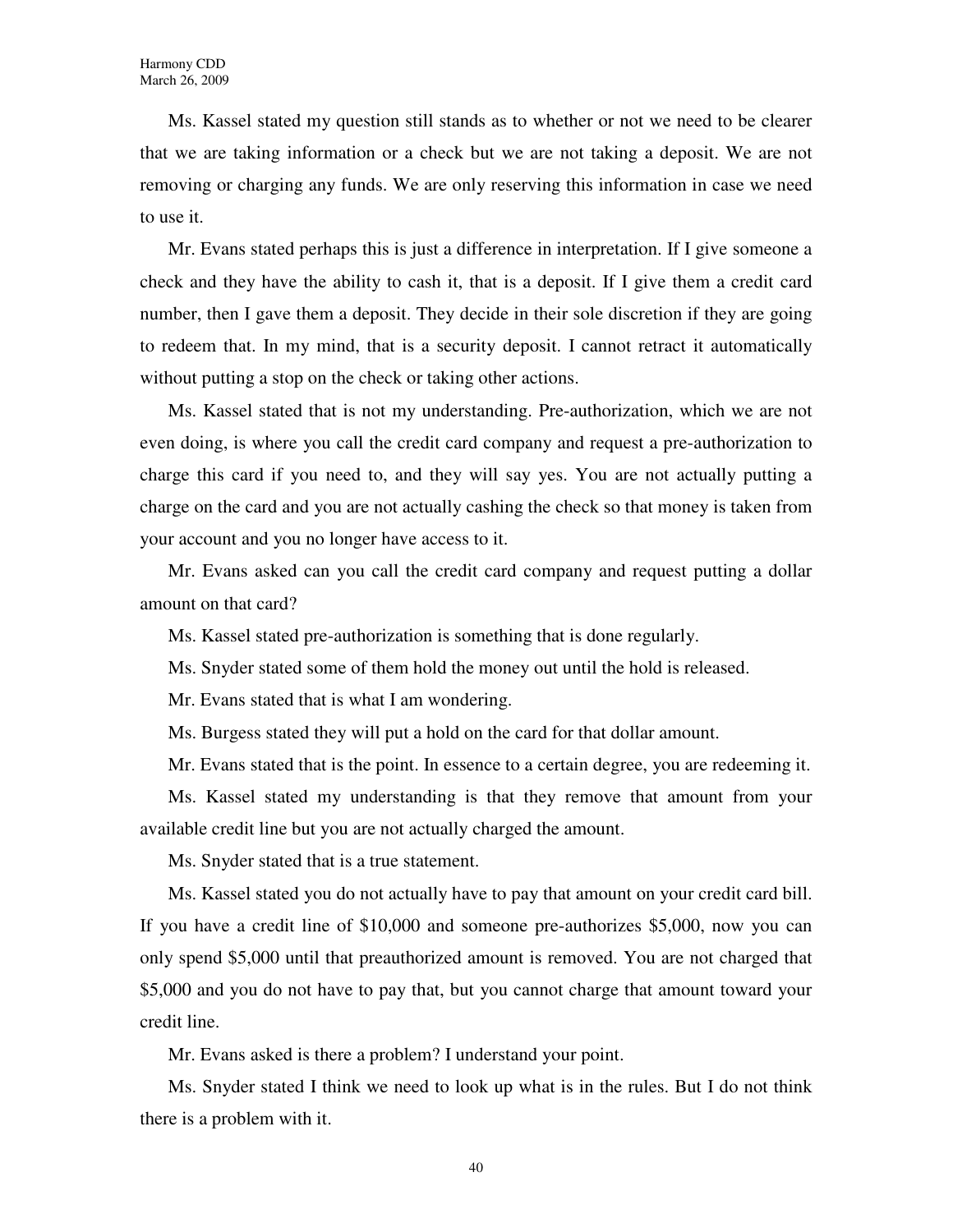Ms. Kassel stated my question still stands as to whether or not we need to be clearer that we are taking information or a check but we are not taking a deposit. We are not removing or charging any funds. We are only reserving this information in case we need to use it.

Mr. Evans stated perhaps this is just a difference in interpretation. If I give someone a check and they have the ability to cash it, that is a deposit. If I give them a credit card number, then I gave them a deposit. They decide in their sole discretion if they are going to redeem that. In my mind, that is a security deposit. I cannot retract it automatically without putting a stop on the check or taking other actions.

Ms. Kassel stated that is not my understanding. Pre-authorization, which we are not even doing, is where you call the credit card company and request a pre-authorization to charge this card if you need to, and they will say yes. You are not actually putting a charge on the card and you are not actually cashing the check so that money is taken from your account and you no longer have access to it.

Mr. Evans asked can you call the credit card company and request putting a dollar amount on that card?

Ms. Kassel stated pre-authorization is something that is done regularly.

Ms. Snyder stated some of them hold the money out until the hold is released.

Mr. Evans stated that is what I am wondering.

Ms. Burgess stated they will put a hold on the card for that dollar amount.

Mr. Evans stated that is the point. In essence to a certain degree, you are redeeming it.

Ms. Kassel stated my understanding is that they remove that amount from your available credit line but you are not actually charged the amount.

Ms. Snyder stated that is a true statement.

Ms. Kassel stated you do not actually have to pay that amount on your credit card bill. If you have a credit line of \$10,000 and someone pre-authorizes \$5,000, now you can only spend \$5,000 until that preauthorized amount is removed. You are not charged that \$5,000 and you do not have to pay that, but you cannot charge that amount toward your credit line.

Mr. Evans asked is there a problem? I understand your point.

Ms. Snyder stated I think we need to look up what is in the rules. But I do not think there is a problem with it.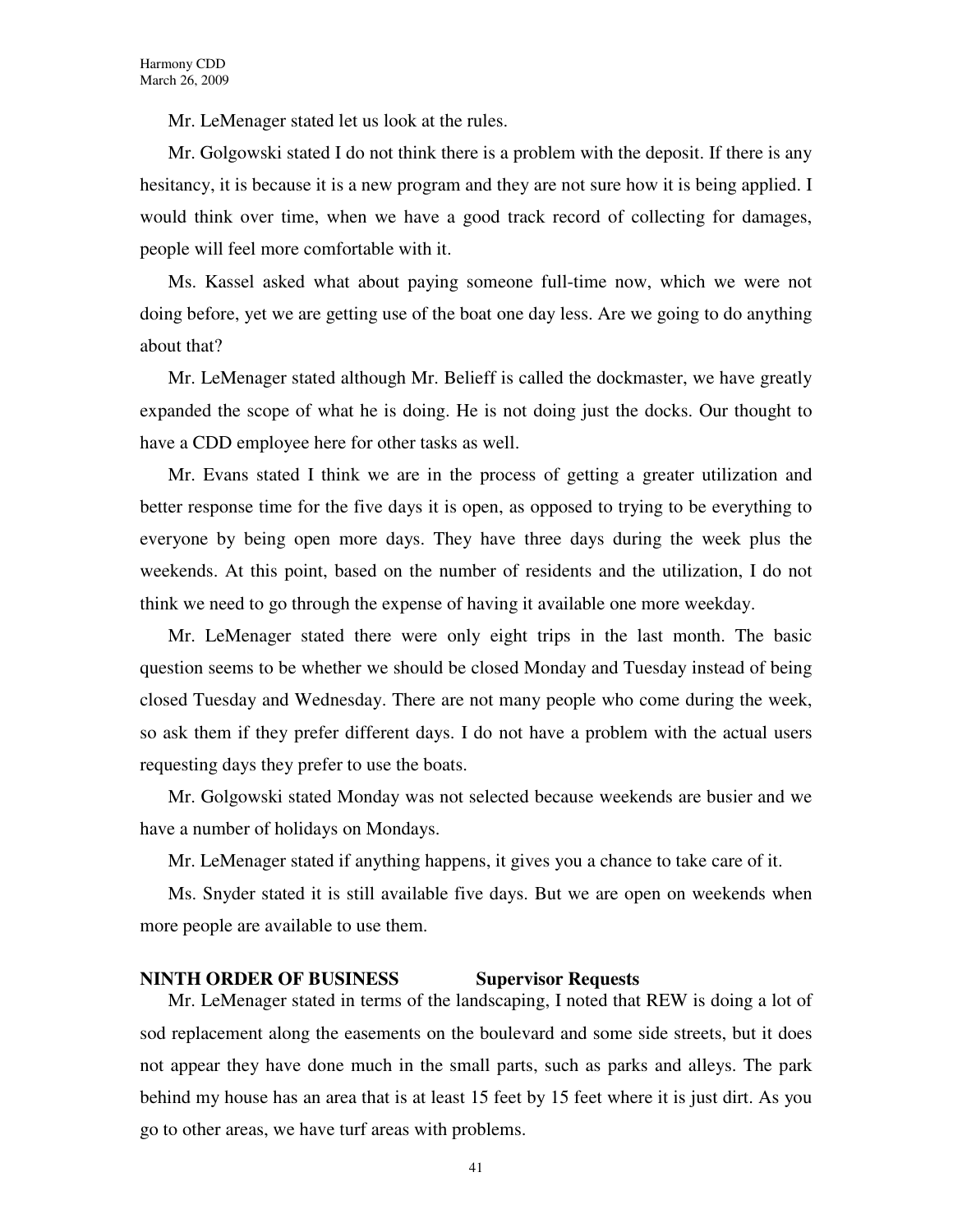Mr. LeMenager stated let us look at the rules.

Mr. Golgowski stated I do not think there is a problem with the deposit. If there is any hesitancy, it is because it is a new program and they are not sure how it is being applied. I would think over time, when we have a good track record of collecting for damages, people will feel more comfortable with it.

Ms. Kassel asked what about paying someone full-time now, which we were not doing before, yet we are getting use of the boat one day less. Are we going to do anything about that?

Mr. LeMenager stated although Mr. Belieff is called the dockmaster, we have greatly expanded the scope of what he is doing. He is not doing just the docks. Our thought to have a CDD employee here for other tasks as well.

Mr. Evans stated I think we are in the process of getting a greater utilization and better response time for the five days it is open, as opposed to trying to be everything to everyone by being open more days. They have three days during the week plus the weekends. At this point, based on the number of residents and the utilization, I do not think we need to go through the expense of having it available one more weekday.

Mr. LeMenager stated there were only eight trips in the last month. The basic question seems to be whether we should be closed Monday and Tuesday instead of being closed Tuesday and Wednesday. There are not many people who come during the week, so ask them if they prefer different days. I do not have a problem with the actual users requesting days they prefer to use the boats.

Mr. Golgowski stated Monday was not selected because weekends are busier and we have a number of holidays on Mondays.

Mr. LeMenager stated if anything happens, it gives you a chance to take care of it.

Ms. Snyder stated it is still available five days. But we are open on weekends when more people are available to use them.

### **NINTH ORDER OF BUSINESS Supervisor Requests**

Mr. LeMenager stated in terms of the landscaping, I noted that REW is doing a lot of sod replacement along the easements on the boulevard and some side streets, but it does not appear they have done much in the small parts, such as parks and alleys. The park behind my house has an area that is at least 15 feet by 15 feet where it is just dirt. As you go to other areas, we have turf areas with problems.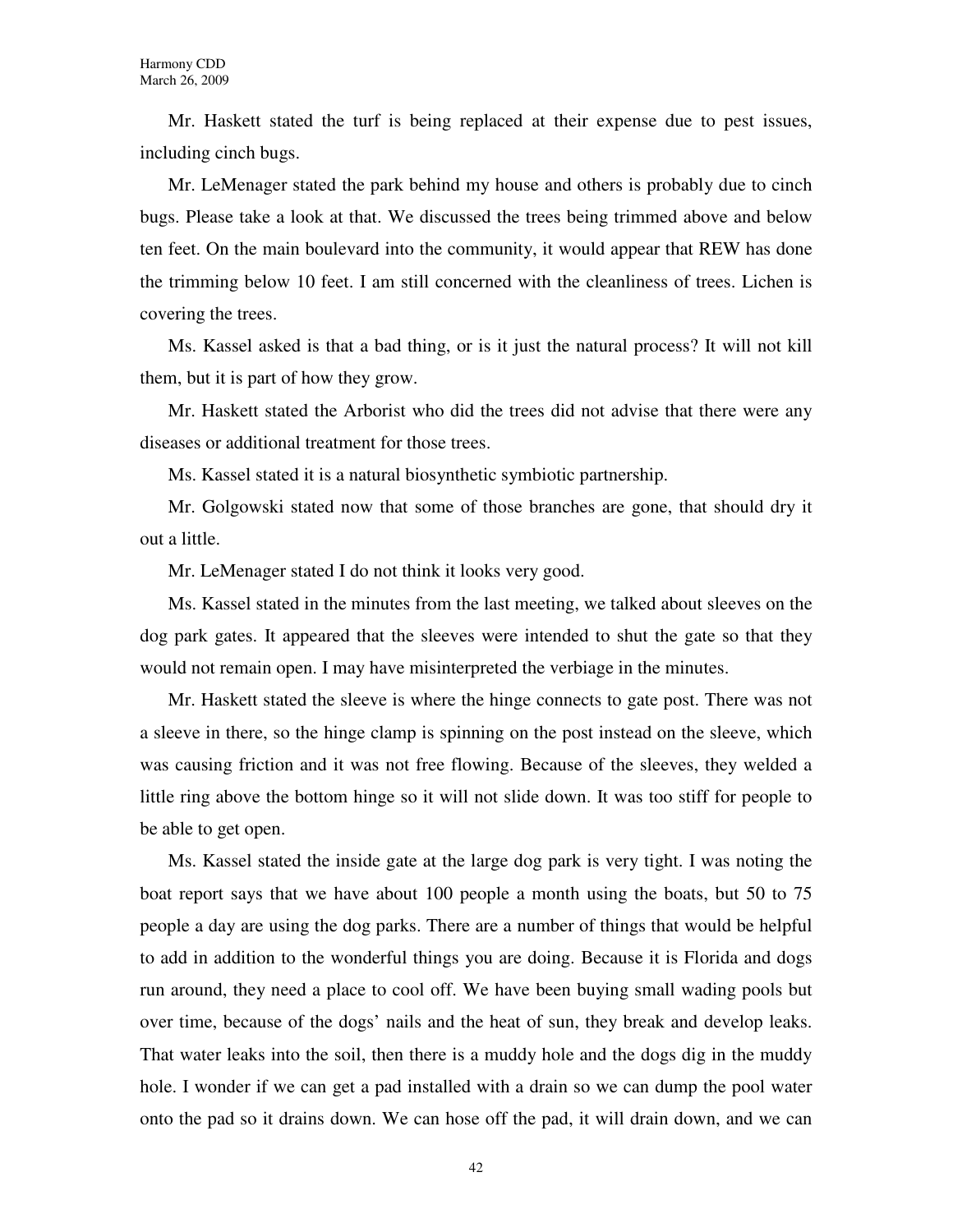Mr. Haskett stated the turf is being replaced at their expense due to pest issues, including cinch bugs.

Mr. LeMenager stated the park behind my house and others is probably due to cinch bugs. Please take a look at that. We discussed the trees being trimmed above and below ten feet. On the main boulevard into the community, it would appear that REW has done the trimming below 10 feet. I am still concerned with the cleanliness of trees. Lichen is covering the trees.

Ms. Kassel asked is that a bad thing, or is it just the natural process? It will not kill them, but it is part of how they grow.

Mr. Haskett stated the Arborist who did the trees did not advise that there were any diseases or additional treatment for those trees.

Ms. Kassel stated it is a natural biosynthetic symbiotic partnership.

Mr. Golgowski stated now that some of those branches are gone, that should dry it out a little.

Mr. LeMenager stated I do not think it looks very good.

Ms. Kassel stated in the minutes from the last meeting, we talked about sleeves on the dog park gates. It appeared that the sleeves were intended to shut the gate so that they would not remain open. I may have misinterpreted the verbiage in the minutes.

Mr. Haskett stated the sleeve is where the hinge connects to gate post. There was not a sleeve in there, so the hinge clamp is spinning on the post instead on the sleeve, which was causing friction and it was not free flowing. Because of the sleeves, they welded a little ring above the bottom hinge so it will not slide down. It was too stiff for people to be able to get open.

Ms. Kassel stated the inside gate at the large dog park is very tight. I was noting the boat report says that we have about 100 people a month using the boats, but 50 to 75 people a day are using the dog parks. There are a number of things that would be helpful to add in addition to the wonderful things you are doing. Because it is Florida and dogs run around, they need a place to cool off. We have been buying small wading pools but over time, because of the dogs' nails and the heat of sun, they break and develop leaks. That water leaks into the soil, then there is a muddy hole and the dogs dig in the muddy hole. I wonder if we can get a pad installed with a drain so we can dump the pool water onto the pad so it drains down. We can hose off the pad, it will drain down, and we can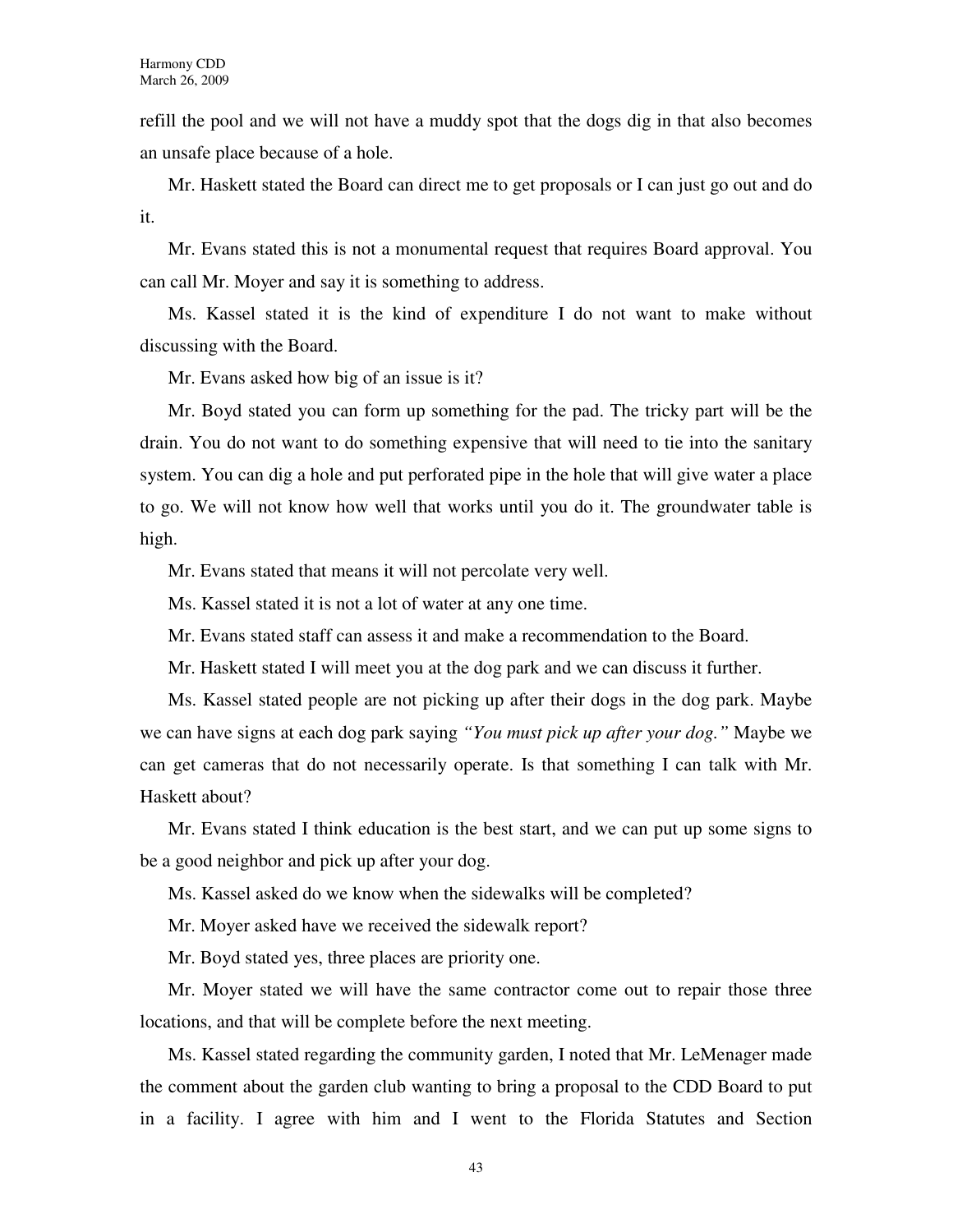refill the pool and we will not have a muddy spot that the dogs dig in that also becomes an unsafe place because of a hole.

Mr. Haskett stated the Board can direct me to get proposals or I can just go out and do it.

Mr. Evans stated this is not a monumental request that requires Board approval. You can call Mr. Moyer and say it is something to address.

Ms. Kassel stated it is the kind of expenditure I do not want to make without discussing with the Board.

Mr. Evans asked how big of an issue is it?

Mr. Boyd stated you can form up something for the pad. The tricky part will be the drain. You do not want to do something expensive that will need to tie into the sanitary system. You can dig a hole and put perforated pipe in the hole that will give water a place to go. We will not know how well that works until you do it. The groundwater table is high.

Mr. Evans stated that means it will not percolate very well.

Ms. Kassel stated it is not a lot of water at any one time.

Mr. Evans stated staff can assess it and make a recommendation to the Board.

Mr. Haskett stated I will meet you at the dog park and we can discuss it further.

Ms. Kassel stated people are not picking up after their dogs in the dog park. Maybe we can have signs at each dog park saying *"You must pick up after your dog."* Maybe we can get cameras that do not necessarily operate. Is that something I can talk with Mr. Haskett about?

Mr. Evans stated I think education is the best start, and we can put up some signs to be a good neighbor and pick up after your dog.

Ms. Kassel asked do we know when the sidewalks will be completed?

Mr. Moyer asked have we received the sidewalk report?

Mr. Boyd stated yes, three places are priority one.

Mr. Moyer stated we will have the same contractor come out to repair those three locations, and that will be complete before the next meeting.

Ms. Kassel stated regarding the community garden, I noted that Mr. LeMenager made the comment about the garden club wanting to bring a proposal to the CDD Board to put in a facility. I agree with him and I went to the Florida Statutes and Section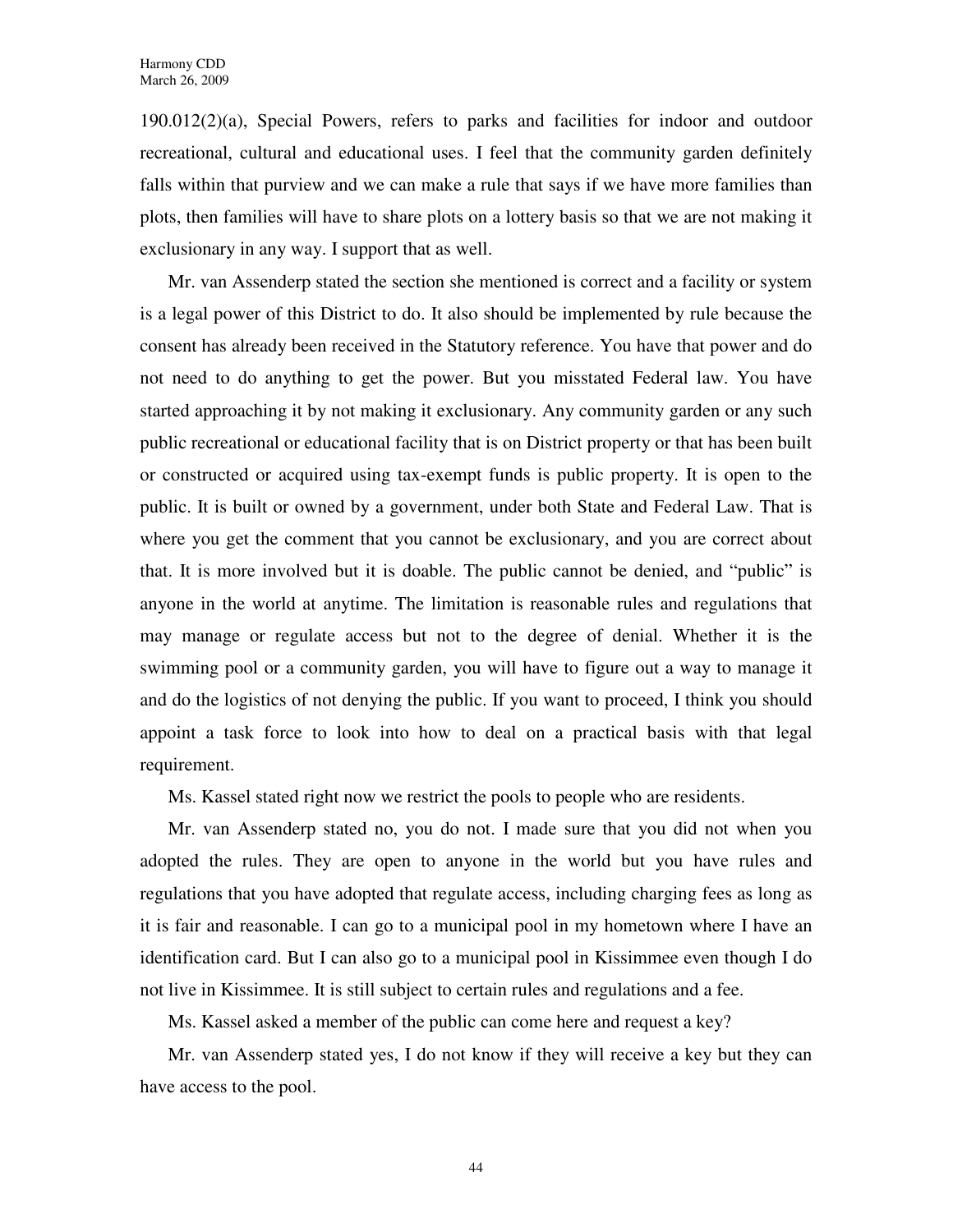190.012(2)(a), Special Powers, refers to parks and facilities for indoor and outdoor recreational, cultural and educational uses. I feel that the community garden definitely falls within that purview and we can make a rule that says if we have more families than plots, then families will have to share plots on a lottery basis so that we are not making it exclusionary in any way. I support that as well.

Mr. van Assenderp stated the section she mentioned is correct and a facility or system is a legal power of this District to do. It also should be implemented by rule because the consent has already been received in the Statutory reference. You have that power and do not need to do anything to get the power. But you misstated Federal law. You have started approaching it by not making it exclusionary. Any community garden or any such public recreational or educational facility that is on District property or that has been built or constructed or acquired using tax-exempt funds is public property. It is open to the public. It is built or owned by a government, under both State and Federal Law. That is where you get the comment that you cannot be exclusionary, and you are correct about that. It is more involved but it is doable. The public cannot be denied, and "public" is anyone in the world at anytime. The limitation is reasonable rules and regulations that may manage or regulate access but not to the degree of denial. Whether it is the swimming pool or a community garden, you will have to figure out a way to manage it and do the logistics of not denying the public. If you want to proceed, I think you should appoint a task force to look into how to deal on a practical basis with that legal requirement.

Ms. Kassel stated right now we restrict the pools to people who are residents.

Mr. van Assenderp stated no, you do not. I made sure that you did not when you adopted the rules. They are open to anyone in the world but you have rules and regulations that you have adopted that regulate access, including charging fees as long as it is fair and reasonable. I can go to a municipal pool in my hometown where I have an identification card. But I can also go to a municipal pool in Kissimmee even though I do not live in Kissimmee. It is still subject to certain rules and regulations and a fee.

Ms. Kassel asked a member of the public can come here and request a key?

Mr. van Assenderp stated yes, I do not know if they will receive a key but they can have access to the pool.

44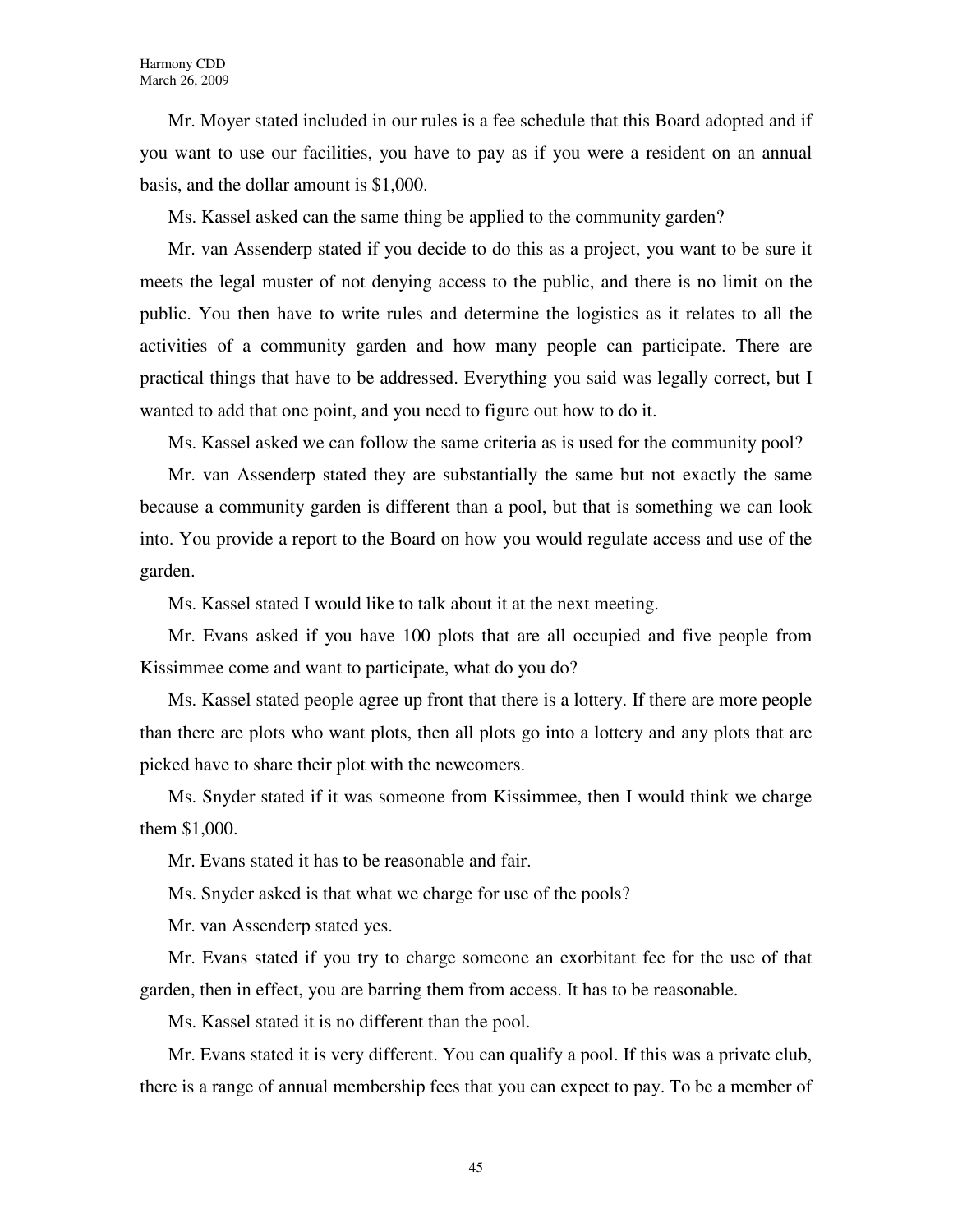Mr. Moyer stated included in our rules is a fee schedule that this Board adopted and if you want to use our facilities, you have to pay as if you were a resident on an annual basis, and the dollar amount is \$1,000.

Ms. Kassel asked can the same thing be applied to the community garden?

Mr. van Assenderp stated if you decide to do this as a project, you want to be sure it meets the legal muster of not denying access to the public, and there is no limit on the public. You then have to write rules and determine the logistics as it relates to all the activities of a community garden and how many people can participate. There are practical things that have to be addressed. Everything you said was legally correct, but I wanted to add that one point, and you need to figure out how to do it.

Ms. Kassel asked we can follow the same criteria as is used for the community pool?

Mr. van Assenderp stated they are substantially the same but not exactly the same because a community garden is different than a pool, but that is something we can look into. You provide a report to the Board on how you would regulate access and use of the garden.

Ms. Kassel stated I would like to talk about it at the next meeting.

Mr. Evans asked if you have 100 plots that are all occupied and five people from Kissimmee come and want to participate, what do you do?

Ms. Kassel stated people agree up front that there is a lottery. If there are more people than there are plots who want plots, then all plots go into a lottery and any plots that are picked have to share their plot with the newcomers.

Ms. Snyder stated if it was someone from Kissimmee, then I would think we charge them \$1,000.

Mr. Evans stated it has to be reasonable and fair.

Ms. Snyder asked is that what we charge for use of the pools?

Mr. van Assenderp stated yes.

Mr. Evans stated if you try to charge someone an exorbitant fee for the use of that garden, then in effect, you are barring them from access. It has to be reasonable.

Ms. Kassel stated it is no different than the pool.

Mr. Evans stated it is very different. You can qualify a pool. If this was a private club, there is a range of annual membership fees that you can expect to pay. To be a member of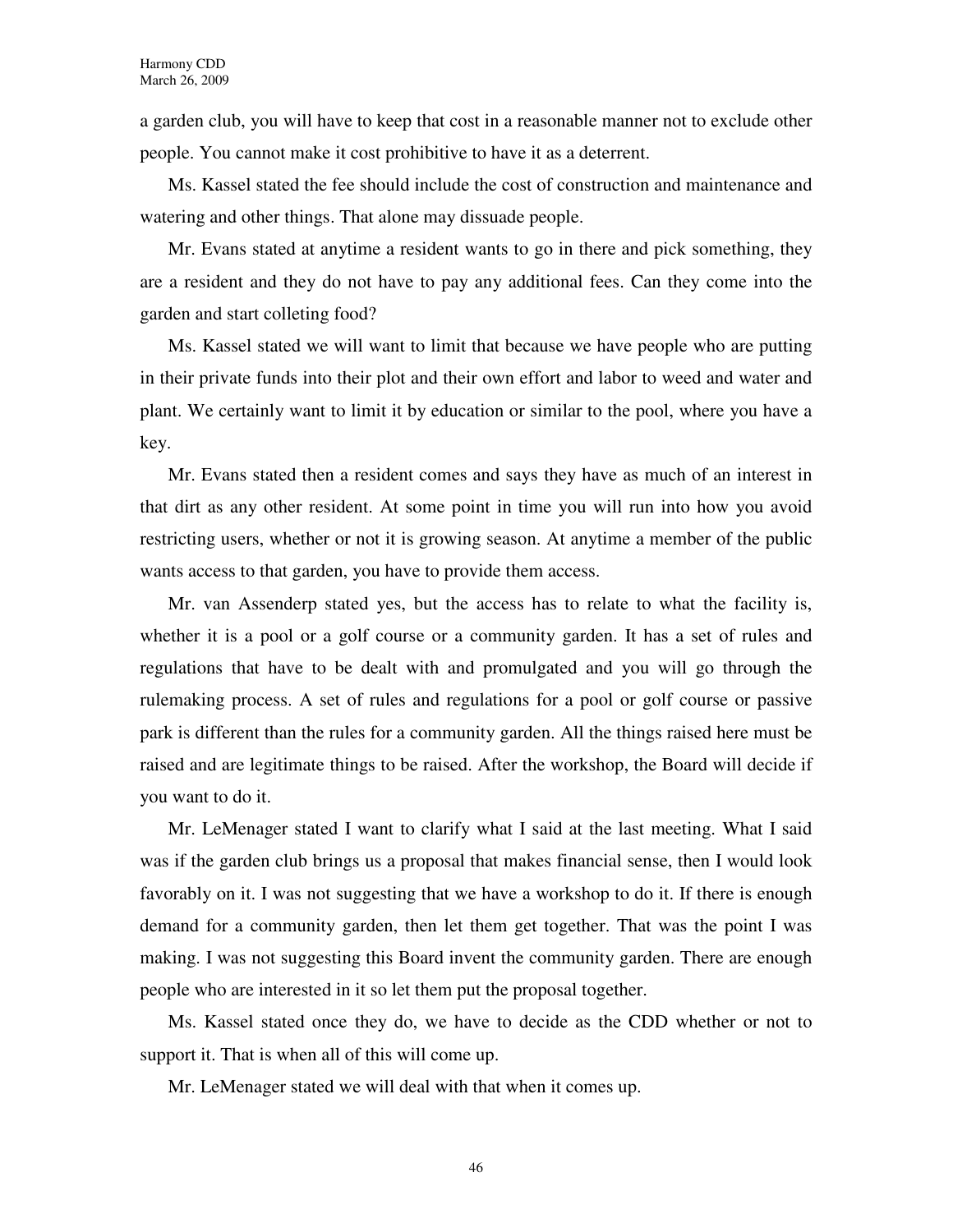a garden club, you will have to keep that cost in a reasonable manner not to exclude other people. You cannot make it cost prohibitive to have it as a deterrent.

Ms. Kassel stated the fee should include the cost of construction and maintenance and watering and other things. That alone may dissuade people.

Mr. Evans stated at anytime a resident wants to go in there and pick something, they are a resident and they do not have to pay any additional fees. Can they come into the garden and start colleting food?

Ms. Kassel stated we will want to limit that because we have people who are putting in their private funds into their plot and their own effort and labor to weed and water and plant. We certainly want to limit it by education or similar to the pool, where you have a key.

Mr. Evans stated then a resident comes and says they have as much of an interest in that dirt as any other resident. At some point in time you will run into how you avoid restricting users, whether or not it is growing season. At anytime a member of the public wants access to that garden, you have to provide them access.

Mr. van Assenderp stated yes, but the access has to relate to what the facility is, whether it is a pool or a golf course or a community garden. It has a set of rules and regulations that have to be dealt with and promulgated and you will go through the rulemaking process. A set of rules and regulations for a pool or golf course or passive park is different than the rules for a community garden. All the things raised here must be raised and are legitimate things to be raised. After the workshop, the Board will decide if you want to do it.

Mr. LeMenager stated I want to clarify what I said at the last meeting. What I said was if the garden club brings us a proposal that makes financial sense, then I would look favorably on it. I was not suggesting that we have a workshop to do it. If there is enough demand for a community garden, then let them get together. That was the point I was making. I was not suggesting this Board invent the community garden. There are enough people who are interested in it so let them put the proposal together.

Ms. Kassel stated once they do, we have to decide as the CDD whether or not to support it. That is when all of this will come up.

Mr. LeMenager stated we will deal with that when it comes up.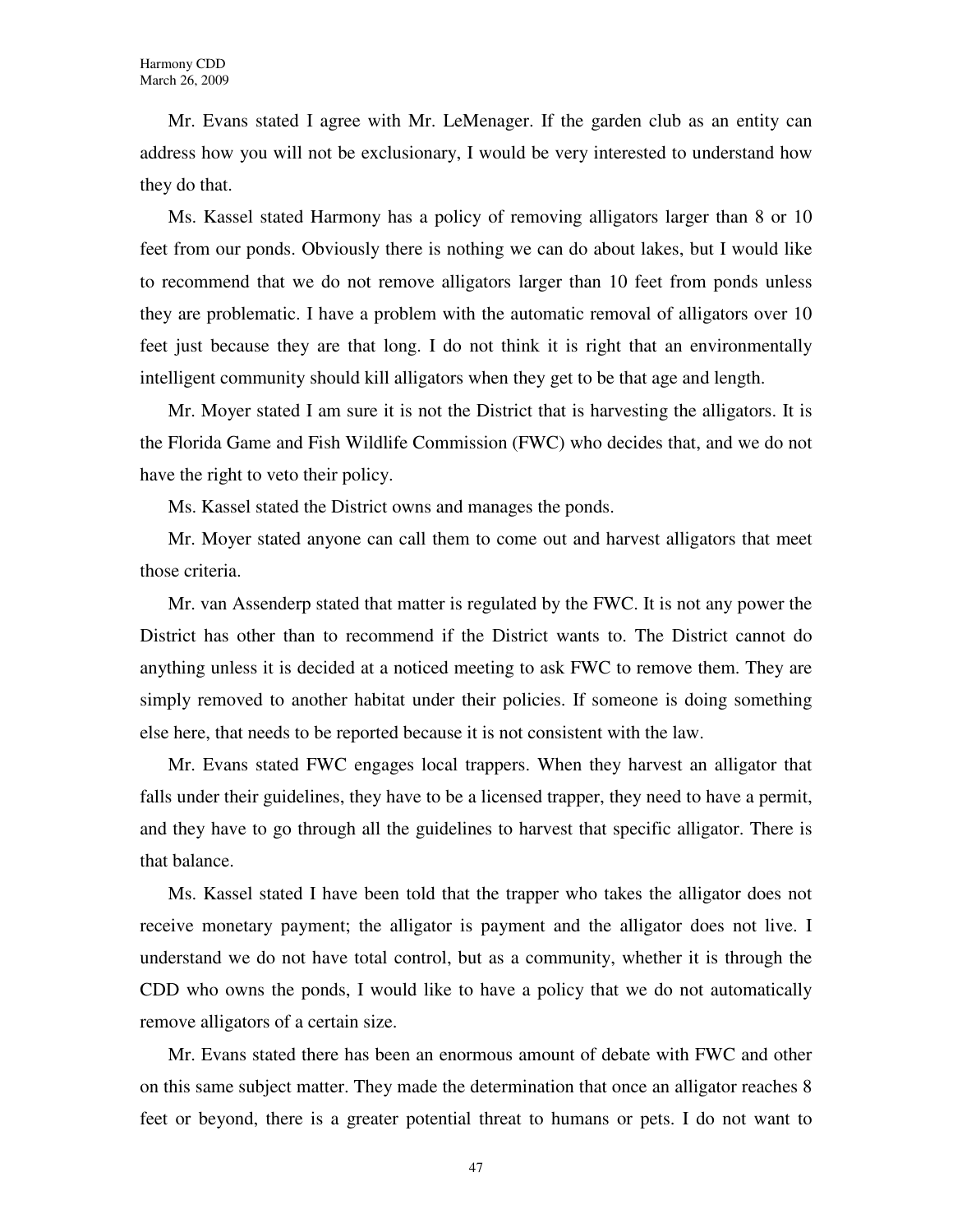Mr. Evans stated I agree with Mr. LeMenager. If the garden club as an entity can address how you will not be exclusionary, I would be very interested to understand how they do that.

Ms. Kassel stated Harmony has a policy of removing alligators larger than 8 or 10 feet from our ponds. Obviously there is nothing we can do about lakes, but I would like to recommend that we do not remove alligators larger than 10 feet from ponds unless they are problematic. I have a problem with the automatic removal of alligators over 10 feet just because they are that long. I do not think it is right that an environmentally intelligent community should kill alligators when they get to be that age and length.

Mr. Moyer stated I am sure it is not the District that is harvesting the alligators. It is the Florida Game and Fish Wildlife Commission (FWC) who decides that, and we do not have the right to veto their policy.

Ms. Kassel stated the District owns and manages the ponds.

Mr. Moyer stated anyone can call them to come out and harvest alligators that meet those criteria.

Mr. van Assenderp stated that matter is regulated by the FWC. It is not any power the District has other than to recommend if the District wants to. The District cannot do anything unless it is decided at a noticed meeting to ask FWC to remove them. They are simply removed to another habitat under their policies. If someone is doing something else here, that needs to be reported because it is not consistent with the law.

Mr. Evans stated FWC engages local trappers. When they harvest an alligator that falls under their guidelines, they have to be a licensed trapper, they need to have a permit, and they have to go through all the guidelines to harvest that specific alligator. There is that balance.

Ms. Kassel stated I have been told that the trapper who takes the alligator does not receive monetary payment; the alligator is payment and the alligator does not live. I understand we do not have total control, but as a community, whether it is through the CDD who owns the ponds, I would like to have a policy that we do not automatically remove alligators of a certain size.

Mr. Evans stated there has been an enormous amount of debate with FWC and other on this same subject matter. They made the determination that once an alligator reaches 8 feet or beyond, there is a greater potential threat to humans or pets. I do not want to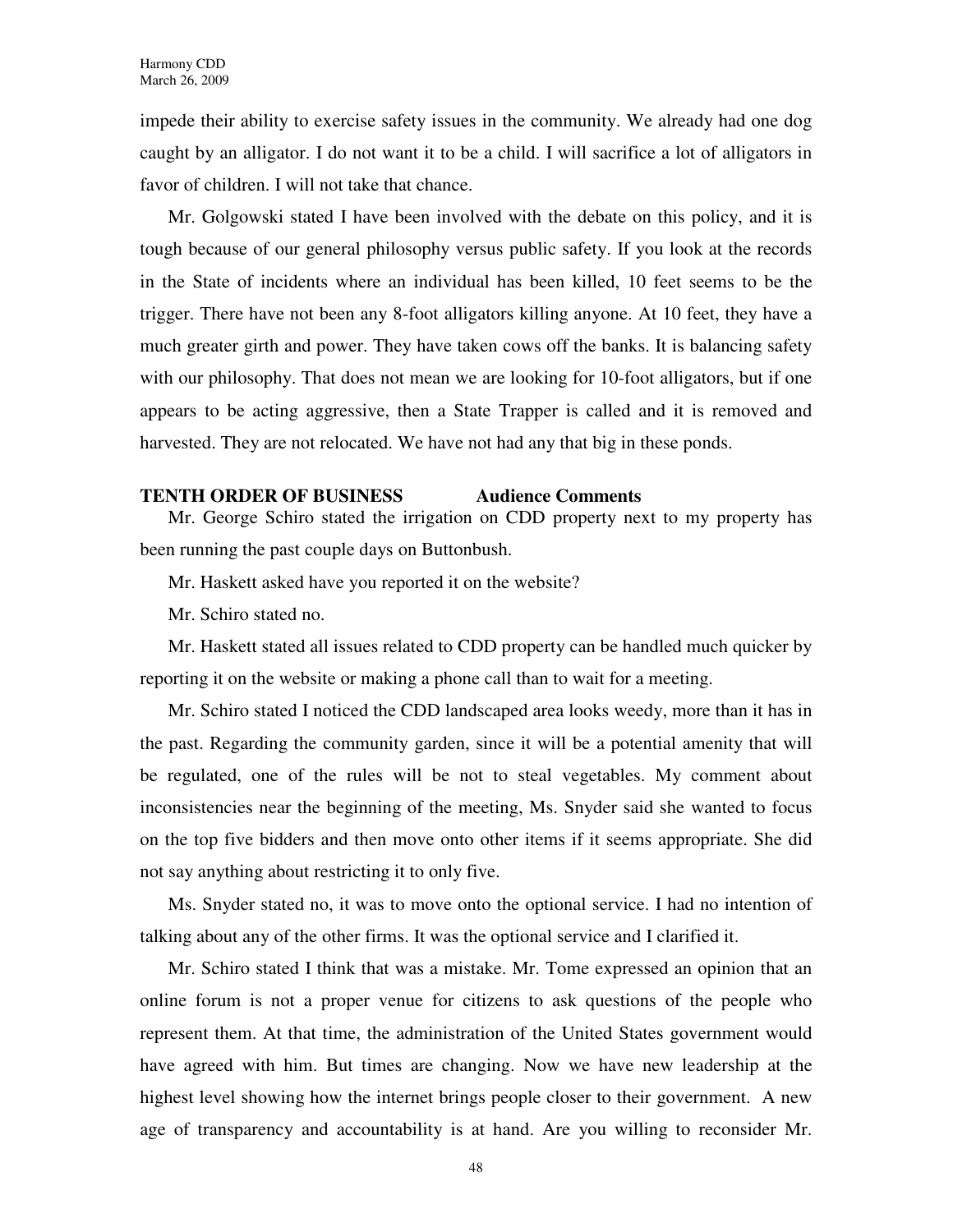impede their ability to exercise safety issues in the community. We already had one dog caught by an alligator. I do not want it to be a child. I will sacrifice a lot of alligators in favor of children. I will not take that chance.

Mr. Golgowski stated I have been involved with the debate on this policy, and it is tough because of our general philosophy versus public safety. If you look at the records in the State of incidents where an individual has been killed, 10 feet seems to be the trigger. There have not been any 8-foot alligators killing anyone. At 10 feet, they have a much greater girth and power. They have taken cows off the banks. It is balancing safety with our philosophy. That does not mean we are looking for 10-foot alligators, but if one appears to be acting aggressive, then a State Trapper is called and it is removed and harvested. They are not relocated. We have not had any that big in these ponds.

# **TENTH ORDER OF BUSINESS Audience Comments**

Mr. George Schiro stated the irrigation on CDD property next to my property has been running the past couple days on Buttonbush.

Mr. Haskett asked have you reported it on the website?

Mr. Schiro stated no.

Mr. Haskett stated all issues related to CDD property can be handled much quicker by reporting it on the website or making a phone call than to wait for a meeting.

Mr. Schiro stated I noticed the CDD landscaped area looks weedy, more than it has in the past. Regarding the community garden, since it will be a potential amenity that will be regulated, one of the rules will be not to steal vegetables. My comment about inconsistencies near the beginning of the meeting, Ms. Snyder said she wanted to focus on the top five bidders and then move onto other items if it seems appropriate. She did not say anything about restricting it to only five.

Ms. Snyder stated no, it was to move onto the optional service. I had no intention of talking about any of the other firms. It was the optional service and I clarified it.

Mr. Schiro stated I think that was a mistake. Mr. Tome expressed an opinion that an online forum is not a proper venue for citizens to ask questions of the people who represent them. At that time, the administration of the United States government would have agreed with him. But times are changing. Now we have new leadership at the highest level showing how the internet brings people closer to their government. A new age of transparency and accountability is at hand. Are you willing to reconsider Mr.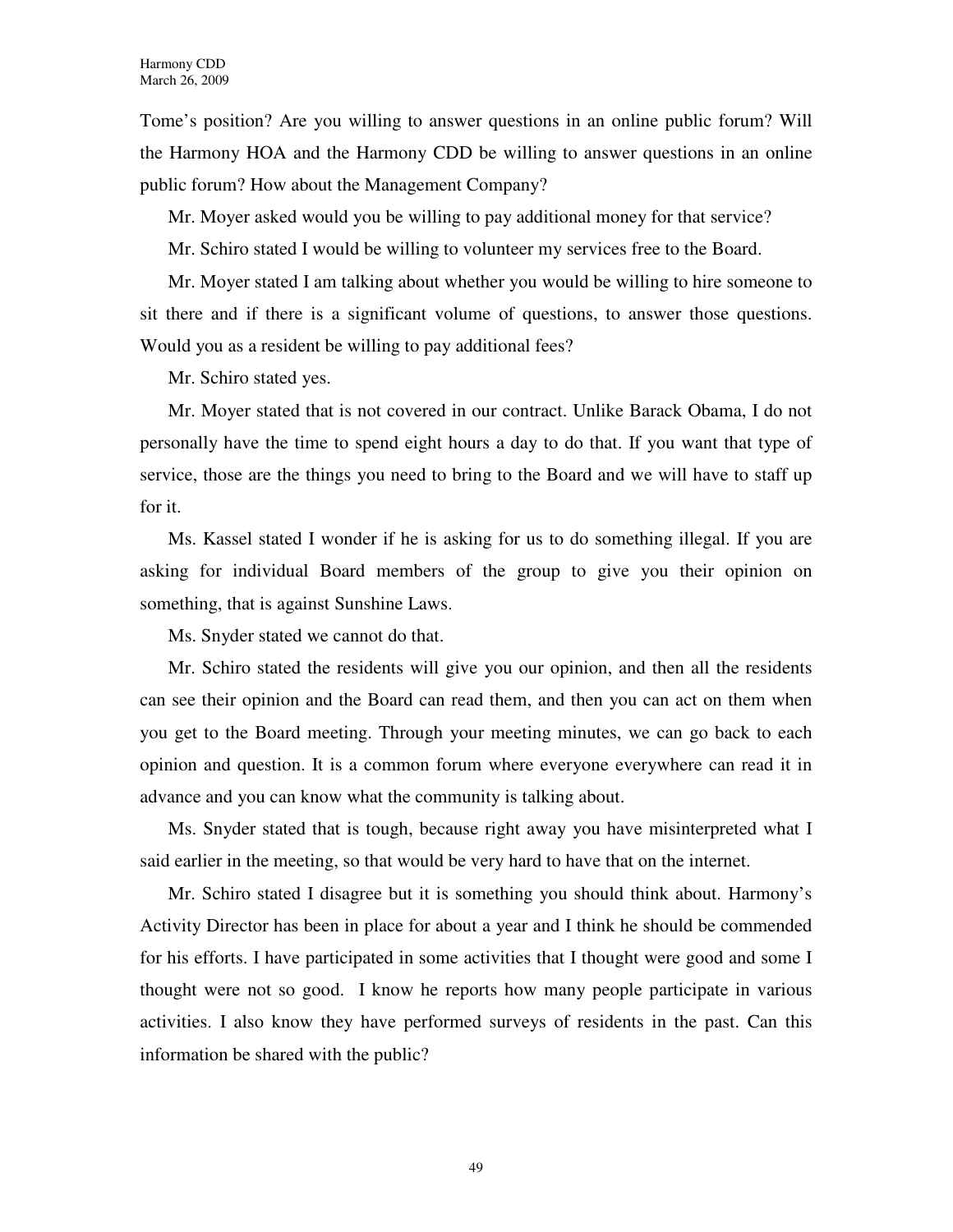Tome's position? Are you willing to answer questions in an online public forum? Will the Harmony HOA and the Harmony CDD be willing to answer questions in an online public forum? How about the Management Company?

Mr. Moyer asked would you be willing to pay additional money for that service?

Mr. Schiro stated I would be willing to volunteer my services free to the Board.

Mr. Moyer stated I am talking about whether you would be willing to hire someone to sit there and if there is a significant volume of questions, to answer those questions. Would you as a resident be willing to pay additional fees?

Mr. Schiro stated yes.

Mr. Moyer stated that is not covered in our contract. Unlike Barack Obama, I do not personally have the time to spend eight hours a day to do that. If you want that type of service, those are the things you need to bring to the Board and we will have to staff up for it.

Ms. Kassel stated I wonder if he is asking for us to do something illegal. If you are asking for individual Board members of the group to give you their opinion on something, that is against Sunshine Laws.

Ms. Snyder stated we cannot do that.

Mr. Schiro stated the residents will give you our opinion, and then all the residents can see their opinion and the Board can read them, and then you can act on them when you get to the Board meeting. Through your meeting minutes, we can go back to each opinion and question. It is a common forum where everyone everywhere can read it in advance and you can know what the community is talking about.

Ms. Snyder stated that is tough, because right away you have misinterpreted what I said earlier in the meeting, so that would be very hard to have that on the internet.

Mr. Schiro stated I disagree but it is something you should think about. Harmony's Activity Director has been in place for about a year and I think he should be commended for his efforts. I have participated in some activities that I thought were good and some I thought were not so good. I know he reports how many people participate in various activities. I also know they have performed surveys of residents in the past. Can this information be shared with the public?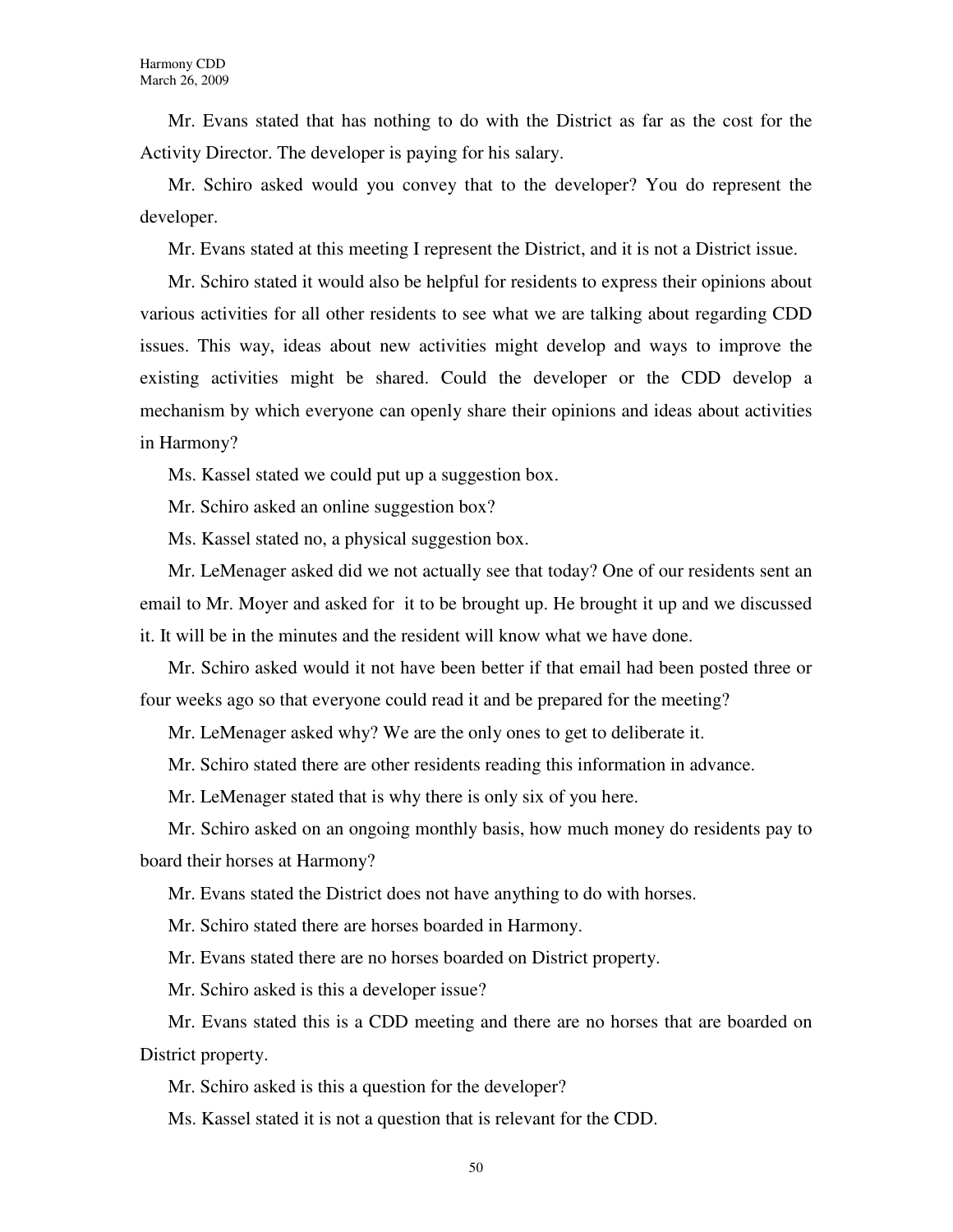Mr. Evans stated that has nothing to do with the District as far as the cost for the Activity Director. The developer is paying for his salary.

Mr. Schiro asked would you convey that to the developer? You do represent the developer.

Mr. Evans stated at this meeting I represent the District, and it is not a District issue.

Mr. Schiro stated it would also be helpful for residents to express their opinions about various activities for all other residents to see what we are talking about regarding CDD issues. This way, ideas about new activities might develop and ways to improve the existing activities might be shared. Could the developer or the CDD develop a mechanism by which everyone can openly share their opinions and ideas about activities in Harmony?

Ms. Kassel stated we could put up a suggestion box.

Mr. Schiro asked an online suggestion box?

Ms. Kassel stated no, a physical suggestion box.

Mr. LeMenager asked did we not actually see that today? One of our residents sent an email to Mr. Moyer and asked for it to be brought up. He brought it up and we discussed it. It will be in the minutes and the resident will know what we have done.

Mr. Schiro asked would it not have been better if that email had been posted three or four weeks ago so that everyone could read it and be prepared for the meeting?

Mr. LeMenager asked why? We are the only ones to get to deliberate it.

Mr. Schiro stated there are other residents reading this information in advance.

Mr. LeMenager stated that is why there is only six of you here.

Mr. Schiro asked on an ongoing monthly basis, how much money do residents pay to board their horses at Harmony?

Mr. Evans stated the District does not have anything to do with horses.

Mr. Schiro stated there are horses boarded in Harmony.

Mr. Evans stated there are no horses boarded on District property.

Mr. Schiro asked is this a developer issue?

Mr. Evans stated this is a CDD meeting and there are no horses that are boarded on District property.

Mr. Schiro asked is this a question for the developer?

Ms. Kassel stated it is not a question that is relevant for the CDD.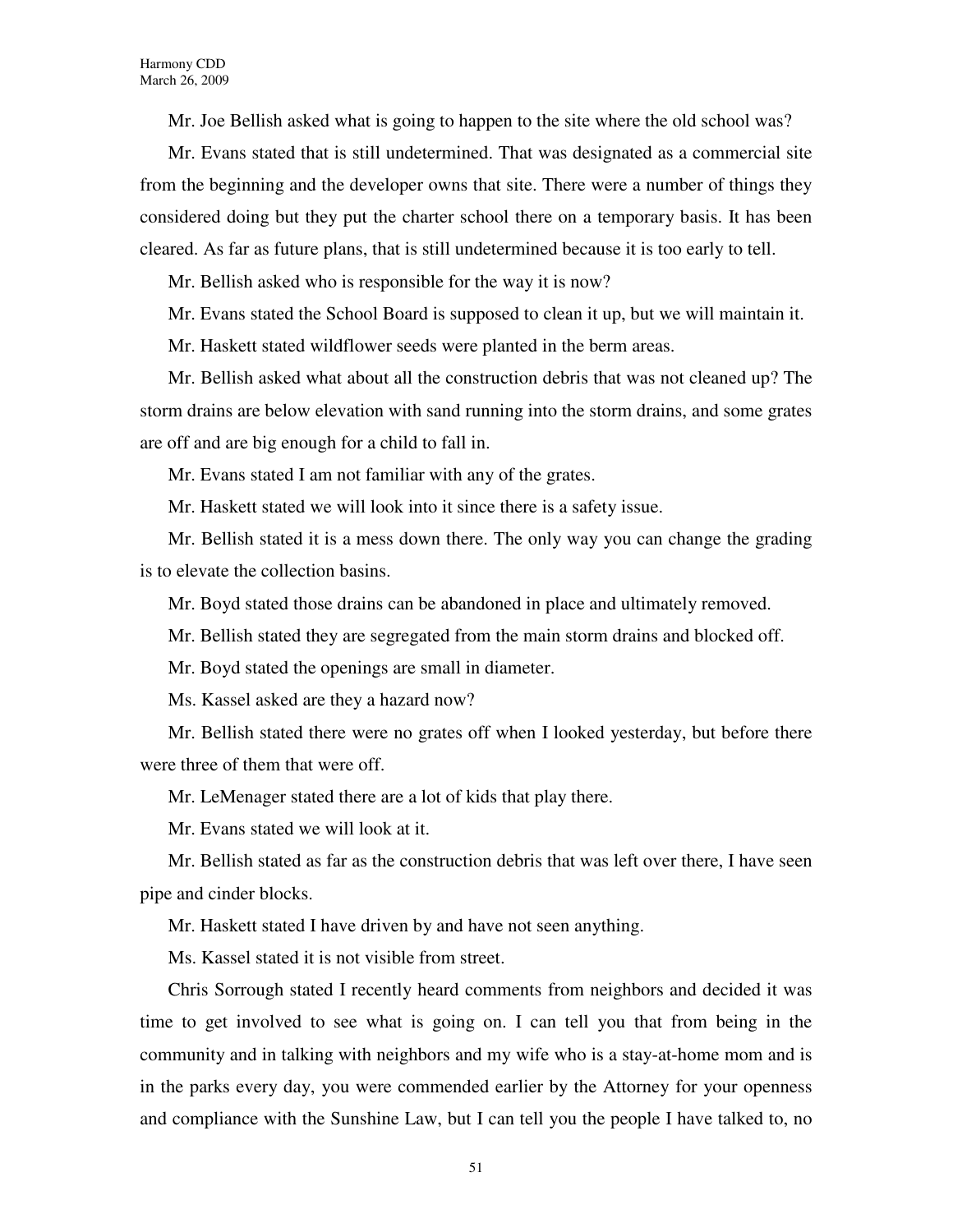Mr. Joe Bellish asked what is going to happen to the site where the old school was?

Mr. Evans stated that is still undetermined. That was designated as a commercial site from the beginning and the developer owns that site. There were a number of things they considered doing but they put the charter school there on a temporary basis. It has been cleared. As far as future plans, that is still undetermined because it is too early to tell.

Mr. Bellish asked who is responsible for the way it is now?

Mr. Evans stated the School Board is supposed to clean it up, but we will maintain it.

Mr. Haskett stated wildflower seeds were planted in the berm areas.

Mr. Bellish asked what about all the construction debris that was not cleaned up? The storm drains are below elevation with sand running into the storm drains, and some grates are off and are big enough for a child to fall in.

Mr. Evans stated I am not familiar with any of the grates.

Mr. Haskett stated we will look into it since there is a safety issue.

Mr. Bellish stated it is a mess down there. The only way you can change the grading is to elevate the collection basins.

Mr. Boyd stated those drains can be abandoned in place and ultimately removed.

Mr. Bellish stated they are segregated from the main storm drains and blocked off.

Mr. Boyd stated the openings are small in diameter.

Ms. Kassel asked are they a hazard now?

Mr. Bellish stated there were no grates off when I looked yesterday, but before there were three of them that were off.

Mr. LeMenager stated there are a lot of kids that play there.

Mr. Evans stated we will look at it.

Mr. Bellish stated as far as the construction debris that was left over there, I have seen pipe and cinder blocks.

Mr. Haskett stated I have driven by and have not seen anything.

Ms. Kassel stated it is not visible from street.

Chris Sorrough stated I recently heard comments from neighbors and decided it was time to get involved to see what is going on. I can tell you that from being in the community and in talking with neighbors and my wife who is a stay-at-home mom and is in the parks every day, you were commended earlier by the Attorney for your openness and compliance with the Sunshine Law, but I can tell you the people I have talked to, no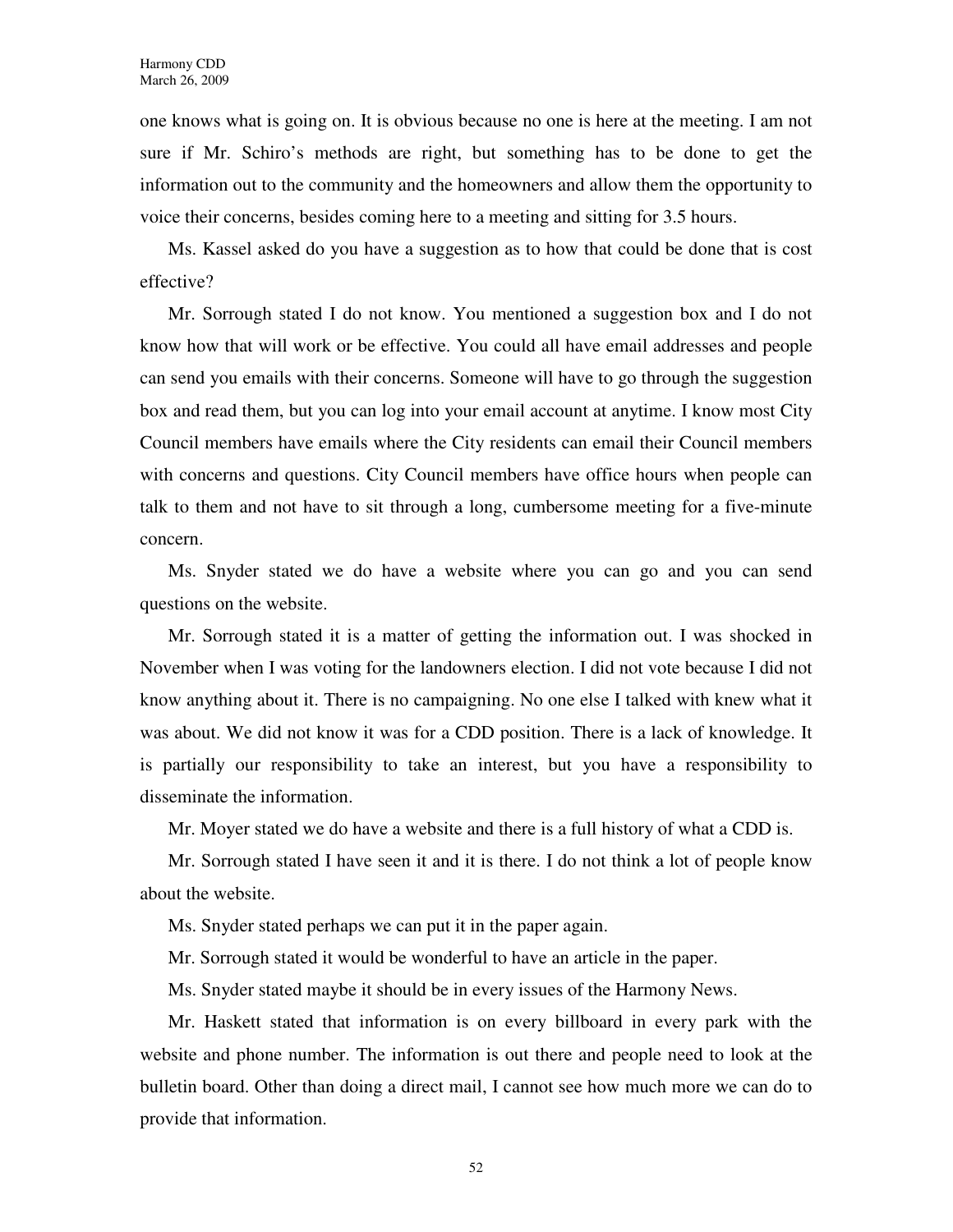one knows what is going on. It is obvious because no one is here at the meeting. I am not sure if Mr. Schiro's methods are right, but something has to be done to get the information out to the community and the homeowners and allow them the opportunity to voice their concerns, besides coming here to a meeting and sitting for 3.5 hours.

Ms. Kassel asked do you have a suggestion as to how that could be done that is cost effective?

Mr. Sorrough stated I do not know. You mentioned a suggestion box and I do not know how that will work or be effective. You could all have email addresses and people can send you emails with their concerns. Someone will have to go through the suggestion box and read them, but you can log into your email account at anytime. I know most City Council members have emails where the City residents can email their Council members with concerns and questions. City Council members have office hours when people can talk to them and not have to sit through a long, cumbersome meeting for a five-minute concern.

Ms. Snyder stated we do have a website where you can go and you can send questions on the website.

Mr. Sorrough stated it is a matter of getting the information out. I was shocked in November when I was voting for the landowners election. I did not vote because I did not know anything about it. There is no campaigning. No one else I talked with knew what it was about. We did not know it was for a CDD position. There is a lack of knowledge. It is partially our responsibility to take an interest, but you have a responsibility to disseminate the information.

Mr. Moyer stated we do have a website and there is a full history of what a CDD is.

Mr. Sorrough stated I have seen it and it is there. I do not think a lot of people know about the website.

Ms. Snyder stated perhaps we can put it in the paper again.

Mr. Sorrough stated it would be wonderful to have an article in the paper.

Ms. Snyder stated maybe it should be in every issues of the Harmony News.

Mr. Haskett stated that information is on every billboard in every park with the website and phone number. The information is out there and people need to look at the bulletin board. Other than doing a direct mail, I cannot see how much more we can do to provide that information.

52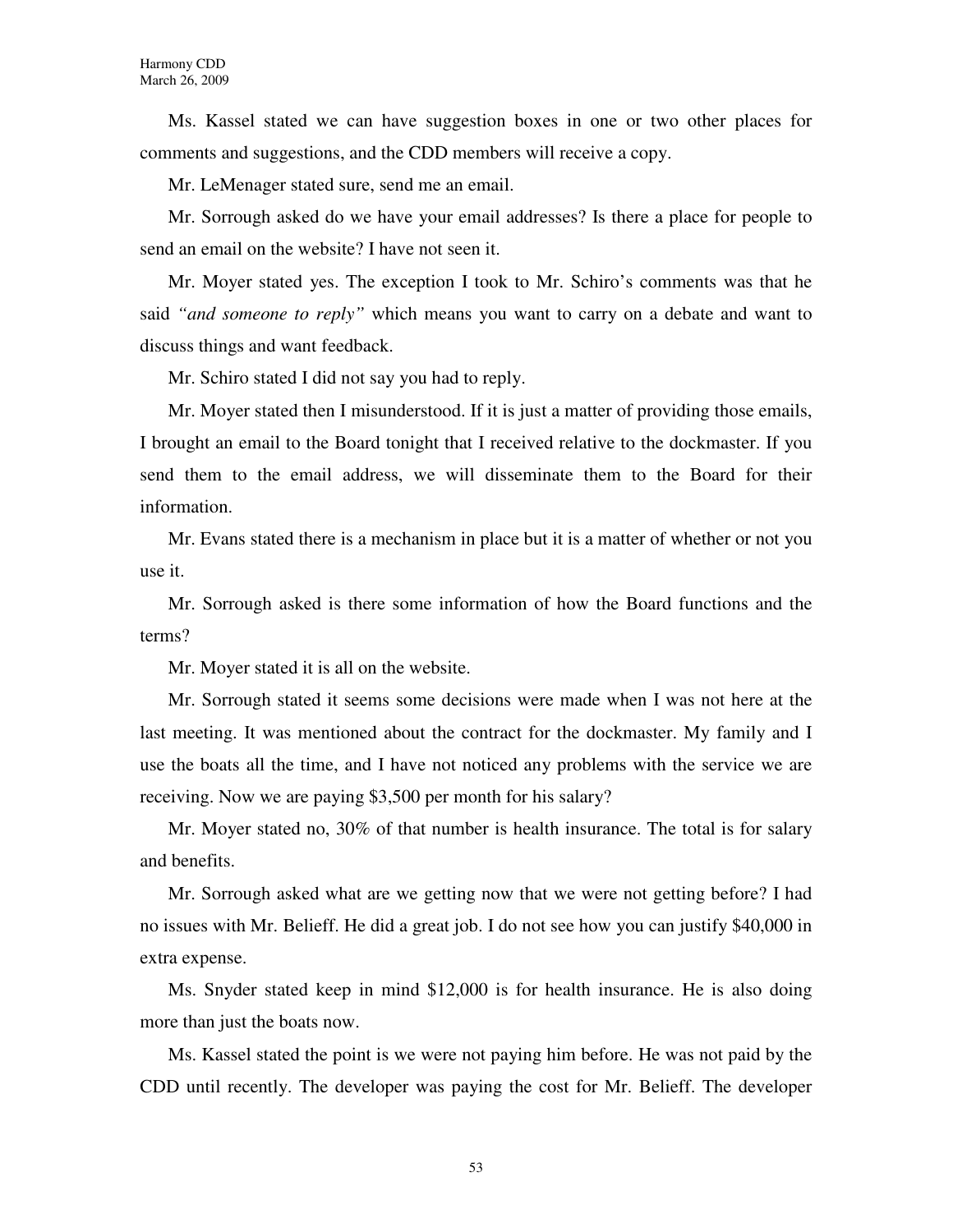Ms. Kassel stated we can have suggestion boxes in one or two other places for comments and suggestions, and the CDD members will receive a copy.

Mr. LeMenager stated sure, send me an email.

Mr. Sorrough asked do we have your email addresses? Is there a place for people to send an email on the website? I have not seen it.

Mr. Moyer stated yes. The exception I took to Mr. Schiro's comments was that he said *"and someone to reply"* which means you want to carry on a debate and want to discuss things and want feedback.

Mr. Schiro stated I did not say you had to reply.

Mr. Moyer stated then I misunderstood. If it is just a matter of providing those emails, I brought an email to the Board tonight that I received relative to the dockmaster. If you send them to the email address, we will disseminate them to the Board for their information.

Mr. Evans stated there is a mechanism in place but it is a matter of whether or not you use it.

Mr. Sorrough asked is there some information of how the Board functions and the terms?

Mr. Moyer stated it is all on the website.

Mr. Sorrough stated it seems some decisions were made when I was not here at the last meeting. It was mentioned about the contract for the dockmaster. My family and I use the boats all the time, and I have not noticed any problems with the service we are receiving. Now we are paying \$3,500 per month for his salary?

Mr. Moyer stated no, 30% of that number is health insurance. The total is for salary and benefits.

Mr. Sorrough asked what are we getting now that we were not getting before? I had no issues with Mr. Belieff. He did a great job. I do not see how you can justify \$40,000 in extra expense.

Ms. Snyder stated keep in mind \$12,000 is for health insurance. He is also doing more than just the boats now.

Ms. Kassel stated the point is we were not paying him before. He was not paid by the CDD until recently. The developer was paying the cost for Mr. Belieff. The developer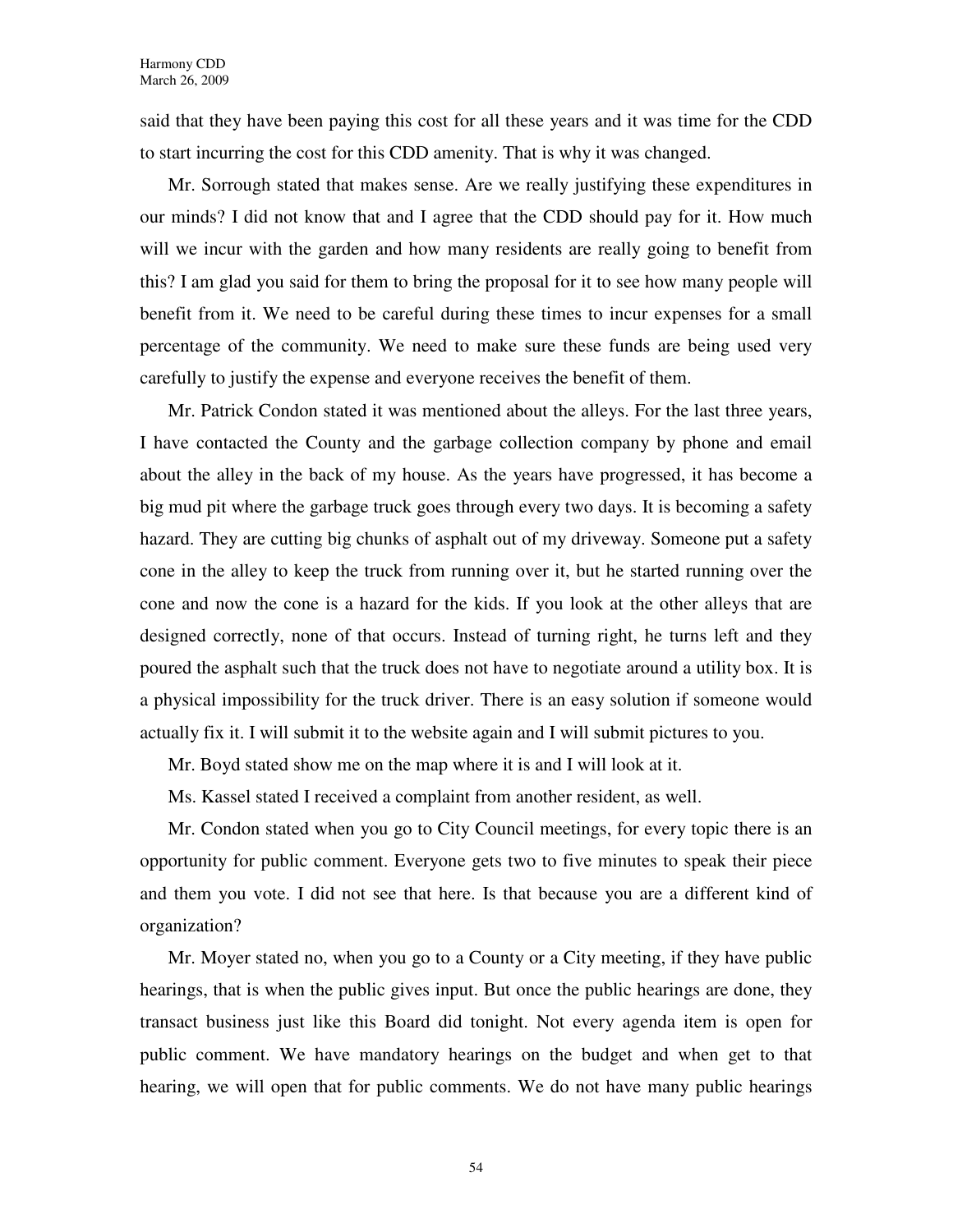said that they have been paying this cost for all these years and it was time for the CDD to start incurring the cost for this CDD amenity. That is why it was changed.

Mr. Sorrough stated that makes sense. Are we really justifying these expenditures in our minds? I did not know that and I agree that the CDD should pay for it. How much will we incur with the garden and how many residents are really going to benefit from this? I am glad you said for them to bring the proposal for it to see how many people will benefit from it. We need to be careful during these times to incur expenses for a small percentage of the community. We need to make sure these funds are being used very carefully to justify the expense and everyone receives the benefit of them.

Mr. Patrick Condon stated it was mentioned about the alleys. For the last three years, I have contacted the County and the garbage collection company by phone and email about the alley in the back of my house. As the years have progressed, it has become a big mud pit where the garbage truck goes through every two days. It is becoming a safety hazard. They are cutting big chunks of asphalt out of my driveway. Someone put a safety cone in the alley to keep the truck from running over it, but he started running over the cone and now the cone is a hazard for the kids. If you look at the other alleys that are designed correctly, none of that occurs. Instead of turning right, he turns left and they poured the asphalt such that the truck does not have to negotiate around a utility box. It is a physical impossibility for the truck driver. There is an easy solution if someone would actually fix it. I will submit it to the website again and I will submit pictures to you.

Mr. Boyd stated show me on the map where it is and I will look at it.

Ms. Kassel stated I received a complaint from another resident, as well.

Mr. Condon stated when you go to City Council meetings, for every topic there is an opportunity for public comment. Everyone gets two to five minutes to speak their piece and them you vote. I did not see that here. Is that because you are a different kind of organization?

Mr. Moyer stated no, when you go to a County or a City meeting, if they have public hearings, that is when the public gives input. But once the public hearings are done, they transact business just like this Board did tonight. Not every agenda item is open for public comment. We have mandatory hearings on the budget and when get to that hearing, we will open that for public comments. We do not have many public hearings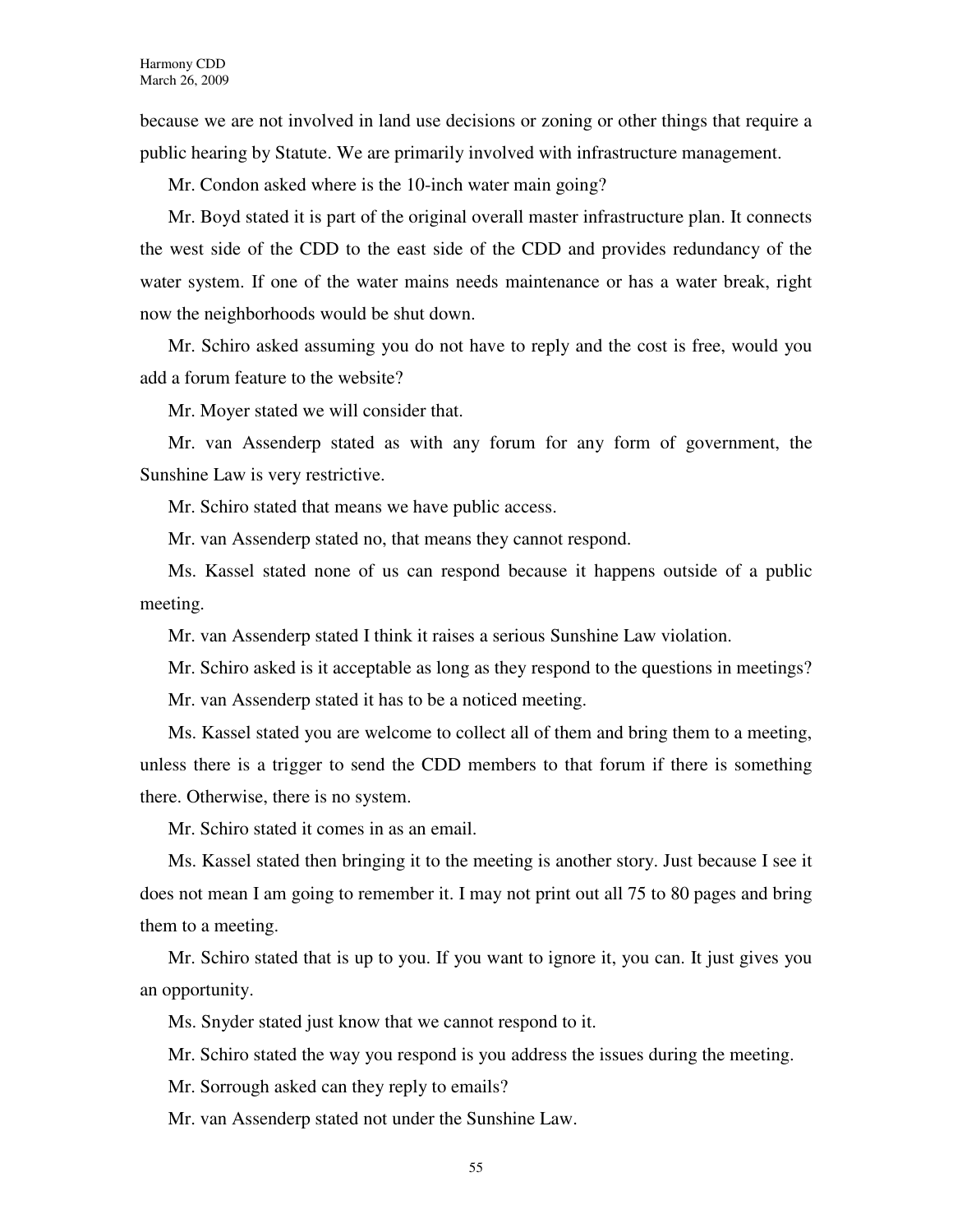because we are not involved in land use decisions or zoning or other things that require a public hearing by Statute. We are primarily involved with infrastructure management.

Mr. Condon asked where is the 10-inch water main going?

Mr. Boyd stated it is part of the original overall master infrastructure plan. It connects the west side of the CDD to the east side of the CDD and provides redundancy of the water system. If one of the water mains needs maintenance or has a water break, right now the neighborhoods would be shut down.

Mr. Schiro asked assuming you do not have to reply and the cost is free, would you add a forum feature to the website?

Mr. Moyer stated we will consider that.

Mr. van Assenderp stated as with any forum for any form of government, the Sunshine Law is very restrictive.

Mr. Schiro stated that means we have public access.

Mr. van Assenderp stated no, that means they cannot respond.

Ms. Kassel stated none of us can respond because it happens outside of a public meeting.

Mr. van Assenderp stated I think it raises a serious Sunshine Law violation.

Mr. Schiro asked is it acceptable as long as they respond to the questions in meetings?

Mr. van Assenderp stated it has to be a noticed meeting.

Ms. Kassel stated you are welcome to collect all of them and bring them to a meeting, unless there is a trigger to send the CDD members to that forum if there is something there. Otherwise, there is no system.

Mr. Schiro stated it comes in as an email.

Ms. Kassel stated then bringing it to the meeting is another story. Just because I see it does not mean I am going to remember it. I may not print out all 75 to 80 pages and bring them to a meeting.

Mr. Schiro stated that is up to you. If you want to ignore it, you can. It just gives you an opportunity.

Ms. Snyder stated just know that we cannot respond to it.

Mr. Schiro stated the way you respond is you address the issues during the meeting.

Mr. Sorrough asked can they reply to emails?

Mr. van Assenderp stated not under the Sunshine Law.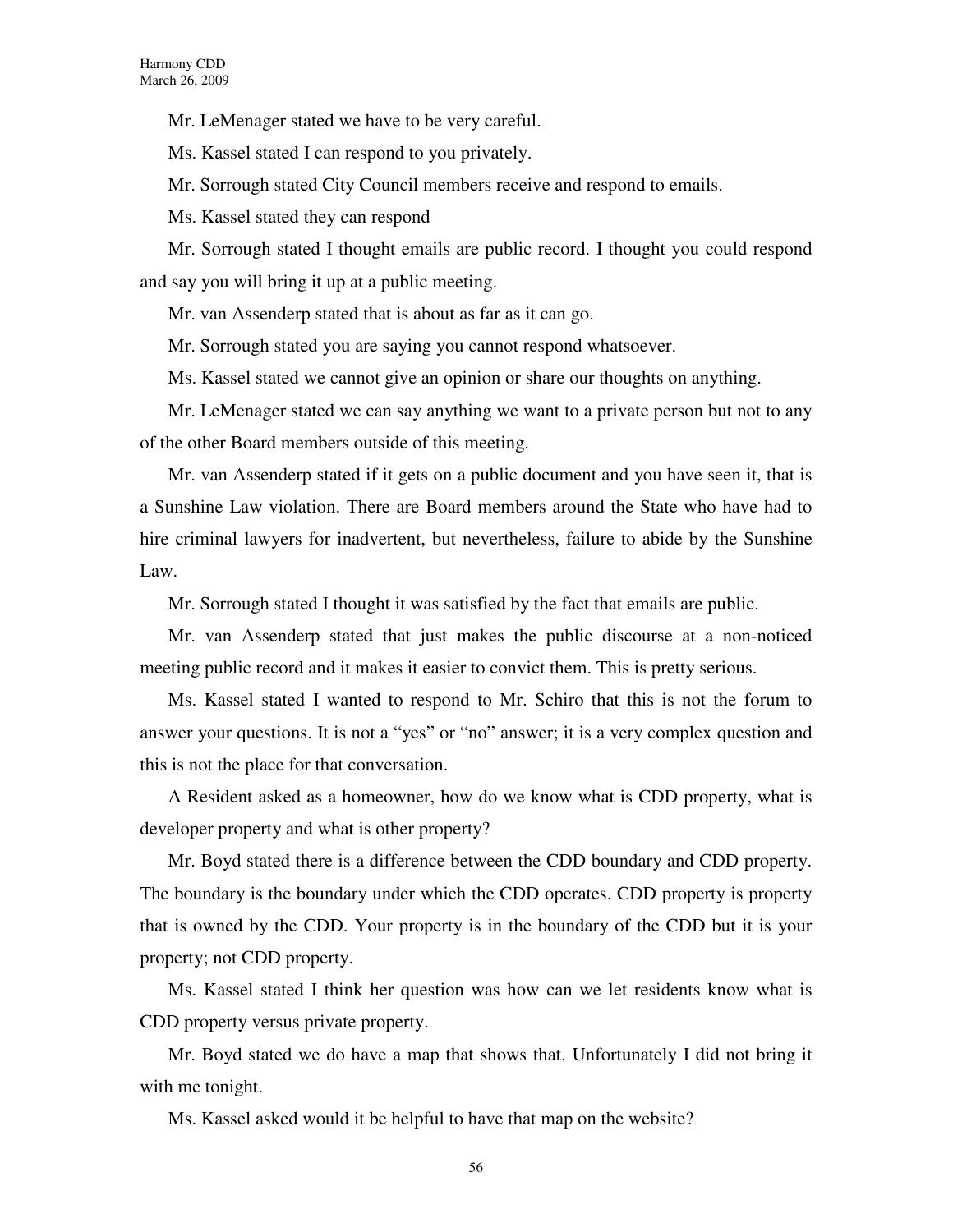Mr. LeMenager stated we have to be very careful.

Ms. Kassel stated I can respond to you privately.

Mr. Sorrough stated City Council members receive and respond to emails.

Ms. Kassel stated they can respond

Mr. Sorrough stated I thought emails are public record. I thought you could respond and say you will bring it up at a public meeting.

Mr. van Assenderp stated that is about as far as it can go.

Mr. Sorrough stated you are saying you cannot respond whatsoever.

Ms. Kassel stated we cannot give an opinion or share our thoughts on anything.

Mr. LeMenager stated we can say anything we want to a private person but not to any of the other Board members outside of this meeting.

Mr. van Assenderp stated if it gets on a public document and you have seen it, that is a Sunshine Law violation. There are Board members around the State who have had to hire criminal lawyers for inadvertent, but nevertheless, failure to abide by the Sunshine Law.

Mr. Sorrough stated I thought it was satisfied by the fact that emails are public.

Mr. van Assenderp stated that just makes the public discourse at a non-noticed meeting public record and it makes it easier to convict them. This is pretty serious.

Ms. Kassel stated I wanted to respond to Mr. Schiro that this is not the forum to answer your questions. It is not a "yes" or "no" answer; it is a very complex question and this is not the place for that conversation.

A Resident asked as a homeowner, how do we know what is CDD property, what is developer property and what is other property?

Mr. Boyd stated there is a difference between the CDD boundary and CDD property. The boundary is the boundary under which the CDD operates. CDD property is property that is owned by the CDD. Your property is in the boundary of the CDD but it is your property; not CDD property.

Ms. Kassel stated I think her question was how can we let residents know what is CDD property versus private property.

Mr. Boyd stated we do have a map that shows that. Unfortunately I did not bring it with me tonight.

Ms. Kassel asked would it be helpful to have that map on the website?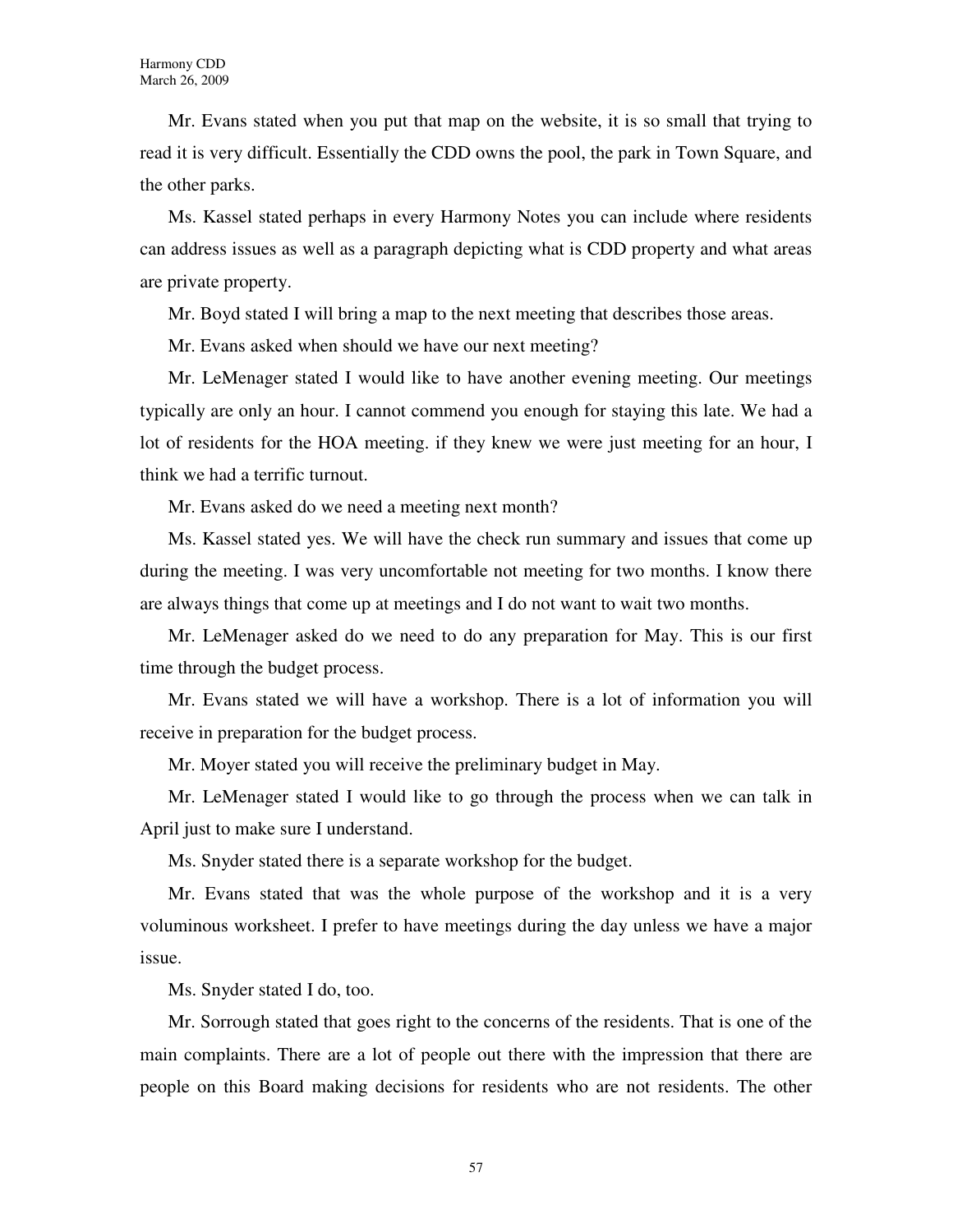Mr. Evans stated when you put that map on the website, it is so small that trying to read it is very difficult. Essentially the CDD owns the pool, the park in Town Square, and the other parks.

Ms. Kassel stated perhaps in every Harmony Notes you can include where residents can address issues as well as a paragraph depicting what is CDD property and what areas are private property.

Mr. Boyd stated I will bring a map to the next meeting that describes those areas.

Mr. Evans asked when should we have our next meeting?

Mr. LeMenager stated I would like to have another evening meeting. Our meetings typically are only an hour. I cannot commend you enough for staying this late. We had a lot of residents for the HOA meeting. if they knew we were just meeting for an hour, I think we had a terrific turnout.

Mr. Evans asked do we need a meeting next month?

Ms. Kassel stated yes. We will have the check run summary and issues that come up during the meeting. I was very uncomfortable not meeting for two months. I know there are always things that come up at meetings and I do not want to wait two months.

Mr. LeMenager asked do we need to do any preparation for May. This is our first time through the budget process.

Mr. Evans stated we will have a workshop. There is a lot of information you will receive in preparation for the budget process.

Mr. Moyer stated you will receive the preliminary budget in May.

Mr. LeMenager stated I would like to go through the process when we can talk in April just to make sure I understand.

Ms. Snyder stated there is a separate workshop for the budget.

Mr. Evans stated that was the whole purpose of the workshop and it is a very voluminous worksheet. I prefer to have meetings during the day unless we have a major issue.

Ms. Snyder stated I do, too.

Mr. Sorrough stated that goes right to the concerns of the residents. That is one of the main complaints. There are a lot of people out there with the impression that there are people on this Board making decisions for residents who are not residents. The other